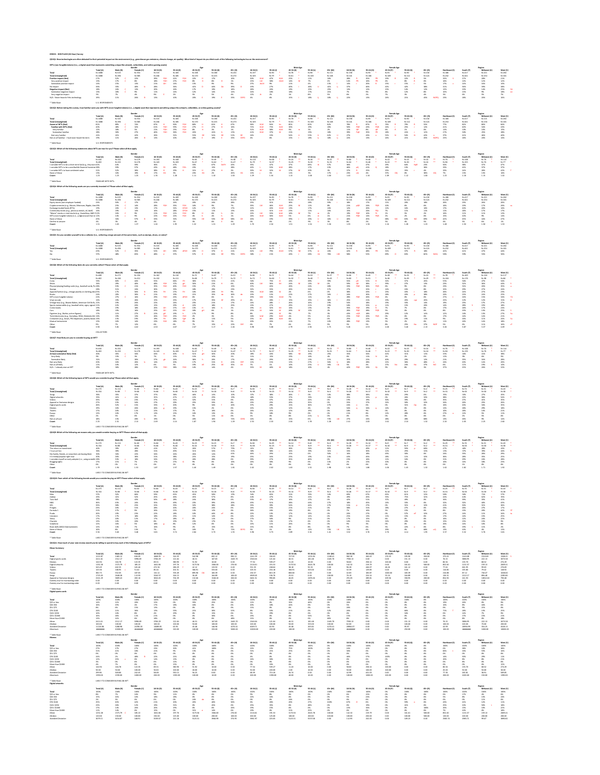QS1Q1: New technologies are often debated for their potential impact on the environment (e.g., greenhouse gas emissions, climate change, air quality). What kind of impact do you think each of the following technologies has

# **NFTs (non-fungible tokens) (i.e., a digital asset that represents something unique like artwork, collectibles, and online gaming assets)**

\* Table Base: U.S. RESPONDENTS

**QS1Q2: Before taking this survey, how familiar were you with NFTs (non-fungible tokens) (i.e., a digital asset that represents something unique like artwork, collectibles, or online gaming assets)?**

\* Table Base: U.S. RESPONDENTS

**QS1Q3: Which of the following statements about NFTs are true for you? Please select all that apply.**

\* Table Base: FAMILIAR WITH NFTs

# **QS1Q4: Which of the following assets are you currently invested in? Please select all that apply.**

# **QS1Q5: Do you consider yourself to be a collector (i.e., collecting a large amount of the same items, such as stamps, shoes, or coins)?**

\* Table Base: U.S. RESPONDENTS

# **QS1Q6: Which of the following items do you currently collect? Please select all that apply.**

\* Table Base: COLLECTORS

**QS1Q7: How likely are you to consider buying an NFT?**

\* Table Base: FAMILIAR WITH NFTs

**QS1Q8: Which of the following types of NFTs would you consider buying? Please select all that apply.**

|                              |            |           | Gender     |           |            |           |           |           |             |           |            | <b>Male Age</b> |           |           |           |           | <b>Female Age</b> |           |           |                     |           |            |          |
|------------------------------|------------|-----------|------------|-----------|------------|-----------|-----------|-----------|-------------|-----------|------------|-----------------|-----------|-----------|-----------|-----------|-------------------|-----------|-----------|---------------------|-----------|------------|----------|
|                              | Total (A)  | Male (B   | Female (C) | 18-34 (D) | 35-44 (E)  | 45-54 (F) | 55-64 (G) | 65+ (H)   | 18-34 (I)   | 35-44 (J) |            | 45-54 (K)       | 55-64 (L) | 65+ (M)   | 18-34 (N) | 35-44 (O) | 45-54 (P)         | 55-64 (Q) | 65+ (R)   | <b>Northeast (S</b> | South (T) | Midwest (l | West (V) |
| Total                        | N=1088     | $N = 525$ | $N = 554$  | $N = 315$ | $N = 183$  | $N = 168$ | $N = 180$ | $N = 241$ | $N = 157$   | $N=90$    |            | N=78            |           | $N = 111$ | $N = 158$ |           |                   |           | $N = 130$ | $N = 186$           | $N = 417$ | $N = 221$  |          |
| Total (Unweighted)           | $N = 1088$ | N=494     | $N = 585$  | $N = 246$ | $N = 185$  | $N = 170$ | $N = 215$ | $N = 272$ | $N = 105$   | $N = 79$  |            | N=61            | $N = 103$ | $N = 148$ | $N = 141$ |           | N=109             | $N = 112$ | $N = 124$ | $N = 232$           | $N = 441$ | $N = 234$  | N=181    |
| <b>Positive impact (Net)</b> |            |           | 22%        | 39%       | 41%<br>FGH |           |           |           | 50%<br>KLM  | 47%       | <b>KLM</b> | 25%             |           | 16%       | 28%       | 35%       | 19%               |           |           | 33%                 | .7%       | 28%        |          |
| Very positive impact         |            | 17%       | ୪%         | 18%       | 27%        |           |           |           | 23%         | 38%       |            | 14%             |           |           | 14%       | 16%       | 4%                |           |           | 16%                 |           |            |          |
|                              |            | 15%       |            | 21%       | 14%        | 13%.      |           |           | 27%<br>JkLM | 9%        |            | 11%             |           | 13%       | 14%       |           | 15%               |           |           | 17%                 | 14%       |            |          |
| No impact                    |            | २२%       | 40%        | 28%       | 34%        | 41%       |           |           | 19%         | 27%       |            | 40%             | 46%       | 41%       |           |           | 42%               | 42%       | 38%       | 31%                 | אי        |            |          |
| <b>Negative impact (Net)</b> |            |           |            | 20%       | 16%        | 17%       | 19%       |           | 28%         | 20%       |            | 19%             |           |           | 13%       |           | 15%               |           | 12%       | 13%                 | 19% .     |            |          |
| Somewhat negative impact     |            | 18%       |            | 11%       | 14%        | 12%       |           |           | 16%         | 18%       |            | 18%             | 17%       |           |           |           | 8%                |           |           | 10%                 |           |            |          |
| Very negative impact         |            |           |            | 9%        |            |           | E 0/      |           | 12%         |           |            |                 |           |           | 6%        |           |                   |           |           |                     |           |            |          |
|                              |            | 11%       | າ ເທ       | 13%       | 10%        |           |           |           | - 4%        |           |            | 15%             | 18%       | 18%       | 22%       |           | 24%               | 21%       | 45%       |                     |           | 20%        |          |

| N=173     | N=112 | N=60 | $N = 84$ | N=43 | N=23 | $N = 15$ |       | N=56     | N=29   | $N = 14$ |      | $N=6$   | $N=28$ | N=14   |      | $N=7$ |           | $N=25$ |          | $N = 31$ | N=43 |
|-----------|-------|------|----------|------|------|----------|-------|----------|--------|----------|------|---------|--------|--------|------|-------|-----------|--------|----------|----------|------|
| $N = 154$ | N=88  | N=66 | N=66     | N=40 | ง=24 |          | $N=6$ | $N = 38$ | $N=23$ | $N=14$   |      | $N = 4$ | N=28   | $N=17$ |      |       |           |        | $N = 63$ | N=30     |      |
|           | 35%   |      | 37%      | 38%  | 46%  | 14%      | 10%   | 37%      | 38%    | 46%      |      | 14%     | 38%    | 38%    | 46%  | 29%   | <b>0%</b> | 35%    |          | 27%      | 45%  |
|           | 41%   | 23%  | 35%      | 47%  | 22%  | 29%      | 19%   | 40%      | 53%    |          | 33%  | 14%     | 25%    |        | -0%  | 26%   | 32%       | 38%    |          | 36%      | 54%  |
|           | 38%   |      | 37%      | 31%  | 32%  |          |       | 46%      | 37%    |          | 24%  | በ%      | 19%    | 19%    | -30% | 39%   | <b>U%</b> | 35%    |          | 41%      | 35%  |
|           | 23%   | 34%  | 27%      | 29%  | 25%  |          |       | 23%      | د 25%  | -20%     |      |         |        |        |      | 30%   |           | 34%    |          | 25%      | 26%  |
|           | 32%   | 15%  | 33%      | 20%  | 9%   | 34%      | 20%   |          | 29%    |          | 36%  | 27%     | 24%    | 0%     | U%   | 31%   | - 0%      | 16%    |          | 34%      |      |
|           | 16%   | 26%  | 26%      | 19%  | 13%  |          |       |          | 12%    |          | 4%   | 0%      | 34%    | 34%    | 14%  | 0%    | U%        | 12%    | 18%      | 29%      | 18%  |
|           | 20%   |      | 22%      | 17%  |      | 10%      | - 0%  | 24%      | Z 170  |          | 19%  | 0%      | 18%    | 9%     | U%   | -0%   | U%        | 10%    |          | 14%      |      |
|           | 10%   |      | 13%      | 15%  | 10%  | 13%      |       | 9%       | 18%    |          |      | .0%     | 21%    | 8%     | 12%  | 28%   | <b>0%</b> | 27%    |          | 5%       |      |
|           |       |      |          |      | 5%   | 11%      |       |          |        |          |      | 0%      | -0%    |        |      | 0%    | 0%        |        |          |          |      |
|           | 13%   | 28%  | 19%      | 8%   | 20%  | 16%      | 72%   | 14%      | 0%     | 15%      | 6%   | 73%     | 27%    | 24%    | 28%  | 28%   | 68%       | 13%    | 26%      | 9%       | 14%  |
| Z.ZJ      | 2.31  | 2.13 | 2.49     | 2.24 | 1.87 | 1.94     | 1.29  | 2.53     | 2.33   | 2.04     | 1.78 | 1.28    | 2.41   | Z.UJ   | 1.62 | 2.10  |           | 2.20   |          | 2.25     | 2.60 |
|           |       |      |          |      |      |          |       |          |        |          |      |         |        |        |      |       |           |        |          |          |      |

|                                 |            |          | Gender |                  |           |     |           |            |           |           |           |      |           |            |           |     |           | <b>Male Age</b> |           |           |           |           |     |            |    | <b>Female Age</b> |           |           |               |           | Region    |           |
|---------------------------------|------------|----------|--------|------------------|-----------|-----|-----------|------------|-----------|-----------|-----------|------|-----------|------------|-----------|-----|-----------|-----------------|-----------|-----------|-----------|-----------|-----|------------|----|-------------------|-----------|-----------|---------------|-----------|-----------|-----------|
|                                 | Total (A)  | Male (B) |        | <b>Female (C</b> | 18-34 (D) |     | 35-44 (E) |            | 45-54 (F) | 55-64 (G) | 65+ (H)   |      | 18-34 (I) |            | 35-44 (J) |     | 45-54 (K) |                 | 55-64 (L) | 65+ (M)   |           | 18-34 (N) |     | 35-44 (O)  |    | 45-54 (P)         | 55-64 (Q) | $65+ (R)$ | Northeast (S) | South (T) | Midwest ( | West (V)  |
| Total                           | N=1088     | N=525    |        | $N = 554$        | $N = 315$ |     | $N = 183$ |            | N=168     | N=180     | $N = 241$ |      | $N = 157$ |            | N=90      |     | N=78      |                 | $N=90$    | $N = 111$ | $N = 158$ |           |     | $N=93$     |    | $N=91$            | N=90      | $N = 130$ | $N = 186$     | $N = 417$ | $N = 221$ | $N = 264$ |
| Total (Unweighted)              | $N = 1088$ | N=494    |        | $N = 585$        | $N = 246$ |     | $N = 185$ |            | N=170     | $N = 215$ | $N = 272$ |      | N=105     |            | $N=79$    |     | $N=61$    |                 | $N = 103$ | $N = 148$ | $N = 141$ |           |     | N=106      |    | $N = 109$         | $N = 112$ | $N = 124$ | $N = 232$     | $N = 441$ | $N = 234$ | N=181     |
| <b>Aware of NFTs (Net)</b>      | 81%        |          |        | 74%              |           |     | 90%       |            |           |           |           |      | 96%       |            | 94%       |     | 85%       |                 | 82%       | 82%       | 78%       |           | 87% |            |    | 76%               | 79%       |           | 77%           | 82%       | 80%       |           |
| <b>Familiar with NFTs (Net)</b> | 40%        | 48%      |        | 32%              | 61%       | FGH | 59%       | <b>FGH</b> |           |           | 16%       |      | 72%       | <b>KLM</b> | 75%       | KLM | 30%       |                 | 29%       | 20%       | 50%       | PQR       | 43% | <b>POR</b> |    | 24%               | 25%       |           | 41%           | 40%       | 34%       |           |
| Very familiar                   |            | 18%      |        |                  |           | FGH | 23%       |            |           |           |           |      | 31%       | <b>KLM</b> | 38%       |     | 9%        |                 |           |           |           |           | ୪%  |            | 6% |                   | 1%        |           | 14%           |           | 10%       |           |
| Somewhat familiar               |            |          |        | 27%              | 40%       |     | 36%       |            |           | 24%       | 15%       |      | 41%       |            |           |     | 21%       |                 | 23%       | 18%       |           |           | 35% | - PR       |    |                   | 24%       |           | 27%           | 30%       | 25%       |           |
| Not very familiar               | 41%        |          |        | 42%              | 26%       |     | 31%       |            |           | 54%       |           |      | 24%       |            |           |     | 54%       |                 |           |           |           |           |     | 43%        |    |                   | 54%       |           | 37%           | 41%       | 46%       |           |
|                                 |            |          |        | 26%              |           |     | 10%       |            |           | 19%       |           | DEFG | 4%        |            |           |     | 15%       |                 | 18%       | 18%       |           |           |     |            |    |                   | 21%       |           | 23%           |           |           |           |

\* Table Base: LIKELY TO CONSIDER BUYING AN NFT

**QS1Q9: Which of the following are reasons why you would consider buying an NFT? Please select all that apply.**

|                                                            |           |          |            |                     |           |           |           |            |           |             | <b>Male Age</b> |             |          |                             |           | <b>Female Age</b> |             |                |               |           |             |           |
|------------------------------------------------------------|-----------|----------|------------|---------------------|-----------|-----------|-----------|------------|-----------|-------------|-----------------|-------------|----------|-----------------------------|-----------|-------------------|-------------|----------------|---------------|-----------|-------------|-----------|
|                                                            | Total (A) | Male (B) | Female (C) | 18-34 (D)           | 35-44 (E) | 45-54 (F) | 55-64 (G) | 65+ (H)    | 18-34 (I) | 35-44 (J)   | 45-54 (K)       | 55-64 (L)   | 65+ (M)  | 18-34 (N)                   | 35-44 (O) | 45-54 (P)         | 55-64 (Q)   | 65+ (R)        | Northeast (S) | South (T) | Midwest (U) | West (V)  |
| Total                                                      | N=434     | N=252    | N=179      | N=193               | N=108     | N=46      | N=49      | N=38 *     | $N = 114$ | $N = 68$ *  | $N = 24$ **     | $N = 26$ ** | $N = 22$ | $N=80$                      | N=40      | $N=22$ **         | $N = 23$ ** | $N = 16$ **    | $N=76$ *      | $N = 168$ | $N=76$      | $N = 114$ |
| Total (Unweighted)                                         | N=402     | N=222    | N=176      | N=143               | N=103     | $N = 47$  | N=62 *    | N=47       | N=79 *    | $N = 57$ *  | $N = 25$ **     | $N = 32$ *  | $N = 31$ | $N = 64$                    | N=46      | N=22 **           | $N = 30$ *  | $N = 16$ **    | $N = 94$ *    | N=155     | N=76 *      | $N=77$ *  |
| I consider NFTs to be a short-term fad (e.g., they won 42% |           |          | 39%        | 36%                 | 47%       | 33%       |           |            | 35%       | 47%         | 37%             | 69% IK      | 57%      | 36%                         | 47%       | 29%               | 64%         | <b>NpR</b> 23% | 50%           |           |             | 47%       |
|                                                            |           |          |            | 43%<br>$\mathbf{r}$ | 48% FGh   | 23%       | 15%       | 28%        | 42% L     | 53% kLM 28% |                 | 17%         | 23%      | 46% pQ                      | 41% Q 18% |                   | 13%         | 36%            | 33%           |           |             | 37%       |
| Loonsider NFTs to have sentiment value                     |           |          |            | 38% H               | 29%       |           |           | 3%         | 39% M     | 32% M       | 37% M           | 20%         |          | 37%                         | 25%       | 25%               | 35%         |                |               |           |             | 42%       |
| None of these                                              | 13%       |          |            | 17% EG 3%           |           | 23% EG 2% |           | 26% EG 13% |           | 3%          | 11%             | 3%          | 17%      | $\sim$ 23% oQ $\sim$ $\sim$ | 4%        | 37% OQ 0%         |             | 38% OQ         | 7%            |           |             | 16%       |
| Count                                                      |           |          |            |                     |           |           |           |            | 1.29      | 1.34        |                 |             | 1.00     | 1.42                        |           |                   |             |                |               |           |             | 1.42      |

|                                                               |                  |           | Gender     |            |            |      |           |            |           |            |             |      |      | Male Age  |           |           |            |           | <b>Female Age</b> |           |           |     |           |                     |           | <b>Region</b> |           |
|---------------------------------------------------------------|------------------|-----------|------------|------------|------------|------|-----------|------------|-----------|------------|-------------|------|------|-----------|-----------|-----------|------------|-----------|-------------------|-----------|-----------|-----|-----------|---------------------|-----------|---------------|-----------|
|                                                               | Total (A)        | Male (E   | Female (C) | $18-34(D)$ | $35-44(E)$ |      | 45-54 (F) | 55-64 (G)  | 65+ (H)   | $18-34(1)$ | $35-44$ (J) |      |      | 45-54 (K) | 55-64 (L) | $65+ (M)$ | $18-34(N)$ | 35-44 (O) | 45-54 (P)         |           | 55-64 (Q) |     | $65+ (R)$ | <b>Northeast (S</b> | South (T) | Midwest /     | West (V)  |
| <b>Total</b>                                                  | $N = 1088$       | $N = 525$ | $N = 554$  | $N = 315$  | $N = 183$  |      | N=168     | $N = 180$  | N=241     | $N = 157$  | $N = 90$    |      | N=78 |           | $N=90$    | $N = 111$ | N=158      | $N = 93$  | N=91              | N=90      |           |     | $N = 130$ | $N = 186$           | N=417     | $N = 221$     | $N = 264$ |
| <b>Total (Unweighted</b>                                      | $N = 1088$       | $N = 494$ | $N = 585$  | $N = 246$  | $N = 185$  |      | $N = 170$ | $N = 215$  | $N = 272$ | $N = 105$  | $N=79$      |      | N=61 |           | $N = 103$ | $N = 148$ | $N = 141$  | $N = 106$ | $N = 109$         | $N = 112$ |           |     | $N = 124$ | $N = 232$           | $N = 441$ | $N = 234$     | $N = 181$ |
| Equity stocks (not employer-funded)                           | 24%              | 30%       |            | 22%        | 24%        |      | 20%       | <b>24%</b> | -28%      | 25%        |             |      |      |           | 28%       | 39%       | 18%        | 17%       | 11%               | -20%      |           | 18% |           | 26%                 | 23%       | 26%           | 20%       |
| Cryptocurrencies (e.g., Bitcoin, Ethereum, Ripple, Liter 19%  |                  | 25%       |            | 28%        | 35%        |      | 16%       | -9%        |           | 35%        | 46%         |      | 23%  |           |           | 8%        | 21%        | 24%       | 10%               |           |           | 6%  |           |                     | 19%       |               | 26%       |
| Exchange traded funds (ETFs)                                  |                  | 24%       |            | 17%        | 32%        | DFGH | 12%       | 1/%        | 17%       | 22%        | 43%         | IKLM | 13%  |           |           | 24%       | 12%        | 20%       | 12%               | 16%       |           | 10% |           |                     |           | -20%          | 16%       |
| Commodity stocks (e.g., precious metals, o                    |                  | 19%       |            | 16%        | 28%        | DFGH | 15%       | 11%        | 13%       | 16%        | 31%         |      | 23%  |           |           | 16%       | 15%        | 24%       |                   |           |           | 11% |           | 11%                 | 18%       |               | 17%       |
| "Meme" stocks or viral stocks (e.g., GameStop, AMC E12%       |                  | 16%       | У%         | 21%        | 21%        |      | 8%.       | 6%         |           | 22%        | 33%         | kLM  | 16%  |           |           | 2%        | 19%        | 10%       |                   |           |           | 2%  |           | 16%                 | 11%       | 11%           | 12%       |
| NFTs (non-fungible tokens) (i.e., a digital asset that re 12% |                  | 14%       | У%         | 22%        | 22%        |      |           |            |           | 24%        | 30%         |      | 5%   |           |           | 1%        | 21%        | 14%       |                   |           |           | 0%  |           |                     | 10%       |               | 14%       |
| None of these                                                 |                  | 34%       | 57%        | 33%        | 32%        |      | 55%       | .3%        | 58%       | 26%        | 19%         |      | 39%  |           | 43%       | 44%       | 40%        | 45%       | -NO<br>68%        | 63%       |           | 69% | NO.       | 42%                 | 45%       | 44%           | 47%       |
| Decline to answer                                             | 4%               | .3%       | 4%         | 4%         | 1%         |      | 3%        | 6%         |           | 0%         | 0%          |      | 2%   |           | У%        | 3%        | 8%         | 2%        |                   |           |           | 5%  |           | 4%                  | 5%        | <b>b%</b>     |           |
| Count                                                         | 1.51             | 1.65      | 1.37       | 1.62       | 1.95       |      | 1.32      | 1.31       | 1.29      | 1.70       | 2.34        |      | 1.51 |           | 1.34      | 1.36      | 1.55       | 1.56      | 1.16              | 1.28      |           |     |           | 1.48                | 1.50      | 1.50          | 1.53      |
| * Table Base:                                                 | U.S. RESPONDENTS |           |            |            |            |      |           |            |           |            |             |      |      |           |           |           |            |           |                   |           |           |     |           |                     |           |               |           |

\* Table Base: LIKELY TO CONSIDER BUYING AN NFT

# **QS1Q10: From which of the following brands would you consider buying an NFT? Please select all that apply.**

|                                                                                                                                                                                                                                     |              |           |            |             |           |           |                   |            |                                                                                                                                                           | <b>Male Age</b> |           |         |           |            | Female Age          |           |               |           |                                                                                                              |                            |
|-------------------------------------------------------------------------------------------------------------------------------------------------------------------------------------------------------------------------------------|--------------|-----------|------------|-------------|-----------|-----------|-------------------|------------|-----------------------------------------------------------------------------------------------------------------------------------------------------------|-----------------|-----------|---------|-----------|------------|---------------------|-----------|---------------|-----------|--------------------------------------------------------------------------------------------------------------|----------------------------|
|                                                                                                                                                                                                                                     | Total (A)    | Male (B)  | Female (C) | 18-34 (D)   | 35-44 (E) | 45-54 (F) | 55-64 (G) 65+ (H) | $18-34(1)$ | $35-44$ (J)                                                                                                                                               | 45-54 (K)       | 55-64 (L) | 65+ (M) | 18-34 (N) | $35-44(0)$ | 45-54 (P) 55-64 (Q) | $65+ (R)$ | Northeast (S) | South (T) | Midwest (U) West (V)                                                                                         |                            |
| Total                                                                                                                                                                                                                               | N=1088 N=525 |           | N=554      | N=315 N=183 |           |           |                   |            | N=168      N=180      N=241      N=157      N=90  *    N=78  *    N=90  *    N=111      N=158     N=93  *    N=91  *   N=90  *   N=130                    |                 |           |         |           |            |                     |           |               |           | $N=186$ $N=417$ $N=221$ $N=264$                                                                              |                            |
| <b>Total (Unweighted)</b>                                                                                                                                                                                                           | N=1088 N=494 |           | N=585      | $N = 246$   | $N = 185$ |           |                   |            | N=170      N=215      N=272      N=105      N=79  *    N=61  *    N=148      N=141      N=106     N=109     N=112     N=124     N=232     N=441     N=234 |                 |           |         |           |            |                     |           |               |           |                                                                                                              | $\sim$ $\sim$ $\sim$ N=181 |
| <b>Yes</b> and the set of the set of the set of the set of the set of the set of the set of the set of the set of the set of the set of the set of the set of the set of the set of the set of the set of the set of the set of the |              | 52% C 35% |            |             |           |           |                   |            |                                                                                                                                                           |                 |           |         |           |            |                     |           |               |           |                                                                                                              |                            |
|                                                                                                                                                                                                                                     |              | 48%       |            |             |           |           |                   |            |                                                                                                                                                           |                 |           |         |           |            |                     |           |               |           | 65% B 48% e 37% E 63% DE 79% DEFG 38% j 21% 43% J 63% IJk 76% IJKl 58% O 63% NOQ 58% S9% 59% 53% 56% 56% 56% |                            |

|                                                              |           |           | Gender     |           |           |           |           |         |           |      |           | <b>Male Age</b> |           |           |           |           | <b>Female Age</b> |           |          |               |           | Region      |           |
|--------------------------------------------------------------|-----------|-----------|------------|-----------|-----------|-----------|-----------|---------|-----------|------|-----------|-----------------|-----------|-----------|-----------|-----------|-------------------|-----------|----------|---------------|-----------|-------------|-----------|
|                                                              | Total (A) | Male (B)  | Female (C) | 18-34 (D) | 35-44 (E) | 45-54 (F) | 55-64 (G) | 65+ (H) | 18-34 (I) |      | 35-44 (J) | 45-54 (K)       | 55-64 (L) | $65+ (M)$ | 18-34 (N) | 35-44 (O) | 45-54 (P)         | 55-64 (Q) | 65+ (R)  | Northeast (S) | South (T) | Midwest (U) | West (V)  |
| <b>Total</b>                                                 | N=468     | $N = 271$ | $N = 194$  | $N = 162$ | $N = 116$ | $N=72$    | $N = 67$  | $N=51$  | $N=96$    |      | $N = 71$  | $N = 44$        | $N=33$    | $N=27$    | $N=66$    | $N = 45$  | $N=28$            |           | $N = 24$ | $N=78$        | $N = 169$ | $N = 104$   | $N = 117$ |
| <b>Total (Unweighted)</b>                                    | $N = 462$ | $N = 246$ | $N = 212$  | $N = 132$ | $N = 111$ | $N=68$    | $N = 79$  | $N=72$  | $N = 72$  |      | $N = 60$  | $N=32$          | N=40      | N=43      |           | $N=51$    | $N=36$            | $N = 39$  |          |               | $N = 176$ | N=98        | $N = 84$  |
| Coins                                                        | 53%       | 60%       | 44%        | 55%       | 66%       | 38%       | 53%       | 41%     | 56%       |      | 75%       | 43%             | 69%       | 59%       | 55%       |           |                   |           | 20%      |               | 56%       | 47%         |           |
| Shoes                                                        | 34%       | 29%       | 40%        | 48%       | 37%       |           |           |         |           |      | 36%       | 24%             |           |           | 59%       | }ጸ%       |                   |           | 13%      |               |           | 36%         | 44%       |
| Physical playing/trading cards (e.g., baseball cards, Po 28% |           |           | 21%        | 35%       |           |           |           | 15%     |           |      |           | 20%             | 24%       | 28%       | 33%       |           |                   |           |          |               |           |             | 35%       |
| Stamps                                                       | 28%       | 31%       | 24%        |           | 33%       | 18%       | 29%       |         |           |      |           | 20%             | 34%       | 37%       | 27%       | 32%       | 14%               |           |          |               | 29%       |             |           |
| Apparel/fashion (e.g., vintage jewelry or clothing, desi 25% |           | 17%       |            | 35%       |           | 10%       | 24%       |         |           | KI M |           |                 |           |           | 38%       | 43%       | 23%               | 43%       | 18%      |               |           |             |           |
| <b>Books</b>                                                 | 24%       | 20%       | 30%        |           | 19%       | 21%       |           |         |           |      |           |                 | 27%       | 34%       | 24%       | 30%       | 18%               | 43%       | 38%      |               |           |             |           |
| NFTs (non-fungible tokens)                                   | 22%       | 27%       | 16%        | 29%       | 43%       |           | 6% .      |         | 29%       | kIM  | 53%       |                 | 11%       |           | 28%       | 26%       |                   |           |          |               |           | 15%         | 34%       |
| Vinyl records                                                | 22%       | 19%       |            |           | 25%       | 17%       | 35%       | 29%     | 8%        |      | 28%       | 15%             | 25%       | 36%       | 25%       |           | 19%               | 45%       | 20%      |               |           | 12%         | 31%       |
| Vintage toys (e.g., Beanie Babies, American Girl Dolls, 22%  |           | 19%       |            |           | 24%       |           | 21%       |         |           |      | 28%       | 26%             |           | 19%       |           |           | 19%               |           | 14%      |               |           |             |           |
| Sports memorabilia (e.g., baseball mitts, signs, signed 21%  |           |           |            |           | 29%       |           |           |         |           |      |           |                 |           |           |           |           |                   |           |          |               |           |             |           |
| Comic books                                                  |           | 19%       |            |           | 27%       |           |           |         |           |      |           |                 |           |           |           |           |                   |           |          |               |           |             |           |
| Cars                                                         |           | 19%       | 16%        | 25%       | 21%       | 18%       |           |         |           |      | 16%       | 26%             |           |           | 26%       | 28%       |                   |           |          |               | 19%       | 13%         |           |
| Figurines (e.g., Barbie, action figures)                     |           | 11%       | 27%        |           |           |           |           |         |           |      |           |                 |           |           | 43%       |           |                   |           |          |               |           |             |           |
| Tech/electronics (e.g., Gameboy, SEGA, Nintendo 64) 16%      |           | 19%       | 13%        | 26%       | 25%       |           |           |         |           |      |           |                 |           |           | 25%       | 20%       |                   |           |          |               |           |             |           |
| Containers (e.g., bowls, PEZ dispensers, jewelry boxes 16%   |           | 13%       | 19%        | 19%       | 26%       |           |           |         | 15%       |      | 28%       | . በ%            |           |           |           | 22%       |                   |           |          |               |           |             |           |
| Musical instruments                                          |           |           |            | 23%       |           |           |           |         |           |      |           |                 |           |           |           |           |                   |           |          |               |           | 14%         |           |
| Other                                                        |           |           |            |           |           |           | 15%       |         |           |      |           |                 |           |           |           |           |                   | 25%       | 37%      |               |           | 11%         | 16%       |
| Count                                                        |           |           | 4.02       |           | 4.87      | 2.67      | 3.17      |         |           |      | 5.08      | 2.79            | 2.94      |           |           | 4.53      | 2.48              |           |          |               | 3.87      | 3.37        |           |

\* Table Base: LIKELY TO CONSIDER BUYING AN NFT

# **QS1Q11: How much of your own money would you be willing to spend to buy each of the following types of NFTs?**

|                                |           |           |            |            |           |           |          |                   |           |           | <b>Male Age</b> |           |          |            |           |           |           |          |               |           |             |          |
|--------------------------------|-----------|-----------|------------|------------|-----------|-----------|----------|-------------------|-----------|-----------|-----------------|-----------|----------|------------|-----------|-----------|-----------|----------|---------------|-----------|-------------|----------|
|                                | Total (A) | Male (B   | Female (C) | $18-34(D)$ | 35-44 (E) | 45-54 (F) | 55-64 (G | 65+ (H)           | 18-34 (I) | 35-44 (J) | 45-54 (K)       | 55-64 (L) | 65+ (M)  | $18-34(N)$ | 35-44 (O) | 45-54 (P) | 55-64 (Q) | 65+ (R)  | Northeast (S) | South (T) | Midwest (U) | West (V) |
| <b>Total</b>                   | N=434     | $N = 252$ | $N = 179$  | $N = 193$  | N=108     |           | N=49     | $N = 38$          | $N = 114$ | N=68      |                 | $N=26$    |          |            |           | $N=22$    | $N=23$    | $N = 16$ | $N = 76$      | $N = 168$ | $N=76$      | N=114    |
|                                | N=402     | $N = 222$ | $N = 176$  | $N = 143$  | $N = 103$ | $N = 47$  | N=62     | $N = 47$          | $N = 79$  | $N = 57$  | $N=25$          | N=32      | $N = 31$ | N=64       | N=46      | $N=22$    | $N=30$    | $N=16$   | N=94          | $N = 155$ | $N = 76$    |          |
| At least somewhat likelv (Net) |           |           | 34%        | 44%        | 40%       |           | - 30%    | 20%               | 49%       | 43%       |                 | 29%       | 25%      | 35%        | 34%       | 42%       | 31%       | 12%      |               |           | 41%         |          |
| Very likely                    |           |           | 3%         |            | 13%       |           | 10%      |                   |           |           |                 | 16%       | 4%       | 0%         |           |           |           |          |               |           | 6%          |          |
| Somewhat likely                |           |           | 30%        | 37%        | 26%       |           | 20%      | .7%               | 38%       | 29%       | 35%             | 13%       | 21%      | 35%        |           | 40%       | 29%       | 12%      | 21%           |           | 34%         |          |
| Not very likely                |           |           | 26%        | 14%        | 20%       |           | 31%      | <b>DEF</b><br>41% |           |           |                 | 27%       | 36%      | 18%        | 28%       | 21%       | 36%       | 48%      | 24%           |           | 14%         |          |
| Not at all likely              |           |           | 12%        | 6%         |           |           |          |                   |           |           |                 | 25%       | 34%      | 5%         |           |           | 24%       | 37% S    | 6%            |           | 19%         | 10%      |
|                                |           | 30%       | 28%        | 37%        | 38%       |           | 14%      |                   |           |           |                 | 20%       | 4%       | 42%        |           |           |           |          |               | 25%       | 26%         |          |

|           |          | Candai     |           |           |           |           |           |           |             | Male Age  |           |         |           |           | <b>Female Age</b> |             |           |                      |                                |  |
|-----------|----------|------------|-----------|-----------|-----------|-----------|-----------|-----------|-------------|-----------|-----------|---------|-----------|-----------|-------------------|-------------|-----------|----------------------|--------------------------------|--|
| Total (A) | Male (B) | Female (C) | 18-34 (D) | 35-44 (E) | 45-54 (F) | 55-64 (G) | $65+ (H)$ | 18-34 (I) | $35-44$ (J) | 45-54 (K) | 55-64 (L) | 65+ (M) | 18-34 (N) | 35-44 (O) | 45-54 (P)         | $55-64$ (Q) | $65+ (R)$ | <b>Northeast (S)</b> | South (T) Midwest (U) West (V) |  |

|                                                             |           |           |            |           |           |           |              |         |           |             | Male Age  |           |         |           |           | <b>Female Age</b> |           |         |               |           | Regior     |          |
|-------------------------------------------------------------|-----------|-----------|------------|-----------|-----------|-----------|--------------|---------|-----------|-------------|-----------|-----------|---------|-----------|-----------|-------------------|-----------|---------|---------------|-----------|------------|----------|
|                                                             | Total (A) | Male (B)  | Female (C) | 18-34 (D) | 35-44 (E) | 45-54 (F) | 55-64 (G)    | 65+ (H) | 18-34 (I) | $35-44$ (J) | 45-54 (K) | 55-64 (L) | 65+ (M) | 18-34 (N) | 35-44 (O) | 45-54 (P)         | 55-64 (Q) | 65+ (R) | Northeast (S) | South (T) | Midwest (l | West (V) |
| Total                                                       | $N = 173$ | $N = 112$ | $N = 60$   | N=84      | $N = 43$  | $N=23$    | $N=15$<br>** | N=7     | $N=56$    | $N=29$      | $N=14$    | $N=8$     |         | $N=28$    | $N=14$    | N=9               | $N=7$     |         | N=25          | $N=74$    | N=31       |          |
| Total (Unweighted)                                          | N=154     | N=88      | $N = 66$   | $N=66$    | $N = 40$  | $N=24$    | $N = 18$     |         | N=38      | $N=23$      | $N=14$    | $N=9$     | $N=4$   | $N=28$    | $N=17$    | N=10              | $N=9$     |         | N=31          | $N=63$    | N=30       | $N = 30$ |
| The return on investment                                    | 40%       | 39%       | 40%        | 41%       | 32%       | 26%       | 57% .        | 79%     | 41%       | 25%         | 36%       | 54%       |         | 39%       | 49%       | 11%               | 59%       | -68%    | 47%           | 40%       | 28%        |          |
| I'm an art fan                                              | 36%       | 39%       | 28%        | 31%       | 49%       | 31%       | 34%          |         | 30%       | 58%         | 44%       | 39%       |         | 33%       | 30%       | 12%               | 29%       |         | 13%           | 37%       | 39%        | 44%      |
| My family, friends, or coworkers are buying them 30%        |           |           |            | 34%       | 26%       | 26%       | 14%          | -41%    | 44%       |             | 15%       | በ%        |         | 16%       | 18%       | 43%               | 30%       |         | 24%           |           | 28%        |          |
| It's trendy/popular right now                               | 30%       |           | 36%        | 31%       | 38%       | 21%       | 15%          |         | 25%       | 34%         | 23%       | 19%       |         | 43%       | 45%       | 18%               |           |         | 36%           | 28%       | 35%        |          |
| I consider myself an early adopter (i.e., using somethi 28% |           |           |            | 34%       | 23%       | 26%       | 28%          |         | 39%       | 27%         | 35%       | 40%       |         | 23%       | 16%       | 11%               | 16%       |         | 31%           | 29%       | 24%        |          |
| Bragging rights                                             | l / %     |           |            | 17%       | 27%       | <b>9%</b> | በ%           |         | 24%       | 30%         |           |           |         | 2%        |           | 10%               | በ%        |         | 10%           |           | 18%        |          |
| Other                                                       |           |           |            |           |           |           |              |         |           |             |           |           |         | U%        |           |                   |           |         |               |           |            |          |
| Count                                                       |           |           |            | 1.87      | 1.97      | 1.40      |              |         |           |             |           |           |         | 1.56      | 1.86      | 1.06              |           |         |               |           |            |          |

|                                 |           |           | Gender     |           |           |           |             |         |            |             | <b>Male Age</b> |           |         |            |           | <b>Female Age</b> |           |           |              |           |           |          |
|---------------------------------|-----------|-----------|------------|-----------|-----------|-----------|-------------|---------|------------|-------------|-----------------|-----------|---------|------------|-----------|-------------------|-----------|-----------|--------------|-----------|-----------|----------|
|                                 | Total (A) | Male (B)  | Female (C) | 18-34 (D) | 35-44 (E) | 45-54 (F) | $55-64$ (G) | 65+ (H) | $18-34(1)$ | $35-44$ (J) | 45-54 (K)       | 55-64 (L) | 65+ (M) | $18-34(N)$ | 35-44 (O) | 45-54 (P)         | 55-64 (Q) | $65+ (R)$ | Northeast (9 | South (T) | Midwest ( | West (V) |
| Total                           | $N = 173$ | $N = 112$ | $N = 60$   | $N = 84$  | $N=43$    | $N=23$    | N=15        |         | $N=56$     | N=29        |                 |           | N=6     | $N=28$     | N=14      | $N = 9$           |           |           | $N=25$       |           | $N=31$    | N=43     |
| Total (Unweighted)              | $N = 154$ | N=88      | $N=66$     | $N=66$    | $N=40$    | $N = 24$  | $N = 18$    | N=6     | $N = 38$   | $N=23$      |                 |           | $N = 4$ | $N = 28$   | N=17      |                   | $N=9$     | N=2       |              |           | $N=30$    | $N=30$   |
|                                 |           | 52%       | 66%        | 59%       | 65%       | 45%       | 58%         | 19%     | 54%        | 65%         |                 |           | 14%     | 69%        | 67%       | 65%               | 61%       | 32%       | 58%          | 50%       |           | 57%      |
|                                 |           | 41%       |            | 45%       | 46%       | 45%       | 57%         | 8%      | 44%        | 47%         |                 |           |         | 49%        | 45%       | 55%               | 75%       | 32%       | 44%          | 44%       | 62%       | 35%      |
| Taco Bell                       |           |           | 43%        | 50%       | 28%       | 24%       | 38%         | U%      | 55%        | 17%         |                 |           |         | 42%        | 51%       | 37%               | 49%       | 0%        | 34%          | 39%       | 35%       | 41%      |
|                                 |           | 43%       | 24%        | 35%       | 49%       | 23%       | 39%         | 20%     | 43%        |             | 28%             | 44%       | 27%     | 18%        | 45%       | 14%               | 33%       | 0%        | 32%          |           |           | 43%      |
|                                 |           |           | 25%        | 32%       | 35%       | 32%       | 38%         | 28%     | 33%        | 39%         | 54%             | 44%       | 27%     | 31%        | 27%       | 0%                | 31%       | 32%       |              |           |           | 36%      |
|                                 |           |           |            | 28%       | 20%       | 20%       | 24%         |         | 24%        | 15%         |                 |           |         | 38%        | 31%       | 18%               |           | 0%        | 23%          | 26%       |           | 17%      |
|                                 |           |           | 9%         | 26%       | 21%       | 13%       | 12%         |         | 36%        | 24%         | 19%             | 8%        |         |            | 16%       | 5%                | 15%       | 0%        | 8%           | 13%       | 20%       | 12%      |
|                                 |           | 19%       |            | 22%       | 18%       | 10%       | 44%         |         | 22%        | 13%         | 17%             |           |         | 20%        | 27%       | 0%                |           |           | 27%          | 14%       |           | 34%      |
|                                 |           |           |            | 18%       | 25%       | 11%       | 14%         |         | 14%        | 30%         | 12%             |           |         | 25%        | 13%       |                   | 15%       | 0%        | 17%          | 14%       |           | 25%      |
|                                 |           |           |            | 17%       | 28%       |           | 11%         |         | 17%        | 34%         | 9%              | 21%       |         | 17%        | 15%       | 6%                |           | 0%        |              | 12%       | 24%       | 22%      |
|                                 |           |           |            | 8%        | 19%       | 23%       | 17%         |         |            |             |                 |           |         | 10%        | 31%       | 32%               | 29%       | 0%        |              |           |           |          |
| Vodafone                        |           |           | 5%         | 18%       | 8%        | 12%       | 0%          |         | 22%        |             |                 |           |         |            |           | . በ%              |           | 0%        |              | 14%       |           |          |
| Bratz dolls (MGA Entertainment) |           |           | 170        | 16%       | 9%        |           | 15%         |         | 21%        |             |                 | ୪%        |         |            |           |                   |           |           | 8%           |           |           |          |
| None of these                   |           | 8%        |            | $1\%$     | 3%        | 16%       |             |         | .5%        |             | 8%              |           | 73%     | 11%        |           | 29%               | . በ%      | 68%       | 13%          |           | 4%        | 13%      |
|                                 |           |           |            | 3.81      | 3.74      | 2.84      |             |         |            |             |                 |           | 1.41    | 3.52       | 3.76      |                   | 4.14      |           |              |           |           | 3.81     |

| <b>Mean Summary</b>                          |           |                                  |                  |           |           |           |           |           |             |             |                 |           |              |            |           |                   |             |           |                     |           |             |          |
|----------------------------------------------|-----------|----------------------------------|------------------|-----------|-----------|-----------|-----------|-----------|-------------|-------------|-----------------|-----------|--------------|------------|-----------|-------------------|-------------|-----------|---------------------|-----------|-------------|----------|
|                                              |           |                                  | Gender           |           |           | Age       |           |           |             |             | <b>Male Age</b> |           |              |            |           | <b>Female Age</b> |             |           |                     |           | Region      |          |
|                                              | Total (A) | Male (B)                         | Female (C)       | 18-34 (D) | 35-44 (E) | 45-54 (F) | 55-64 (G) | 65+ (H)   | 18-34 (I)   | 35-44 (J)   | 45-54 (K)       | 55-64 (L) | 65+ (M)      | 18-34 (N)  | 35-44 (O) | 45-54 (P)         | 55-64 (Q)   | 65+ (R)   | <b>Northeast (S</b> | South (T) | Midwest (U) | West (V) |
| Total                                        | 1215.87   | 1483.12                          | 636.09           | 1848.93   | 316.35    | 542.98    | 692.12    | 990.12    | 2241.59     | 336.03      | 727.55          | 1253.04   | 1248.41      | 982.36     | 260.43    | 176.33            | 195.90      | 350.00    | 375.01              | 1163.08   | 1510.69     | 1508.41  |
| Digital sports cards                         | 2411.61   | 1512.17                          | 5996.69          | 3706.29   | 121.64    | 46.31     | 167.83    | 2445.70   | 2340.04     | 121.64      | 46.31           | 181.48    | 2445.70      | 7930.13    | 0.00      | 0.00              | 151.13      | 0.00      | 76.15               | 3886.95   | 222.13      | 3073.58  |
| Memes                                        | 144.94    | 164.78                           | 122.35           | 69.31     | 380.90    | 51.92     | 10.00     | 0.00      | 77.54       | 539.27      | 11.43           | 10.00     | 0.00         | 58.82      | 258.14    | 100.00            | 0.00        | 0.00      | 80.34               | 133.70    | 68.52       | 274.29   |
| Digital artworks                             | 1252.28   | 1573.79                          | 185.22           | 1641.84   | 197.76    | 3173.56   | 1584.00   | 276.60    | 2116.61     | 191.53      | 3173.56         | 2643.78   | 100.00       | 142.32     | 219.79    | 0.00              | 161.61      | 500.00    | 852.40              | 1131.57   | 159.13      | 2009.41  |
| Videos                                       | 345.49    | 402.35                           | 165.46           | 472.56    | 286.29    | 42.12     | 133.92    | 0.00      | 551.35      | 248.64      | 38.18           | 92.33     | 0.00         | 96.28      | 446.07    | 48.26             | 161.12      | 0.00      | 77.61               | 661.95    | 99.03       | 276.69   |
| Tweets                                       | 143.30    | 168.95                           | 51.62            | 85.44     | 201.51    | 366.91    | 333.00    | 0.00      | 105.53      | 216.18      | 366.91          | 333.00    | 0.00         | 32.39      | 129.83    | 0.00              | 0.00        | 0.00      | 116.80              | 165.80    | 79.42       | 148.92   |
| Essays                                       | 382.73    | 552.05                           | 187.65           | 132.12    | 705.49    | 895.90    | 183.39    | 0.00      | 234.57      | 813.19      | 800.00          | 0.00      | 0.00         | 42.83      | 183.87    | 1000.00           | 183.39      | 0.00      | 216.88              | 87.12     | 740.47      | 1028.60  |
| Songs                                        | 1725.03   | 2648.28                          | 113.93           | 3244.57   | 164.13    | 36.49     | 164.89    | 100.00    | 4909.45     | 136.76      | 25.01           | 0.00      | 100.00       | 76.19      | 224.14    | 53.24             | 164.89      | 0.00      | 126.31              | 2122.17   | 894.48      | 2285.80  |
| Apparel or footwear designs                  | 2241.29   | 3809.43                          | 283.16           | 3810.45   | 704.39    | 132.06    | 1548.20   | 200.00    | 6461.51     | 990.85      | 46.65           | 2495.46   | 0.00         | 291.05     | 289.81    | 209.56            | 358.95      | 200.00    | 854.90              | 241.93    | 10812.62    | 790.48   |
| Dummy row for maintaining order              | 0.00      | 0.00                             | 0.00             | 0.00      | 0.00      | 0.00      | 0.00      | 0.00      | 0.00        | 0.00        | 0.00            | 0.00      | 0.00         | 0.00       | 0.00      | 0.00              | 0.00        | 0.00      | 0.00                | 0.00      | 0.00        | 0.00     |
| Dummy row for maintaining order              | 0.00      | 0.00                             | 0.00             | 0.00      | 0.00      | 0.00      | 0.00      | 0.00      | 0.00        | 0.00        | 0.00            | 0.00      | 0.00         | 0.00       | 0.00      | 0.00              | 0.00        | 0.00      | 0.00                | 0.00      | 0.00        | 0.00     |
| * Table Base:<br><b>Digital sports cards</b> |           | LIKELY TO CONSIDER BUYING AN NFT |                  |           |           |           |           |           |             |             |                 |           |              |            |           |                   |             |           |                     |           |             |          |
|                                              |           |                                  | Gender           |           |           | Age       |           |           |             |             | <b>Male Age</b> |           |              |            |           | <b>Female Age</b> |             |           |                     |           | Region      |          |
|                                              | Total (A) | Male (B)                         | Female (O        | 18-34 (D) | 35-44 (E) | 45-54 (F) | 55-64 (G) | 65+ (H)   | $18-34$ (I) | 35-44 (J)   | 45-54 (K)       | 55-64 (L) | 65+ (M)      | 18-34 (N)  | 35-44 (O) | 45-54 (P)         | 55-64 (Q)   | 65+ (R)   | <b>Northeast (S</b> | South (T) | Midwest (U) | West (V) |
| <b>Total</b>                                 | 100%      | 100%                             | 100%             | 100%      | 100%      | 100%      | 100%      | 100%      | 100%        | 100%        | 100%            | 100%      | 100%         | 100%       | 0%        | 0%                | 100%        | 0%        | 100%                | 100%      | 100%        | 100%     |
| \$25 or less                                 | 14%       | 12%                              | 20%              | 15%       | 0%        | 35%       | 25%       | 0%        | 11%         | 0%          | 35%             | 46%       | 0%           | 26%        | 0%        | 0%                | 0%          | 0%        | 19%                 | 26%       | 0%          | 9%       |
| \$26-\$50                                    | 16%       | 19%                              | 4%               | 17%       | 18%       | 44%       | 0%        | 0%        | 20%         | 18%         | 44%             | 0%        | 0%           | 5%         |           | 0%                | 0%          | 0%        | 10%                 | -8%       | 44%         | 6%       |
| \$51-\$75                                    | 8%        | 6%                               | 15%              | 13%       | 0%        | 0%        | 0%        | 0%        | 11%         | 0%          | 0%              | 0%        | 0%           | 20%        | 0%        | 0%                | 0%          | 0%        | 0%                  | 9%        | 21%         | 0%       |
| \$76-\$100                                   | 24%       | 21%                              | 36%              | 13%       | 53%       | 21%       | 30%       | 52%       | 8%          | 53%         | 21%             | 0%        | 52%          | 26%        | 0%        | 0%                | 66%         | 0%        | 71%                 | 18%       | 13%         | 25%      |
| \$101-\$250                                  |           | 10%                              | 8%               | 4%        | 29%       | 0%        | 15%       | 0%        | 5%          | 29%         | -0%             | 0%        | 0%           | 0%         |           | 0%                | 34%         | 0%        | 0%                  | 14%       | 7%          | 9%       |
| \$251-\$1000                                 | 16%       | 18%                              | 11%              | 21%       | 0%        | 0%        | 30%       | 0%        | 23%         | 0%          | -0%             | 54%       | 0%           | 15%        | 0%        | 0%                | 0%          | - 0%      | 0%                  | 17%       | 15%         | 21%      |
| More than \$1000                             | 13%       | 14%                              | 6%               | 18%       | 0%        | 0%        | 0%        | 48%       | 21%         | 0%          | 0%              | 0%        | 48%          | 8%         | 0%        | 0%                | 0%          | 0%        | 0%                  | 8%        | 0%          | 28%      |
| Mean                                         | 2411.61   | 1512.17                          | 5996.69          | 3706.29   | 121.64    | 46.31     | 167.83    | 2445.70   | 2340.04     | 121.64      | 46.31           | 181.48    | 2445.70      | 7930.13    | 0.00      | 0.00              | 151.13      | 0.00      | 76.15               | 3886.95   | 222.13      | 3073.58  |
| Median                                       | 100.00    | 100.00                           | 100.00           | 100.00    | 100.00    | 50.00     | 100.00    | 100.00    | 100.00      | 100.00      | 50.00           | 333.00    | 100.00       | 62.00      | 0.00      | 0.00              | 100.00      | 0.00      | 100.00              | 100.00    | 70.00       | 200.00   |
| <b>Standard Deviatior</b>                    | 11126.86  | 3288.98                          | 24785.20         | 14089.85  | 63.93     | 45.48     | 146.96    | 4270.41   | 4049.71     | 63.93       | 45.48           | 205.82    | 4270.41      | 28904.07   | $0.00\,$  | 0.00              | 95.97       | 0.00      | 43.99               | 18936.99  | 354.25      | 4528.13  |
| Maximum                                      | ########  | 10000.00                         | ########         | ########  | 220.00    | 100.00    | 333.00    | 5000.00   | 10000.00    | 220.00      | 100.00          | 333.00    | 5000.00      | ########   | 0.00      | 0.00              | 250.00      | 0.00      | 100.00              | ########  | 1000.00     | 10000.00 |
|                                              |           |                                  |                  |           |           |           |           |           |             |             |                 |           |              |            |           |                   |             |           |                     |           |             |          |
|                                              |           |                                  |                  |           |           |           |           |           |             |             |                 |           |              |            |           |                   |             |           |                     |           |             |          |
| * Table Base:                                |           | LIKELY TO CONSIDER BUYING AN NFT |                  |           |           |           |           |           |             |             |                 |           |              |            |           |                   |             |           |                     |           |             |          |
| <b>Memes</b>                                 |           |                                  |                  |           |           |           |           |           |             |             |                 |           |              |            |           |                   |             |           |                     |           |             |          |
|                                              |           |                                  | Gender           |           |           | Age       |           |           |             |             | <b>Male Age</b> |           |              |            |           | <b>Female Age</b> |             |           |                     |           | Region      |          |
|                                              | Total (A) | Male (B)                         | Female (O        | 18-34 (D) | 35-44 (E) | 45-54 (F) | 55-64 (G) | $65+ (H)$ | $18-34(1)$  | $35-44$ (J) | 45-54 (K)       | 55-64 (L) | 65+ (M)      | $18-34(N)$ | 35-44 (O) | 45-54 (P)         | $55-64 (Q)$ | 65+ (R)   | Northeast (         | South (T) | Midwest (l  | West (V) |
| <b>Total</b>                                 | 100%      | 100%                             | 100%             | 100%      | 100%      | 100%      | 100%      | 0%        | 100%        | 100%        | 100%            | 100%      | 0%           | 100%       | 100%      | 100%              | 0%          | <b>U%</b> | 100%                | 100%      | 100%        | 100%     |
| \$25 or less                                 | 27%       | 27%                              | 27%              | 23%       | 30%       | 41%       | 100%      |           | 22%         | 15%         | 75%             | 100%      |              | 24%        | 41%       |                   |             |           | 0%                  | 38%       | 10%         | 38%      |
| \$26-\$50                                    |           | 41%                              | 18%              |           | 9%        |           | . O%      | 0%        | 51%         | 21%         | 25%             | 0%        |              | 30%        |           | -0%               |             | - 0%      | 66%                 |           | 53%         | 16%      |
| \$51-\$75                                    | 0%        |                                  | 0%               |           | 0%        |           |           |           |             | 0%          |                 | 0%        |              |            |           |                   |             |           | 0%                  |           | 0%          | 0%       |
| \$76-\$100                                   | 24%       | -2%                              | 48%              | 22%       | 21%       |           |           |           | 4%          | 0%          |                 | 0%        |              | 46%        | 37%       | 100%              |             |           | 14%                 | 30%       | 29%         | 11%      |
| \$101-\$250                                  |           | 23%                              | 0%               |           | 13%       |           |           |           | 24%         | 30%         |                 | 0%        |              |            |           |                   |             |           | 20%                 |           | 8%          | 21%      |
| \$251-\$1000                                 |           | -0%                              |                  | 0%        | 12%       |           |           |           |             | 0%          |                 | 0%        |              | 0%         |           |                   | 0%          |           | 0%                  |           | 0%          | 0%       |
| More than \$1000                             | 4%        | 7%                               | 0%               | 0%        | 15%       |           | 0%        | 0%        | 0%          | 33%         | -0%             | 0%        | 0%           | 0%         | 0%        | 0%                | 0%          | 0%        | 0%                  | -0%       | 0%          | 15%      |
| Mean                                         | 144.94    | 164.78                           | 122.35           | 69.31     | 380.90    | 51.92     | 10.00     | 0.00      | 77.54       | 539.27      | 11.43           | 10.00     | 0.00         | 58.82      | 258.14    | 100.00            | 0.00        | 0.00      | 80.34               | 133.70    | 68.52       | 274.29   |
| Median                                       | 50.00     | 50.00                            | 100.00           | 50.00     | 100.00    | 40.00     | 10.00     | 0.00      | 50.00       | 220.00      | 2.00            | 10.00     | 0.00         | 50.00      | 100.00    | 100.00            | 0.00        | 0.00      | 45.00               | 50.00     | 50.00       | 30.00    |
| <b>Standard Deviatior</b>                    | 299.96    | 348.80                           | 242.45           | 58.08     | 550.13    | 56.25     | 0.00      | 0.00      | 68.39       | 713.20      | 26.74           | 0.00      | 0.00<br>0.00 | 42.99      | 441.03    | 0.00              | 0.00        | 0.00      | 77.36               | 265.81    | 38.91       | 509.85   |
| Maximum                                      | 1390.00   | 1390.00                          | 1000.00          | 200.00    | 1390.00   | 100.00    | 10.00     | 0.00      | 200.00      | 1390.00     | 40.00           | 10.00     |              | 100.00     | 1000.00   | 100.00            | 0.00        | 0.00      | 200.00              | 1000.00   | 150.00      | 1390.00  |
| * Table Base:                                |           | LIKELY TO CONSIDER BUYING AN NFT |                  |           |           |           |           |           |             |             |                 |           |              |            |           |                   |             |           |                     |           |             |          |
| <b>Digital artworks</b>                      |           |                                  |                  |           |           |           |           |           |             |             |                 |           |              |            |           |                   |             |           |                     |           |             |          |
|                                              |           |                                  | Gender           |           |           | Age       |           |           |             |             | <b>Male Age</b> |           |              |            |           | <b>Female Age</b> |             |           |                     |           | Region      |          |
|                                              | Total (A) | Male (B)                         | <b>Female (C</b> | 18-34 (D) | 35-44 (E) | 45-54 (F) | 55-64 (G) | 65+ (H)   | 18-34 (I)   | $35-44$ (J) | 45-54 (K)       | 55-64 (L) | 65+ (M)      | 18-34 (N)  | 35-44 (O) | 45-54 (P)         | 55-64 (Q)   | 65+ (R)   | Northeast (         | South (T  | Midwest (U) | West (V) |
| <b>Total</b>                                 | 100%      | 100%                             | 100%             | 100%      | 100%      | 100%      | 100%      | 100%      | 100%        | 100%        | 100%            | 100%      | 100%         | 100%       | 100%      | 0%                | 100%        | 100%      | 100%                | 100%      | 100%        | 100%     |
| \$25 or less                                 |           | 7%                               | 10%              | 9%        | 11%       |           |           |           | 9%          | 8%          | -0%             | 0%        |              | 6%         |           |                   |             |           | 0%                  | 17%       | 4%          | 6%       |
| \$26-\$50                                    |           |                                  | 10%              | 18%       | 18%       | <b>0%</b> | 0%        |           | 22%         | 16%         | -0%             | 0%        |              | 5%         | 24%       | -0%               |             |           | 5%                  |           | 13%         | 24%      |
| \$51-\$75                                    |           | -3%                              | 0%               | 0%        | 0%        | 24%       | 0%        | 0%        | - 0%        | 0%          | 24%             | 0%        | 0%           | 0%         |           | 0%                | 0%          |           | 0%                  | -0%       | 11%         | 0%       |
| \$76-\$100                                   | 25%       | 20%                              | 42%              | 21%       | 20%       | 45%       | 40%       | 56%       | 6%          | 26%         |                 | 27%       | 100%         | 67%        |           | 0%                | 59%         | 0%        | 43%                 | 41%       | 12%         | 11%      |
| \$101-\$250                                  | 23%       | 26%                              | 12%              | 19%       | 31%       | 0%        | 45%       | 0%        | 25%         | 35%         |                 | 48%       | <b>0%</b>    | 0%         | 19%       | 0%                | 41%         | . U%      | 25%                 | 10%       | 50%         | 18%      |
| \$251-\$1000                                 | 17%       | 14%                              | 26%              | 20%       | 19%       |           | 0%        | 44%       | 19%         | 15%         | -0%             | 0%        |              | 22%        |           |                   | 0%          | 100%      | 20%                 | 13%       | 10%         | 22%      |
| More than \$1000                             | 11%       | 14%                              | 0%               | 15%       | 0%        | 31%       | 14%       | 0%        | 19%         | 0%          | 31%             | 25%       | 0%           | 0%         | 0%        | 0%                | 0%          | 0%        | 7%                  | 10%       | 0%          | 18%      |
| Mean                                         | 1252.28   | 1573.79                          | 185.22           | 1641.84   | 197.76    | 3173.56   | 1584.00   | 276.60    | 2116.61     | 191.53      | 3173.56         | 2643.78   | 100.00       | 142.32     | 219.79    | 0.00              | 161.61      | 500.00    | 852.40              | 1131.57   | 159.13      | 2009.41  |
| Median                                       | 120.00    | 150.00                           | 100.00           | 150.00    | 125.00    | 100.00    | 200.00    | 100.00    | 200.00      | 125.00      | 100.00          | 200.00    | 100.00       | 100.00     | 200.00    | 0.00              | 100.00      | 500.00    | 120.00              | 100.00    | 200.00      | 200.00   |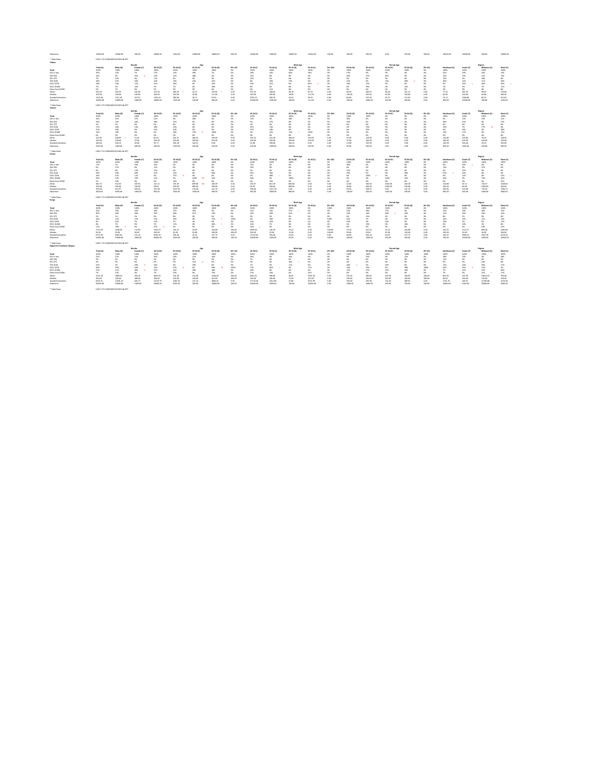| Maximum                   | 10000.00  | 10000.00                         | 500.00     | 10000.00  | 1000.00   | 10000.00  | 10000.00  | 500.00    | 10000.00  | 1000.00   | 10000.00        | 10000.00  | 100.00       | 500.00    | 500.00    | 0.00              | 250.00    | 500.00    | 10000.00             | 10000.00  | 500.00     | 10000.00 |
|---------------------------|-----------|----------------------------------|------------|-----------|-----------|-----------|-----------|-----------|-----------|-----------|-----------------|-----------|--------------|-----------|-----------|-------------------|-----------|-----------|----------------------|-----------|------------|----------|
| * Table Base:             |           | LIKELY TO CONSIDER BUYING AN NFT |            |           |           |           |           |           |           |           |                 |           |              |           |           |                   |           |           |                      |           |            |          |
| Videos                    |           |                                  |            |           |           |           |           |           |           |           |                 |           |              |           |           |                   |           |           |                      |           |            |          |
|                           |           |                                  | Gender     |           |           | Age       |           |           |           |           | <b>Male Age</b> |           |              |           |           | <b>Female Age</b> |           |           |                      |           | Region     |          |
|                           | Total (A) | Male (B)                         | Female (C) | 18-34 (D) | 35-44 (E) | 45-54 (F) | 55-64 (G) | 65+ (H)   | 18-34 (I) | 35-44 (J) | 45-54 (K)       | 55-64 (L) | 65+ (M)      | 18-34 (N) | 35-44 (O) | 45-54 (P)         | 55-64 (Q  | 65+ (R)   | Northeast (S)        | South (T) | Midwest (U | West (V) |
| Total                     | 100%      | 100%                             | 100%       | 100%      | 100%      | 100%      | 100%      | 0%        | 100%      | 100%      | 100%            | 100%      | 0%           | 100%      | 100%      | 100%              | 100%      | 0%        | 100%                 | 100%      | 100%       | 100%     |
| \$25 or less              | 19%       | 22%                              | 7%         | 17%       | 14%       | 39%       | 7%        | 0%        | 18%       | 16%       | 64%             | 18%       | 0%           | 13%       | 9%        | 0%                | 0%        | 0%        | 32%                  | 19%       | 16%        | 13%      |
| \$26-\$50                 |           | 9%                               | 35%        | 14%       | 12%       | 38%       | 0%        | . U%      | 12%       | 6%        | 9%              | 0%        | 0%           | 26%       | 37%       | 85%               | <b>0%</b> | 0%        | 10%                  | 15%       | 21%        | 15%      |
| \$51-\$75                 |           | 10%                              | 0%         | 11%       | 4%        | 0%        | 0%        | -0%       | 14%       | 5%        | 0%              | 0%        | 0%           | 0%        | - 0%      | 0%                | 0%        | 0%        | 15%                  | 3%        | 18%        | 0%       |
| \$76-\$100                |           | 13%                              | 34%        | 14%       | 16%       | 22%       | 42%       | -0%       | 8%        | 20%       | 27%             | 0%        | 0%           | 41%       | - 0%      | 15%               | 69%       | 0%        | 36%                  | 14%       | 11%        | 18%      |
| \$101-\$250               | 28%       | 34%                              | 11%        | 31%       | 36%       | 0%        | 32%       | 0%        | 33%       | 41%       | 0%              | 82%       | 0%           | 20%       | 15%       | 0%                | 0%        | 0%        | 0%                   | 35%       | 28%        | 36%      |
| \$251-\$1000              |           | 5%                               | 14%        | 7%        | 7%        | 0%        | 18%       | -0%       | 9%        | 0%        | 0%              | 0%        |              | 0%        | 39%       | 0%                | 31%       | 0%        | 7%                   | 5%        | 7%         | 11%      |
| More than \$1000          | 5%        | 7%                               | 0%         | 5%        | 9%        | 0%        | 0%        | 0%        | 6%        | 11%       | 0%              | 0%        | 0%           | 0%        | 0%        | 0%                | 0%        | 0%        | 0%                   | 8%        | 0%         | 8%       |
| Mean                      | 345.49    | 402.35                           | 165.46     | 472.56    | 286.29    | 42.12     | 133.92    | 0.00      | 551.35    | 248.64    | 38.18           | 92.33     | 0.00         | 96.28     | 446.07    | 48.26             | 161.12    | 0.00      | 77.61                | 661.95    | 99.03      | 276.69   |
| Median                    | 100.00    | 100.00                           | 100.00     | 100.00    | 200.00    | 30.00     | 111.00    | 0.00      | 100.00    | 200.00    | 18.00           | 111.00    | 0.00         | 100.00    | 250.00    | 50.00             | 100.00    | 0.00      | 60.00                | 100.00    | 60.00      | 200.00   |
| <b>Standard Deviation</b> | 1323.60   | 1511.56                          | 257.01     | 1762.44   | 389.09    | 36.71     | 93.91     | 0.00      | 1935.12   | 360.70    | 44.01           | 59.02     | 0.00         | 66.80     | 575.18    | 29.72             | 115.65    | 0.00      | 73.12                | 2180.85   | 82.52      | 351.63   |
| Maximum                   | 10000.00  | 10000.00                         | 1000.00    | 10000.00  | 1200.00   | 100.00    | 300.00    | 0.00      | 10000.00  | 1200.00   | 100.00          | 111.00    | 0.00         | 200.00    | 1000.00   | 100.00            | 300.00    | 0.00      | 300.00               | 10000.00  | 300.00     | 1200.00  |
| * Table Base:             |           | LIKELY TO CONSIDER BUYING AN NFT |            |           |           |           |           |           |           |           |                 |           |              |           |           |                   |           |           |                      |           |            |          |
| <b>Tweets</b>             |           |                                  |            |           |           |           |           |           |           |           |                 |           |              |           |           |                   |           |           |                      |           |            |          |
|                           |           |                                  | Gender     |           |           | Age       |           |           |           |           | <b>Male Age</b> |           |              |           |           | <b>Female Age</b> |           |           |                      |           | Region     |          |
|                           | Total (A) | Male (B)                         | Female (C) | 18-34 (D) | 35-44 (E) | 45-54 (F) | 55-64 (G) | 65+ (H)   | 18-34 (I) | 35-44 (J) | 45-54 (K)       | 55-64 (L) | 65+ (M)      | 18-34 (N) | 35-44 (O) | 45-54 (P)         | 55-64 (Q  | 65+ (R)   | Northeast (S)        | South (T) | Midwest (U | West (V) |
| Total                     | 100%      | 100%                             | 100%       | 100%      | 100%      | 100%      | 100%      | 0%        | 100%      | 100%      | 100%            | 100%      | 0%           | 100%      | 100%      | 0%                | <b>0%</b> | 0%        | 100%                 | 100%      | 100%       | 100%     |
| \$25 or less              |           | 10%                              | 37%        | 22%       | 0%        | 28%       | 0%        |           | 14%       | 0%        | 28%             | 0%        | 0%           | 46%       | - 0%      | 0%                |           | 0%        | 0%                   | 13%       | 23%        | 21%      |
| \$26-\$50                 | 19%       | 13%                              | 44%        | 18%       | 31%       | -0%       | 0%        | <b>0%</b> | 5%        | 37%       | 0%              | 0%        |              | 54%       | - 0%      | 0%                | <b>0%</b> | 0%        | 46%                  | 15%       | 0%         | 27%      |
| \$51-\$75                 | -2%       | 3%                               | 0%         | 0%        | 8%        | 0%        | 0%        | 0%        | 0%        | 9%        | 0%              | 0%        | 0%           | 0%        | - 0%      | 0%                | <b>0%</b> | 0%        | 0%                   | 4%        | 0%         | 0%       |
| \$76-\$100                |           | 18%                              | 14%        | 18%       | 23%       |           | 0%        | -0%       | 25%       | 14%       | 0%              | 0%        |              | 0%        | 70%       | 0%                |           | 0%        | 32%                  | 7%        | 77%        | 0%       |
| \$101-\$250               |           | 39%                              | 6%         | 41%       | 20%       |           | 0%        |           | 57%       | 18%       | 0%              | 0%        |              | 0%        | 30%       | 0%                |           | 0%        | 0%                   | 43%       | 0%         | 38%      |
| \$251-\$1000              |           | 18%                              | 0%         |           | 18%       | 72%       | 100%      |           | 0%        | 22%       | 72%             | 100%      |              | 0%        |           | -0%               |           | 0%        | 23%                  | 17%       | 0%         | 13%      |
| More than \$1000          | -0%       | 0%                               | 0%         | 0%        | 0%        | -0%       | 0%        | -0%       | 0%        | 0%        | 0%              | 0%        |              | 0%        | - 0%      | 0%                | 0%        | 0%        | 0%                   | 0%        | 0%         |          |
| Mean                      | 143.30    | 168.95                           | 51.62      | 85.44     | 201.51    | 366.91    | 333.00    | 0.00      | 105.53    | 216.18    | 366.91          | 333.00    | n nn<br>v.vv | 32.39     | 129.83    | 0.00              | 0.00      | 0.00      | 116.80               | 165.80    | 79.42      | 148.92   |
| Median                    | 100.00    | 109.00                           | 37.00      | 100.00    | 100.00    | 500.00    | 333.00    | 0.00      | 109.00    | 100.00    | 500.00          | 333.00    | 0.00         | 37.00     | 100.00    | 0.00              | 0.00      | 0.00      | 100.00               | 109.00    | 100.00     | 150.00   |
| <b>Standard Deviation</b> | 184.06    | 200.10                           | 49.48      | 55.71     | 306.18    | 344.31    | 0.00      | 0.00      | 52.08     | 338.60    | 344.31          | 0.00      | 0.00         | 14.98     | 102.09    | 0.00              | 0.00      | 0.00      | 130.38               | 236.48    | 43.53      | 162.96   |
| Maximum                   | 1000.00   | 1000.00                          | 200.00     | 200.00    | 1000.00   | 500.00    | 333.00    | 0.00      | 200.00    | 1000.00   | 500.00          | 333.00    | 0.00         | 50.00     | 200.00    | 0.00              | 0.00      | 0.00      | 300.00               | 1000.00   | 100.00     | 500.00   |
| * Table Base:             |           | LIKELY TO CONSIDER BUYING AN NFT |            |           |           |           |           |           |           |           |                 |           |              |           |           |                   |           |           |                      |           |            |          |
| Essays                    |           |                                  |            |           |           |           |           |           |           |           |                 |           |              |           |           |                   |           |           |                      |           |            |          |
|                           |           |                                  | Gender     |           |           | Age       |           |           |           |           | <b>Male Age</b> |           |              |           |           | <b>Female Age</b> |           |           |                      |           | Region     |          |
|                           | Total (A) | Male (B)                         | Female (C) | 18-34 (D) | 35-44 (E) | 45-54 (F) | 55-64 (G) | 65+ (H)   | 18-34 (I) | 35-44 (J) | 45-54 (K)       | 55-64 (L) | 65+ (M)      | 18-34 (N) | 35-44 (O) | 45-54 (P)         | 55-64 (Q  | $65+ (R)$ | <b>Northeast (S)</b> | South (T) | Midwest (U | West (V) |
| <b>Total</b>              | 100%      | 100%                             | 100%       | 100%      | 100%      | 100%      | 100%      | 0%        | 100%      | 100%      | 100%            | 0%        | 0%           | 100%      | 100%      | 100%              | 100%      | 0%        | 100%                 | 100%      | 100%       | 100%     |
| \$25 or less              | 17%       | 7%                               | 29%        | 33%       | 0%        | 0%        | 0%        | 0%        | 15%       | 0%        | 0%              |           |              | 49%       | -0%       | 0%                | 0%        | 0%        | 0%                   | 43%       | 0%         |          |
| \$26-\$50                 |           | 11%                              | 0%         | 11%       |           |           |           |           | 25%       |           | 0%              |           |              |           |           |                   |           | 0%        | 13%                  | 0%        | 27%        |          |
| \$51-\$75                 |           | 0%                               | 13%        | 12%       | 0%        |           | 0%        |           | 0%        | 0%        | 0%              |           | 0%           | 22%       | -0%       | -0%               | 0%        | 0%        | 0%                   | 15%       | 0%         |          |
| \$76-\$100                | 29%       | 29%                              | 28%        | 31%       | 25%       |           | 58%       |           | 34%       | 30%       | 0%              |           |              | 29%       |           | 0%                | 58%       | 0%        | 67%                  | 20%       | 0%         |          |
| \$101-\$250               |           | 21%                              | 11%        | 0%        | 57%       | -0%       | 0%        | 0%        | 0%        | 48%       | 0%              |           |              | 0%        | 100%      | 0%                | 0%        | 0%        | 0%                   | 12%       | 0%         | 51%      |
| \$251-\$1000              | 20%       | 22%                              | 19%        | 12%       | 0%        | 100%      | 42%       | 0%        | 26%       | 0%        | 100%            | 0%        | 0%           | 0%        | 0%        | 100%              | 42%       | 0%        | 20%                  | 9%        | 73%        | 24%      |
| More than \$1000          | 5%        | 10%                              | 0%         | 0%        | 19%       | 0%        | 0%        | 0%        | 0%        | 23%       | 0%              | 0%        |              | 0%        | 0%        | 0%                | 0%        | 0%        | 0%                   | 0%        | 0%         | 25%      |
| Mean                      | 382.73    | 552.05                           | 187.65     | 132.12    | 705.49    | 895.90    | 183.39    | 0.00      | 234.57    | 813.19    | 800.00          | 0.00      | 0.00         | 42.83     | 183.87    | 1000.00           | 183.39    | 0.00      | 216.88               | 87.12     | 740.47     | 1028.60  |
| Median                    | 100.00    | 200.00                           | 100.00     | 58.00     | 200.00    | 800.00    | 100.00    | 0.00      | 90.00     | 200.00    | 800.00          | 0.00      | 0.00         | 58.00     | 200.00    | 1000.00           | 100.00    | 0.00      | 100.00               | 58.00     | 1000.00    | 200.00   |
| <b>Standard Deviation</b> | 709.48    | 911.97                           | 309.40     | 241.98    | 1207.95   | 133.48    | 141.15    | 0.00      | 338.66    | 1321.78   | 0.00            | 0.00      | 0.00         | 46.56     | 108.51    | 0.00              | 141.15    | 0.00      | 290.82               | 102.89    | 732.93     | 1290.21  |

*Maximum* 3000.00 3000.00 1000.00 900.00 3000.00 1000.00 300.00 0.00 900.00 3000.00 800.00 0.00 0.00 100.00 200.00 1000.00 300.00 0.00 900.00 300.00 1000.00 3000.00

\* Table Base: LIKELY TO CONSIDER BUYING AN NFT

| Songs                              |           |                                  |            |           |           |           |           |           |             |             |                 |           |         |            |            |                   |           |           |               |           |               |          |
|------------------------------------|-----------|----------------------------------|------------|-----------|-----------|-----------|-----------|-----------|-------------|-------------|-----------------|-----------|---------|------------|------------|-------------------|-----------|-----------|---------------|-----------|---------------|----------|
|                                    |           |                                  | Gender     |           |           | Age       |           |           |             |             | <b>Male Age</b> |           |         |            |            | <b>Female Age</b> |           |           |               |           | Region        |          |
|                                    | Total (A) | Male (B)                         | Female (C) | 18-34 (D) | 35-44 (E) | 45-54 (F) | 55-64 (G) | $65+ (H)$ | 18-34 (I)   | 35-44 (J)   | 45-54 (K)       | 55-64 (L) | 65+ (M) | 18-34 (N)  | 35-44 (O)  | 45-54 (P)         | 55-64 (Q) | $65+ (R)$ | Northeast (S) | South (T) | Midwest (U)   | West (V  |
| Total                              | 100%      | 100%                             | 100%       | 100%      | 100%      | 100%      | 100%      | 100%      | 100%        | 100%        | 100%            | 0%        | 100%    | 100%       | 100%       | 100%              | 100%      | 0%        | 100%          | 100%      | 100%          | 100%     |
| \$25 or less                       | 24%       | 20%                              | 32%        | 18%       | 27%       | 45%       | 0%        | 0%        | 11%         | 16%         | 57%             | 0%        |         | 32%        | 49%        | 27%               | 0%        | 0%        | 14%           | 29%       | 46%           | 13%      |
| \$26-\$50                          | 30%       | 30%                              | 28%        | 25%       | 28%       | 51%       | 23%       | 0%        | 25%         | 36%         | 43%             | ወ%        |         | 24%        | 10%        | 63%               | 23%       | 0%        | 21%           | 36%       | 16%           | 32%      |
| \$51-\$75                          | 2%        | 1%                               | 3%         | 0%        | 8%        | 0%        | 0%        | 0%        | 0%          | 5%          | 0%              | 0%        |         | 0%         | 14%        | 0%                | 0%        | 0%        | 8%            | 2%        | 0%            | 0%       |
| \$76-\$100                         |           | 13%                              | 21%        | 15%       | 20%       | 0%        | 37%       | 100%      | 6%          | 26%         | 0%              | -0%       | 100%    | 32%        | 7%         | 0%                | 37%       | 0%        | 32%           | 14%       | 11%           | 13%      |
| \$101-\$250                        |           | 10%                              | 7%         | 13%       | 7%        | 4%        | 0%        | 0%        | 14%         | 10%         | 0%              | 0%        |         | 10%        | 0%         | 10%               | 0%        | 0%        | 19%           | 4%        | 5%            | 12%      |
| \$251-\$1000                       | 8%        | 7%                               | 9%         | 7%        | 11%       | 0%        | 40%       | 0%        | 10%         | 7%          | 0%              | 0%        |         | 2%         | 19%        | 0%                | 40%       | 0%        | 6%            | 10%       | 2%            | 8%       |
| More than \$1000                   | 11%       | 18%                              | 0%         | 22%       | 0%        | 0%        | 0%        | 0%        | 34%         | 0%          | 0%              | 0%        | 0%      | 0%         | 0%         | 0%                | 0%        | 0%        | 0%            | 4%        | 19%           | 22%      |
| Mean                               | 1725.03   | 2648.28                          | 113.93     | 3244.57   | 164.13    | 36.49     | 164.89    | 100.00    | 4909.45     | 136.76      | 25.01           | 0.00      | 100.00  | 76.19      | 224.14     | 53.24             | 164.89    | $0.00\,$  | 126.31        | 2122.17   | 894.48        | 2285.80  |
| Median                             | 50.00     | 50.00                            | 50.00      | 100.00    | 45.00     | 50.00     | 100.00    | 100.00    | 200.00      | 45.00       | 15.00           | 0.00      | 100.00  | 50.00      | 50.00      | 50.00             | 100.00    | $0.00\,$  | 100.00        | 50.00     | 40.00         | 100.00   |
| <b>Standard Deviation</b>          | 6751.94   | 8365.04                          | 212.19     | 9226.33   | 306.46    | 42.24     | 157.73    | 0.00      | 11120.65    | 255.06      | 23.03           | 0.00      | 0.00    | 84.99      | 426.18     | 60.93             | 157.73    | 0.00      | 166.31        | 9968.22   | 1827.39       | 4219.00  |
| Maximum                            | 50000.00  | 50000.00                         | 1000.00    | 50000.00  | 1000.00   | 200.00    | 300.00    | 100.00    | 50000.00    | 1000.00     | 50.00           | 0.00      | 100.00  | 500.00     | 1000.00    | 200.00            | 300.00    | 0.00      | 700.00        | 50000.00  | 4400.00       | 10000.00 |
| * Table Base:                      |           | LIKELY TO CONSIDER BUYING AN NFT |            |           |           |           |           |           |             |             |                 |           |         |            |            |                   |           |           |               |           |               |          |
| <b>Apparel or footwear designs</b> |           |                                  |            |           |           |           |           |           |             |             |                 |           |         |            |            |                   |           |           |               |           |               |          |
|                                    |           |                                  | Gender     |           |           | Age       |           |           |             |             | <b>Male Age</b> |           |         |            |            | <b>Female Age</b> |           |           |               |           | <b>Region</b> |          |
|                                    | Total (A) | Male (B)                         | Female (C) | 18-34 (D) | 35-44 (E) | 45-54 (F) | 55-64 (G) | $65+ (H)$ | $18-34$ (I) | $35-44$ (J) | 45-54 (K)       | 55-64 (L) | 65+ (M) | $18-34(N)$ | $35-44(0)$ | 45-54 (P)         | 55-64 (Q) | $65+ (R)$ | Northeast (S) | South (T) | Midwest (U)   | West (V  |
| Total                              | 100%      | 100%                             | 100%       | 100%      | 100%      | 100%      | 100%      | 100%      | 100%        | 100%        | 100%            | 100%      | 0%      | 100%       | 100%       | 100%              | 100%      | 100%      | 100%          | 100%      | 100%          | 100%     |
| \$25 or less                       | 22%       | 27%                              | 15%        | 26%       | 20%       | 21%       | 10%       | 0%        | 39%         | 9%          | 44%             | 0%        | 0%      | 9%         | 35%        | 0%                | 22%       | 0%        | 28%           | 23%       | 0%            | 30%      |
| \$26-\$50                          | 2%        | 3%                               | 0%         | 4%        | 0%        | 0%        | 0%        | 0%        | 7%          | 0%          | 0%              | 0%        |         | 0%         | 0%         | 0%                | 0%        | 0%        | 11%           | 0%        | 0%            | 0%       |
| \$51-\$75                          | 3%        | 5%                               | 0%         | 0%        | 0%        | 21%       | 0%        | 0%        | 0%          | 0%          | 44%             | 0%        |         | 0%         | 0%         | 0%                | 0%        | 0%        | 0%            | 0%        | 16%           | 0%       |
| \$76-\$100                         |           | 5%                               | 29%        | 24%       | 0%        | 29%       | 0%        | 0%        | 7%          | 0%          | 11%             | 0%        |         | 46%        | 0%         | 45%               | 0%        | 0%        | 12%           | 10%       | 30%           | 17%      |
| \$101-\$250                        | 28%       | 35%                              | 18%        | 15%       | 47%       | 0%        | 60%       | 100%      | 17%         | 66%         | 0%              | 77%       | 0%      | 14%        | 19%        | 0%                | 38%       | 100%      | 34%           | 45%       | 15%           | 2%       |
| \$251-\$1000                       | 23%       | 11%                              | 38%        | 23%       | 24%       | 29%       | 18%       | 0%        | 18%         | 8%          | 0%              | 0%        | 0%      | 31%        | 47%        | 55%               | 40%       | 0%        | 7%            | 22%       | 19%           | 40%      |
| More than \$1000                   | 7%        | 13%                              | 0%         | 7%        | 10%       | 0%        | 13%       | 0%        | 13%         | 16%         | 0%              | 23%       | 0%      | 0%         | 0%         | 0%                | 0%        | 0%        | 7%            | 0%        | 21%           | 11%      |
| Mean                               | 2241.29   | 3809.43                          | 283.16     | 3810.45   | 704.39    | 132.06    | 1548.20   | 200.00    | 6461.51     | 990.85      | 46.65           | 2495.46   | 0.00    | 291.05     | 289.81     | 209.56            | 358.95    | 200.00    | 854.90        | 241.93    | 10812.62      | 790.48   |
| Median                             | 200.00    | 200.00                           | 189.00     | 100.00    | 200.00    | 100.00    | 222.00    | 200.00    | 100.00      | 200.00      | 75.00           | 222.00    | 0.00    | 100.00     | 250.00     | 300.00            | 200.00    | 200.00    | 90.00         | 200.00    | 150.00        | 259.00   |
| <b>Standard Deviation</b>          | 9323.51   | 12391.23                         | 305.17     | 13119.75  | 1485.34   | 123.14    | 3686.43   | 0.00      | 17170.46    | 1914.96     | 47.86           | 5252.99   | 0.00    | 359.03     | 335.90     | 122.04            | 389.91    | 0.00      | 2752.79       | 269.31    | 21785.88      | 1576.48  |
| Maximum                            | 50000.00  | 50000.00                         | 1000.00    | 50000.00  | 5000.00   | 300.00    | 10000.00  | 200.00    | 50000.00    | 5000.00     | 100.00          | 10000.00  | 0.00    | 1000.00    | 1000.00    | 300.00            | 700.00    | 200.00    | 10000.00      | 1000.00   | 50000.00      | 5000.00  |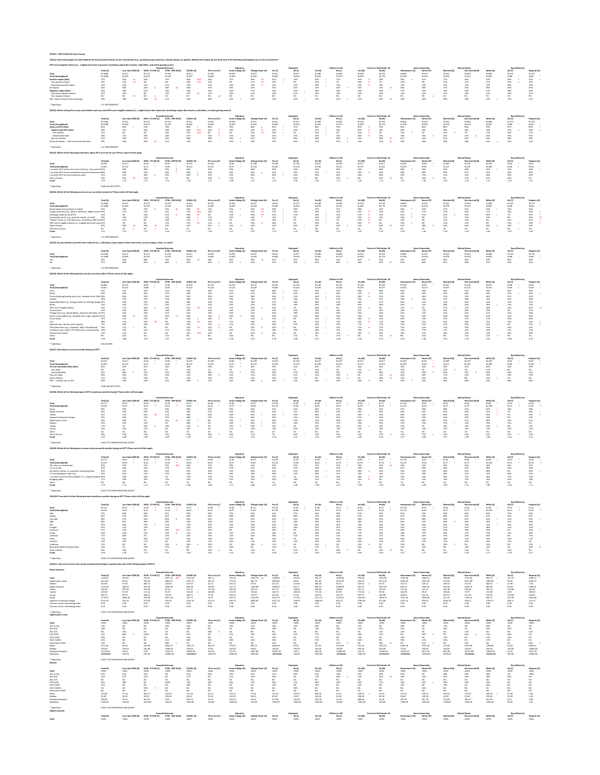QS1Q1: New technologies are often debated for their potential impact on the environment (e.g., greenhouse gas emissions, climate change, air quality). What kind of impact do you think each of the following technologies has

# **NFTs (non-fungible tokens) (i.e., a digital asset that represents something unique like artwork, collectibles, and online gaming assets)**

\* Table Base: U.S. RESPONDENTS

# **QS1Q2: Before taking this survey, how familiar were you with NFTs (non-fungible tokens) (i.e., a digital asset that represents something unique like artwork, collectibles, or online gaming assets)?**

\* Table Base: U.S. RESPONDENTS

# **QS1Q3: Which of the following statements about NFTs are true for you? Please select all that apply.**

\* Table Base: FAMILIAR WITH NFTs

\* Table Base: U.S. RESPONDENTS

# **QS1Q5: Do you consider yourself to be a collector (i.e., collecting a large amount of the same items, such as stamps, shoes, or coins)?**

\* Table Base: U.S. RESPONDENTS

# **QS1Q6: Which of the following items do you currently collect? Please select all that apply.**

\* Table Base: COLLECTORS

# **QS1Q7: How likely are you to consider buying an NFT?**

# **QS1Q8: Which of the following types of NFTs would you consider buying? Please select all that apply.**

|                              |           |                     |                     | <b>Household Income</b> |              |                | Education        |             |           |           |           | <b>Children in HH</b> |           | <b>Parent of Child Under 18</b> |           | <b>Home Ownership</b> |             | <b>Marital Status</b> |           | Race/Ethnici |              |
|------------------------------|-----------|---------------------|---------------------|-------------------------|--------------|----------------|------------------|-------------|-----------|-----------|-----------|-----------------------|-----------|---------------------------------|-----------|-----------------------|-------------|-----------------------|-----------|--------------|--------------|
|                              | Total (A) | Less than \$50K (B) | \$50K - \$74.9K (C) | \$75K - \$99.9K (L      | $$100K+ (E)$ | HS or Less (F) | Some College (G) | $Grad+ (H)$ | Yes (I,   | No (J)    | Yes (K)   | No (L)                |           | No (N)                          | Homeow    | Renter (P)            | Married (Q) | Not married (R)       | White (S) | AA (T)       | Hispanic (U) |
| <b>Total</b>                 | N=1088    | $N = 312$           | $N = 17$            | $N = 142$               | $N = 411$    | $N = 352$      |                  | $N = 257$   | $N = 611$ | $N = 477$ | $N = 398$ | $N = 690$             | $N = 354$ | $N = 734$                       | $N = 826$ | $N = 23/$             | $N = 525$   | $N = 563$             | $N = 686$ | $N = 122$    | N=175        |
| Total (Unweighted)           | N=1088    | $N = 383$           | N=229               | N=142                   | N=287        | $N = 283$      | N=300            | N=334       | N=585     | $N = 503$ | N=335     | N=753                 | $N = 309$ | N=779                           | $N = 798$ | N=264                 | N=578       | $N = 510$             | $N = 835$ | N=88         | N=80         |
| <b>Positive impact (Net)</b> |           | 26%                 | 18%                 | 15%                     | 36%          | 24%            |                  | 36%         | 35%       | 16%       | 43%       | 17%                   | 45%       | 18%                             |           |                       |             |                       | 23%       |              |              |
| Very positive impact         |           | 12%<br>- CD -       | 4%                  |                         | 20%          | 10%            | 6%               | 17%         | 19%       |           | , २%      |                       | 24%       |                                 |           |                       |             |                       | 11%       |              |              |
| Somewhat positive impact     |           | 14%                 | 14%                 | $1\%$                   |              | 14%            | 10%              | 19%         | 16%       | 12%       | 20%       | 10%                   | 22%       | 10%                             |           |                       |             |                       | 12%       |              |              |
| No impact                    |           | 36%                 |                     | 48%                     |              | 37%            |                  | 32%         | 37%       | 35%       | 25%       |                       |           |                                 | 36%       |                       | 37%         |                       | 39%       |              |              |
| <b>Negative impact (Net)</b> |           |                     | 14%                 |                         |              | 19%            |                  | 17%         | 15%       | 22%       | 18%       |                       |           | 19%                             |           |                       | 16%         |                       | 17%       | 18%          |              |
| Somewhat negative impacu     |           |                     |                     |                         |              |                |                  | 14%         | 10%       | 17%       | 13%       |                       |           |                                 |           |                       |             |                       |           |              |              |
| Very negative impact         |           | 9%                  |                     |                         |              |                | 4%               | 3%          |           |           |           |                       |           |                                 |           |                       |             |                       |           |              |              |
|                              |           | 18%                 | 26%                 |                         |              | 20%            |                  | 16%         | 13%       | 26%       | 15%       |                       | ∣⊰%       |                                 |           |                       |             |                       |           |              |              |

\* Table Base: LIKELY TO CONSIDER BUYING AN NFT

|                                 |           |                     | <b>Household Income</b> |                     |           |  |                       | Educatio         |           |           | спрюуе    |           | Children in HH |           | <b>Parent of Child Under 18</b> |               | <b>Home Ownership</b> |             | <b>Aarital Status</b> |           | Race/Ethnicit |              |
|---------------------------------|-----------|---------------------|-------------------------|---------------------|-----------|--|-----------------------|------------------|-----------|-----------|-----------|-----------|----------------|-----------|---------------------------------|---------------|-----------------------|-------------|-----------------------|-----------|---------------|--------------|
|                                 | Total (A) | Less than \$50K (B) | \$50K - \$74.9K (C)     | \$75K - \$99.9K (D) | \$100K+(I |  | <b>HS or Less (F)</b> | Some College (G) |           |           | No (J)    | Yes (K)   | No (L)         |           | No (N)                          | Homeowner (O) | Renter (P)            | Married (Q) | Not married (R)       | White (S) | AA (T)        | Hispanic (U) |
| <b>Total</b>                    | N=1088    | $N = 312$           | $N = 174$               | N=142               | $N = 41$  |  | $N = 352$             |                  | $N = 257$ | $N = 611$ | $N = 477$ | N=398     | N=690          | N=354     | N=734                           |               | N=237                 | N=525       | N=563                 |           | $N = 122$     | N=175        |
| <b>Total (Unweighted)</b>       | N=1088    | $N = 383$           | $N = 229$               | $N = 142$           | N=287     |  | $N = 283$             | N=300            | $N = 334$ | N=585     | $N = 503$ | $N = 335$ | N=753          | $N = 309$ | $N = 779$                       | $N = 798$     | $N = 264$             | N=578       | $N = 510$             | $N = 835$ | $N = 88$      |              |
| <b>Aware of NFTs (Net)</b>      |           |                     | 74%                     |                     |           |  | 80%                   |                  | 84%       | 87%       | 74%       | 85%       | 79%            | 87%       | 78%                             |               |                       |             |                       |           |               |              |
| <b>Familiar with NFTs (Net)</b> |           |                     |                         | 35%                 | 48%       |  | 42%                   | 26%              | 42%       | 52%       | 25%       |           | 30%            | 61%       | 30%                             | 40%           | 40%                   |             |                       |           |               | 50%          |
| Very familiar                   |           | 6%                  | 6%                      | 10%                 | 21%       |  | 8%                    | 3%               |           | 19%       |           |           |                |           |                                 |               |                       |             |                       |           |               |              |
| Somewhat familiar               | 28%       |                     | 26%                     |                     |           |  | 34%                   |                  | 26%       | 32%       | 23%       |           |                | ახ%       | 24%                             |               |                       |             |                       |           |               |              |
| Not very familiar               |           | 44%                 | 41%                     | 44%                 | 38%       |  | 38%                   |                  | 42%       | 35%       | 49%       | 28%       | 49%            |           |                                 |               |                       |             |                       |           |               |              |
| - Not at all familia            |           |                     |                         |                     | 14%       |  | 20%                   | 24%              | 16%       | 13%       | 26%       | 15%       |                | 13%       |                                 | 19%           |                       |             |                       |           |               |              |

# **QS1Q9: Which of the following are reasons why you would consider buying an NFT? Please select all that apply.**

|                                                                |           |                     |                     | <b>Household Income</b> |                   |                | Education        |                   |           | <b>Employer</b> |           | Children in HH |           |           |           | <b>Home Ownership</b> |             | <b>Marital Status</b> |           | Race/Ethnicity |              |
|----------------------------------------------------------------|-----------|---------------------|---------------------|-------------------------|-------------------|----------------|------------------|-------------------|-----------|-----------------|-----------|----------------|-----------|-----------|-----------|-----------------------|-------------|-----------------------|-----------|----------------|--------------|
|                                                                | Total (A) | Less than \$50K (B) | \$50K - \$74.9K (C) | \$75K - \$99.9K (D      | <b>\$100K+(E)</b> | HS or Less (F) | Some College (G) | College Grad+ (H) | Yes (I)   | No (J)          | Yes (K)   | No (L)         | Yes (M)   | No (N)    |           | Renter (P)            | Married (O) | Not married (R)       | White (S) | AA (T)         | Hispanic (U) |
| <b>Total</b>                                                   | N=434     | $N = 117$           | N=56                | $N=50$                  | $N = 197$         | $N = 148$      | N=90             | $N = 109$         | $N = 316$ | $N = 118$       | $N = 227$ | $N = 207$      | $N = 217$ | $N = 217$ | $N = 334$ | N=94                  | $N = 209$   | $N = 225$             | $N = 243$ | N=62           | $N = 87$     |
| <b>Total (Unweighted)</b>                                      |           | $N = 122$           | $N = 71$            | $N = 43$                | $N = 152$         | $N = 101$      | $N = 75$         | $N = 120$         | $N = 292$ | $N = 110$       | N=190     | $N = 212$      | $N = 177$ | $N = 225$ | N=299     | N=96                  | $N = 211$   | $N = 191$             | N=286     | N=46           | $N = 38$     |
| I consider NFTs to be a short-term fad (e.g., they won't b 42% |           |                     | 48%                 |                         |                   | 40%            |                  |                   |           | 34%             | 42%       | 43%            | 44%       | 40%       | 48%       | 26%                   |             | 38%                   |           | 24%            | 50%          |
|                                                                |           |                     |                     | 49%                     |                   |                | 26%              | 43%               | 43%       | 26%             |           | 24%            |           | 26%       | 38%       | 39%                   | 39%         |                       |           | 34%            |              |
|                                                                |           |                     |                     |                         |                   | 23%            |                  |                   |           | 16%             | 35%       | 26%            |           | 26%       |           |                       |             |                       | 28%       |                |              |
| None of these                                                  |           |                     |                     |                         |                   | 23%            |                  |                   |           | 30%             | 8%        | 19%            | 6%        | 21%       | 9%        |                       |             |                       |           | 24%            |              |
| Count                                                          |           |                     |                     |                         |                   |                |                  |                   |           | 1.06            |           | 1.12           | 1.35      | 1.14      |           |                       | L.26        |                       |           |                |              |

|                                                                  |            |                     |                     | <b>Household Income</b> |                    |                       | Education        |                   |           | <b>Employed</b> |           | Children in HH |           | <b>Parent of Child Under 18</b> |               | <b>Home Ownership</b> |             | <b>Marital Status</b> |           | Race/Ethnicity |             |
|------------------------------------------------------------------|------------|---------------------|---------------------|-------------------------|--------------------|-----------------------|------------------|-------------------|-----------|-----------------|-----------|----------------|-----------|---------------------------------|---------------|-----------------------|-------------|-----------------------|-----------|----------------|-------------|
|                                                                  | Total (A)  | Less than \$50K (B) | \$50K - \$74.9K (C) | \$75K - \$99.9K (D)     | <b>\$100K+ (E)</b> | <b>HS or Less (F)</b> | Some College (G) | College Grad+ (H) | Yes (l)   | No (J)          | Yes (K)   | No (L)         | Yes (M)   | No (N)                          | Homeowner (O) | Renter (P)            | Married (Q) | Not married (R)       | White (S) | AA (T)         | Hispanic (U |
| <b>Total</b>                                                     | N=1088     | N=312               | N=174               | N=142                   | N=411              | $N = 352$             | N=350            | $N = 257$         | $N = 611$ | N=477           | $N = 398$ | $N=690$        | $N = 354$ | $N = 734$                       | N=826         | $N = 237$             | $N = 525$   | $N = 563$             | N=686     | $N = 122$      | N=175       |
| <b>Total (Unweighted)</b>                                        | $N = 1088$ | ו 383=N             | $N = 229$           | $N = 142$               | $N = 287$          | $N = 283$             | $N = 300$        | $N = 334$         | $N = 585$ | $N = 503$       | $N = 335$ | $N = 753$      | N=309     | $N = 779$                       | $N = 798$     | $N = 264$             | N=578       | $N = 510$             | $N = 835$ | $N = 88$       |             |
| Equity stocks (not employer-funded)                              | 24%        | 10%                 | 19%                 | 32%                     |                    | 11%                   |                  | 35%               | 28%       | 18%             | 27%       | 21%            | 28%       | 22%                             | 26%           |                       | 27%         | 21%                   | 25%       | 13%            |             |
| Cryptocurrencies (e.g., Bitcoin, Ethereum, Ripple, Litecoii 19%  |            | 17%                 |                     | 12%                     | 27%                | 16%                   |                  | 25%               |           | 10%             | 30%       | 13%            | 32%       | 13%                             |               | 17%                   | 21%         | 18%                   | 17%       | 16%            | 29%         |
| Exchange traded funds (ETFs)                                     |            | 9%                  | 14%                 |                         |                    | 9%                    |                  | 28%               |           | 11%             | 26%       | 15%            | 27%       | 15%                             | 21%           |                       | 22%         | 15%                   | 18%       | $1\%$          |             |
| Commodity stocks (e.g., precious metals, oil, beef)              |            |                     |                     |                         | 20%                | 11%                   |                  | 19%               |           | .9%             | 22%       | 13%            | 24%       | 13%                             | 19%           | 8%                    |             |                       | 15%       | 8%             |             |
| "Meme" stocks or viral stocks (e.g., GameStop, AMC Ent 12%       |            |                     | -8%                 | 14%                     |                    | 12%                   |                  | 12%               |           | 4%              |           |                |           | ጸ%                              | 13%           |                       | 12%         | 13%                   | -9%       | 14%            |             |
| NFTs (non-fungible tokens) (i.e., a digital asset that repre 12% |            |                     | 8%                  |                         |                    |                       | 4%               | 12%               |           |                 | 24%       | 4%             | 26%       |                                 | 13%           | 6%                    |             | 11%                   | 8%        | 15%            | 18%         |
| None of these                                                    |            | 59%                 |                     |                         |                    | 55%                   |                  |                   |           | 62%             | 29%       | 54%            |           | 54%                             | 41%           | 58%                   | 44%         | 46%                   | 49%       | 45%            |             |
| Decline to answer                                                |            | 4%                  |                     |                         |                    | 5%                    |                  |                   |           |                 |           |                |           | 50%                             |               |                       |             | 5%                    | 3%        | 9%             |             |
| Count                                                            |            | 1.31                | 1.37                | 1.49                    |                    | 1.30                  | 1.37             | 1.67              | 1.73      | 1.22            | 1.84      | 1.31           | 1.87      | 1.33                            | 1.59          |                       | 1.58        | 1.44                  | 1.44      | 1.29           | 1.82        |

\* Table Base: LIKELY TO CONSIDER BUYING AN NFT

# **QS1Q10: From which of the following brands would you consider buying an NFT? Please select all that apply.**

|                           |                                 |           |       | Household Income |       |           | Education                                                                                                     |           |           | Employed  |           | Children in HH |           | <b>Parent of Child Under 18</b> |               | <b>Home Ownership</b> |                    | <b>Marital Status</b>     |           | <b>Race/Ethnicity</b> |     |
|---------------------------|---------------------------------|-----------|-------|------------------|-------|-----------|---------------------------------------------------------------------------------------------------------------|-----------|-----------|-----------|-----------|----------------|-----------|---------------------------------|---------------|-----------------------|--------------------|---------------------------|-----------|-----------------------|-----|
|                           | <b>\$100K+ (E)</b><br>Total (A) |           |       |                  |       |           |                                                                                                               |           |           | No(J)     | Yes (K)   | No (L)         | Yes (M)   | No(N)                           | Homeowner (O) | Renter (P)            | <b>Married (Q)</b> | Not married (R) White (S) |           | AA (T) Bispanic (U)   |     |
| <b>Total</b>              | N=1088                          | $N = 312$ | N=174 | $N = 142$        | N=411 | $N = 352$ | $N = 350$                                                                                                     | $N=257$   | $N = 611$ | $N = 477$ | $N = 398$ | $N = 690$      | $N = 354$ | $N = 734$                       | N=826         | N=237                 | $N = 525$          | $N = 563$                 | $N = 686$ | $N=122$ $N=175$       |     |
| <b>Total (Unweighted)</b> | N=1088                          | $N = 383$ | N=229 | $N = 142$        | N=287 | $N = 283$ | $N = 300$                                                                                                     | $N = 334$ | $N = 585$ | $N = 503$ | $N = 335$ | $N = 753$      | $N = 309$ | $N=779$                         | N=798         | $N = 264$             | $N = 578$          | $N = 510$                 | $N = 835$ | $N=88$ * $N=80$ *     |     |
| Yes                       |                                 |           | 38%   |                  |       |           | 34%       50%   cD    38%       39%       49%   fg    53%   J    30%       59%  L    34%       64%   N    33% |           |           |           |           |                |           |                                 | 45%           | 40%                   | 44%                | 42%                       | 43%       | 48%                   | 48% |
|                           |                                 |           |       |                  |       |           | 66% E 50%      62% h 61% h 51%     47%       70% l 41%      66% K 36%       36%                               |           |           |           |           |                |           | 67% M 55%                       |               | $60\%$                | 56%                | 58% 1999                  |           | 57% 52% 52% 52%       |     |

|                                                                 |           |                     |                            | <b>Household Income</b> |              |                       |                 | Education |                   |           | Employed  |           | <b>Children in HH</b> |           | <b>Parent of Child Under 18</b> |               | <b>Home Ownership</b> |             | <b>Marital Status</b> |           | Race/Ethnicity |              |  |
|-----------------------------------------------------------------|-----------|---------------------|----------------------------|-------------------------|--------------|-----------------------|-----------------|-----------|-------------------|-----------|-----------|-----------|-----------------------|-----------|---------------------------------|---------------|-----------------------|-------------|-----------------------|-----------|----------------|--------------|--|
|                                                                 | Total (A) | Less than \$50K (B) | <b>\$50K - \$74.9K (C)</b> | \$75K - \$99.9K (D)     | $$100K+ (E)$ | <b>HS or Less (F)</b> | Some College (G |           | College Grad+ (H) | Yes (l)   | No(1)     | Yes (K)   | No (L)                | Yes (M)   | No (N)                          | Homeowner (O) | Renter (P)            | Married (Q) | Not married (R)       | White (S) | AA (T)         | Hispanic (U) |  |
| <b>Total</b>                                                    | $N = 468$ | $N = 133$           | N=67                       | N=49                    | N=205        | $N = 135$             | $N = 135$       |           | N=125             | $N = 324$ | $N = 144$ | $N = 236$ | $N = 231$             | $N = 228$ | $N = 240$                       | $N = 369$     | N=95                  | $N = 231$   | $N = 236$             | $N = 291$ | $N = 58$       | N=83         |  |
| <b>Total (Unweighted)</b>                                       |           |                     |                            |                         | $N = 144$    | $N = 120$             | N=114           |           | N=140             | $N = 300$ | $N = 162$ | $N = 196$ | $N = 266$             | N=191     | $N = 271$                       | $N = 343$     | $N = 113$             | $N = 252$   | $N = 210$             | $N = 351$ |                |              |  |
|                                                                 |           |                     |                            |                         | 54%          | 44%                   | 57%             |           | 56%               | 58%       | 43%       | 55%       |                       |           |                                 |               |                       | 56%         |                       | 54%       |                |              |  |
| Shoes                                                           |           |                     | 26%                        |                         | 39%          | 34%                   |                 |           | 27%               | 39%       |           | 42%       |                       |           |                                 |               |                       |             |                       | 28%       |                |              |  |
| Physical playing/trading cards (e.g., baseball cards, Poké 28%  |           |                     | 22%                        | 34%                     | 29%          | 29%                   |                 |           | 28%               | 34%       | L5%       | 34%       |                       |           |                                 |               |                       |             |                       | 26%       |                |              |  |
| Stamp:                                                          |           |                     |                            |                         | 28%          |                       |                 |           |                   | 32%       |           | 33%       |                       |           |                                 |               |                       |             |                       |           |                |              |  |
| Apparel/fashion (e.g., vintage jewelry or clothing, design 25%  |           |                     |                            |                         |              | 26%                   |                 |           |                   | .7%       |           | 28%       |                       |           |                                 |               |                       |             |                       | 22%       |                |              |  |
|                                                                 |           | 24%                 | 27%                        | 32%                     |              | 23%                   |                 |           |                   | 22%       |           | 20%       |                       |           |                                 |               |                       |             |                       | 28%       |                |              |  |
| NFTs (non-fungible tokens)                                      |           |                     |                            |                         |              |                       |                 |           |                   |           |           |           |                       |           |                                 |               |                       |             |                       | 18%       |                |              |  |
| Vinyl records                                                   |           |                     | 26%                        | 16%                     | 22%          | 24%                   | 24%             |           | 16%               | 22%       |           | 19%       |                       |           |                                 |               |                       |             |                       | 23%       |                |              |  |
| Vintage toys (e.g., Beanie Babies, American Girl Dolls, Ho 22%  |           |                     | 23%                        |                         |              | 19%                   |                 |           |                   |           |           | 24%       |                       |           |                                 |               |                       |             |                       | 21%       |                |              |  |
| Sports memorabilia (e.g., baseball mitts, signs, signed for 21% |           |                     | 13%                        |                         |              | 24% ·                 |                 |           |                   |           |           |           |                       |           |                                 |               |                       |             |                       |           |                |              |  |
| Comic books                                                     |           |                     |                            |                         | 24%          | 18%                   |                 |           | 24%               |           |           |           |                       |           |                                 |               |                       |             |                       | 17%       |                |              |  |
| Cars                                                            |           |                     |                            |                         | 23%          | 16%                   |                 |           | L8%               | '3%       |           | 23%       |                       |           |                                 |               |                       |             |                       | 14%       |                |              |  |
| Figurines (e.g., Barbie, action figures)                        | 17%       | 20%                 | 20%                        | 10%                     | 16%          | 23%                   | 11%             |           | 16%               | 18%       |           | 16%       |                       |           |                                 |               |                       |             |                       | 16%       |                | 7%           |  |
| Tech/electronics (e.g., Gameboy, SEGA, Nintendo 64) 16%         |           |                     |                            |                         | 22%          |                       |                 |           |                   |           |           |           |                       |           |                                 |               |                       |             |                       | 13%       |                |              |  |
| Containers (e.g., bowls, PEZ dispensers, jewelry boxes) 16%     |           | 19%                 | 12%                        |                         | 16%          | 13%                   | L4%             |           |                   | L8%.      |           | 18%       |                       |           |                                 |               |                       |             |                       | 16%       |                |              |  |
| Musical instruments                                             |           | 11%                 |                            |                         | 24%          | 12%                   |                 |           | 22%               | L9%       |           |           |                       |           |                                 |               |                       |             |                       | 14%       |                |              |  |
| Other                                                           |           |                     |                            |                         |              |                       |                 |           |                   |           |           |           |                       |           |                                 |               |                       |             |                       |           |                |              |  |
| Count                                                           |           |                     |                            |                         |              |                       |                 |           |                   |           |           |           |                       |           |                                 |               |                       |             |                       |           |                |              |  |

\* Table Base: LIKELY TO CONSIDER BUYING AN NFT

### **QS1Q11: How much of your own money would you be willing to spend to buy each of the following types of NFTs?**

|                                |           |                     |          | <b>Household Income</b>        |            |                       | Educatior        |           |           |           |           | <b>Children in HH</b> |           | d Under 18 |           | <b>Home Ownership</b> |                   | <b>Marital Status</b> |           | Race/Ethnicity |             |
|--------------------------------|-----------|---------------------|----------|--------------------------------|------------|-----------------------|------------------|-----------|-----------|-----------|-----------|-----------------------|-----------|------------|-----------|-----------------------|-------------------|-----------------------|-----------|----------------|-------------|
|                                | Total (A) | Less than \$50K (B) |          | <sup>ሩ</sup> 75К - \$99.9К (D) | \$100K+ (E | <b>HS or Less (F)</b> | Some College (G) |           |           |           | Yes (K)   | No (L)                | Yes (M)   | No (N)     |           | Renter l              | <b>Married (Q</b> | Not married (R)       | White (S) | AA (T)         | Hispanic (U |
| <b>Total</b>                   | $N = 434$ | N=117               | N=56     | $N=50$                         | N=197      | $N = 148$             | N=90             | N=109     | $N = 316$ | $N = 118$ | $N = 227$ | $N = 207$             | $N = 217$ | $N = 217$  | N=334     | N=94                  | $N = 209$         | $N = 225$             | $N = 243$ | $N = 62$       | N=87        |
| <b>Total (Unweighted)</b>      | $N = 402$ | $N = 122$           | $N = 71$ | $N = 43$                       | $N = 152$  | $N = 101$             | N=75             | $N = 120$ | $N = 292$ | $N = 110$ | $N = 190$ | $N = 212$             | $N = 177$ | $N = 225$  | $N = 299$ | N=96                  | $N = 211$         | $N = 191$             | $N = 286$ | N=46           |             |
| At least somewhat likely (Net) | 40%       | 45%                 | 35%      | 36%                            | 38%        | 33%                   |                  |           |           |           |           |                       |           | 36%        |           |                       |                   | 41%                   |           | 50%            |             |
| Very likely                    |           |                     |          |                                |            |                       |                  |           |           |           |           |                       |           |            |           |                       |                   | 4%                    |           | 8%             |             |
| Somewhat likely                | 31%       | 4በ%                 |          |                                | /5%        | 28%                   |                  |           |           |           |           |                       |           | 30%        | 25%       | 49%                   | <b>24%</b>        |                       | -29%      |                |             |
| Not very likely                | 20%       |                     | 22%      |                                |            | 28%                   |                  |           |           |           |           |                       |           |            |           |                       |                   |                       | 22%       | 19%            |             |
| Not at all likely              | 11%       | 10%                 | 19%      |                                |            | 13%                   |                  |           |           |           | 4%        |                       |           | 18%        | 12%       | 10%                   | 15%               | 8%                    |           | 2%             |             |
| $N/A - I$ already own an NFT   | 29%       | 19%                 | 24%      | 31%                            | 36%        |                       |                  |           |           |           |           |                       |           | 15%        |           |                       |                   | 28%                   | 23%       | 30%            |             |

|                             |           |                            |                     | <b>Household Income</b> |            |                |                  |                   |           | Employed |         | <b>Children in HH</b> |         | <b>Parent of Child Under 18</b> |               | <b>Home Ownership</b> |             | Marital Status  |           | Race/Ethnicity |              |
|-----------------------------|-----------|----------------------------|---------------------|-------------------------|------------|----------------|------------------|-------------------|-----------|----------|---------|-----------------------|---------|---------------------------------|---------------|-----------------------|-------------|-----------------|-----------|----------------|--------------|
|                             | Total (A) | <b>Less than \$50K (B)</b> | \$50K - \$74.9K (C) | \$75K - \$99.9K (D)     | \$100K+(E) | HS or Less (F) | Some College (G) | College Grad+ (H) | Yes (l)   | No (J)   | Yes (K) | No (L)                | Yes (M) | No (N)                          | Homeowner (O) | Renter (P)            | Married (Q) | Not married (R) | White (S) | AA (T)         | Hispanic (U) |
| <b>Total</b>                | $N = 173$ | $N=53$                     | $N=20$              | $1 = 18$                |            | $N = 48$       | $N = 48$         | $N = 50$          | $N = 123$ | $N = 49$ | $N=96$  | $N=77$                | N=95    | $N=77$                          | $N = 118$     | $N=51$                | N=81        | $N = 92$        | $N = 98$  | $N = 31$       | N=34         |
| Total (Unweighted)          | $N = 154$ | $N = 54$                   |                     |                         |            | N=41           | $N=37$           | $N = 48$          | $N = 116$ | $N = 38$ | N=8:    |                       | $N=78$  | N=76                            | $N = 110$     | N=42                  |             |                 | $N = 108$ | $N=21$         |              |
|                             | 36%       | 33%                        | <b>21%</b>          |                         |            | 30%            | 26%              | 36%               | 41%       | 22%      | -42%    |                       | 39%     | 31%                             | 37%           | 34%                   | 38%         |                 | 42%       |                |              |
| Digital artworks            |           |                            | <b>24%</b>          |                         |            |                |                  | 40%               | 44%       |          |         |                       |         | 30%                             | 36%           |                       |             |                 |           |                |              |
| Videos                      | 33%       | 21%                        |                     |                         |            | 20%            | 36%              | 42%               | 42%       | 10%      | 40%     | 23%                   | 10%     | 24%                             | 38%           | 24%                   |             |                 | 35%       |                |              |
| Apparel or footwear designs |           | 34%                        | 13%                 |                         |            | 31%            |                  | 26%               |           | 24%      | 31%     |                       | 31%     | 22%                             | 29%           |                       |             |                 | 33%       |                |              |
| Digital sports cards        | 26%       | 8% l                       |                     | 49%                     |            | 8%             |                  |                   |           | 14%      | 22%     |                       | 26%     | 25%                             |               | 28%                   |             |                 |           |                |              |
|                             | 19%       | l 5%                       | 13%                 |                         |            |                |                  | 30%               |           |          | 21%     | 17%                   | 19%     | 19%                             | 23%           | 13%                   |             |                 | 25%       |                |              |
|                             |           |                            |                     |                         |            |                |                  | 19%               |           |          | 22%     | 10%                   | 23%     | 10%                             |               |                       |             |                 |           |                |              |
|                             | 13%       | 10%                        | TT.XO               |                         |            |                |                  | 16%               | 14%       | 10%      | 14%     | 11%                   | 12%     | 14%                             | 13%           | 13%                   |             |                 | 13%       |                |              |
| Othe                        |           |                            |                     |                         |            |                |                  |                   |           |          | 0%      |                       |         |                                 |               |                       |             |                 |           |                |              |
| Not at all sure             | L8%.      | 21%                        | 14%                 | 23%                     |            | 32%            |                  |                   |           | 45%      | 13%     | 25%                   | 12%     | 27%                             | 12%           |                       | 13%         |                 | 12%       | 41%            |              |
| Count                       | 2.25      | 1.88                       | 1.98                | 2.09                    | 758        | 1.67           |                  | 2.53              | 2.54      |          | 2.45    |                       |         | 2.06                            |               | 2.06                  | 2.57        |                 | 2.58      |                |              |

|                                                               |           |                     |               | <b>Household Income</b> |            |                       | <b>Education</b> |             |           |        |          | Children in HH |         | <b>Parent of Child Under 18</b> |               | <b>Home Ownership</b> |             | <b>Marital Status</b> |           | Race/Ethnicit |                    |
|---------------------------------------------------------------|-----------|---------------------|---------------|-------------------------|------------|-----------------------|------------------|-------------|-----------|--------|----------|----------------|---------|---------------------------------|---------------|-----------------------|-------------|-----------------------|-----------|---------------|--------------------|
|                                                               | Total (A) | Less than \$50K (B) | - \$74.9K (C) | \$75К - \$99.9К (D)     | \$100K+(E) | <b>HS or Less (F)</b> | Some College (G) | Grad+ (H) - |           |        | Yes (K)  | No (L          | Yes (M) | No (N)                          | Homeowner (O) | Renter (P             | Married (Q) | Not married (R)       | White (S) | AA (T)        | <b>Hispanic (U</b> |
| Total                                                         | $N = 173$ | $N=53$              | N=20          | $N=18$                  | $N=7$      |                       |                  | N=50        | $N = 123$ | N=49   | $N = 96$ |                | N=95    | $N=77$                          | $N = 118$     | N=51                  | N=81        |                       |           |               |                    |
| <b>Total (Unweighted)</b>                                     | $N = 154$ | $N = 54$            | $N = 21$      | N=14                    | N=60       | N=41                  |                  | N=48        | $N = 116$ | $N=38$ | N=81     |                | J=78    | $N = 76$                        | $N = 110$     | $N=42$                | N=77        | $N=77$                | $N = 108$ | N=21          | N=16               |
| The return on investment                                      |           |                     | 21%           | 81%                     |            | 37%                   | 38%              | 41%         | 42%       | 33%    | 31%      |                |         |                                 | 34%           |                       |             |                       | 44%       |               |                    |
| I'm an art fan                                                |           | 44%                 | 42%           |                         |            | 42%                   |                  | 41%         | 40%       |        | 34% a    |                |         |                                 |               |                       | 40%         |                       | 39%       |               |                    |
| My family, friends, or coworkers are buying them              |           |                     |               |                         |            | 29%                   |                  | 28%         | 33%       | 22%    | iX‰      |                |         |                                 |               |                       | 28%         |                       | 28%       |               |                    |
| It's trendy/popular right now                                 |           |                     |               |                         |            | 35%                   |                  | 28%         | 28%       |        |          |                |         |                                 |               |                       | 28%         |                       | 32%       |               |                    |
| I consider myself an early adopter (i.e., using something 28% |           | 20%                 |               |                         |            | 14%                   | 27%              | 34%         | 37%       |        |          |                |         |                                 |               |                       | 36%         |                       | 35%       |               |                    |
| Bragging rights                                               |           | 18%                 | 32%           |                         |            | 11%                   | 22%              | 15%         | 16%       | 18%    | 21%      |                |         |                                 |               |                       | 19%         |                       | 16%       |               | 18%                |
| Other                                                         |           |                     |               |                         |            | በ%                    |                  |             |           |        |          |                |         |                                 |               |                       |             |                       | በ%        |               |                    |
| Count                                                         |           |                     |               |                         |            | 1.68                  |                  | 1.86        | 1.97      |        | 1.98     |                |         |                                 |               |                       | -85.        |                       |           |               |                    |

|                                 |           |                            |                     | <b>Household Income</b> |     |             |                | <b>Education</b> |                   |           | Employed |          | Children in HH |         | <b>Parent of Child Under 18</b> |             | <b>Home Ownership</b> |             | <b>Marital Status</b> |           | Race/Ethnicity |              |  |
|---------------------------------|-----------|----------------------------|---------------------|-------------------------|-----|-------------|----------------|------------------|-------------------|-----------|----------|----------|----------------|---------|---------------------------------|-------------|-----------------------|-------------|-----------------------|-----------|----------------|--------------|--|
|                                 | Total (A) | <b>Less than \$50K (B)</b> | \$50K - \$74.9K (C) | \$75K - \$99.9K (I      |     | \$100K+ (E) | HS or Less (F) | Some College (   | College Grad+ (H) | Yes (l)   | No (J)   | Yes (K)  | No (L)         | Yes (M) | No (N)                          | Homeowner ( | Renter (P)            | Married (Q) | Not married (R)       | White (S) | AA (T)         | Hispanic (U) |  |
| <b>Total</b>                    | $N = 173$ | $N = 53$                   | N=20                | N=18                    |     | N=7         | N=48           |                  |                   | $N = 123$ | $N=49$   | $N = 96$ | $N=77$         | N=95    | $N=77$                          | $N = 118$   | $N=51$                | $N = 81$    |                       | $N = 98$  |                | N=34         |  |
| <b>Total (Unweighted)</b>       | $N = 154$ | $N=54$                     | N=21                | N=14                    |     | N=60        | N=41           |                  | N=48              | $N = 116$ | $N=38$   | $N = 81$ | $N=73$         | ا∧=78   | $N=76$                          | $N = 110$   | N=42                  | $N=77$      |                       | $N = 108$ |                |              |  |
| Nike                            |           | 58%                        | 62%                 | 53%                     |     | 56%         | 50%            |                  | 52%               | 61%       | 47%      | 55%      | 59%            | 57%     | 55%                             | 53%         | 70%                   | 53%         |                       | 49%       |                |              |  |
| Adidas                          |           | 51%                        | 36%                 | 42%                     |     |             | 54%            |                  | 48%               | 48%       | 38%      | 47%      | 43%            | 45%     | 45%                             | 47%         | 44%                   | 49%         |                       | 47%       |                |              |  |
| Taco Bell                       |           | 27%                        | 54%                 | 69%                     |     |             | 35%            | 43%              | 31%               | 45%       | 20%      | 39%      | 36%            | 38%     | 37%                             | 35%         | 48%                   | 34%         |                       |           |                |              |  |
|                                 |           | 34%                        |                     | 49%                     |     |             | 30%            |                  |                   | 43%       | 18%      | 38%      | 34%            | 38%     | 34%                             | 40%         |                       | 48%         |                       | 35%       |                |              |  |
|                                 |           | 28%                        |                     | 51%                     |     |             | 29%            |                  | 29%               | 42%       | 10%      | 33%      | 34%            | 33%     | 34%                             | 35%         | 29%                   |             |                       |           |                |              |  |
| Pringles                        |           | 21%                        | 19%                 |                         |     |             | 25%            | 24%              | 22%               | 26%       | 18%      | 22%      | 25%            | 22%     | 26%                             | 23%         |                       | Z 1 70      |                       | 28%       |                |              |  |
| Formula 1                       |           | 15%                        | 6%                  | 60%                     |     | 21%         | 20%            | 8%               | 19%               | 28%       | 3%       | 23%      | 17%            | 23%     | 17%                             | 20%         | 24%                   | 22%         |                       | 23%       |                |              |  |
| Prada                           |           | 10%                        | 15%                 | 42%                     |     | 2 1 %       | 14%            |                  | 21%               | 26%       | 8%       | 19%      | 23%            | 17%     | 25%                             | 18%         | 27%                   | 25%         |                       | 23%       |                |              |  |
| Univision                       |           | 18%                        |                     | 14%                     |     |             | 15%            |                  | 16%               | 19%       | 12%      | 22%      | 11%            | 23%     | 11%                             | 19%         | 16%                   | 23%         |                       | 24%       |                |              |  |
| Yeezy                           |           | 20%                        |                     | 14%                     |     |             | 19%            | 25%              | 8%                | 23%       | 2% ـ     | 16%      | 19%            | 16%     | 19%                             | 20%         |                       |             |                       | 19%       |                |              |  |
| Charmin                         |           |                            |                     |                         |     |             | 11%            | 16%              | 12%               | 13%       | 13%      | 14%      | 13%            | L4%     | L3%                             | L3%.        | 14%                   |             |                       | 16%       |                |              |  |
| Vodafone                        |           |                            |                     | 30%                     | 20% |             | 10%            |                  | 24%               | 17%       |          | 20%      |                | 20%     |                                 |             |                       |             |                       |           |                |              |  |
| Bratz dolls (MGA Entertainment) |           |                            | 23%                 |                         |     |             | 13%            |                  | 6%                | 15%       |          | 17%      |                |         |                                 |             |                       |             |                       |           |                |              |  |
| None of these                   |           | 15%                        |                     |                         | 8%  |             | 19%            | 2%               | 14%               | 2%        | 31%      | 3%       | 18%            |         | 2%                              |             |                       | 6%          |                       | $1\%$     |                |              |  |
| Count                           | 3.56      | 3.18                       | 3.71                | 5.01                    |     | 3.49        | 3.43           |                  | 3.32              | 4.09      | 2.24     | 3.69     | 3.40           | 3.64    | 3.46                            | 3.57        | 3.71                  | 3.87        | 3.29                  | 3.77      | 2.39           |              |  |

| <b>Mean Summary</b>             |           |                                  |                            |                            |            |                       |                  |                   |           |          |         |                |         |                                 |             |                       |                    |                       |           |                |              |
|---------------------------------|-----------|----------------------------------|----------------------------|----------------------------|------------|-----------------------|------------------|-------------------|-----------|----------|---------|----------------|---------|---------------------------------|-------------|-----------------------|--------------------|-----------------------|-----------|----------------|--------------|
|                                 |           |                                  |                            | <b>Household Income</b>    |            |                       | <b>Education</b> |                   |           | Employed |         | Children in HH |         | Parent of Child Under 18        |             | <b>Home Ownership</b> |                    | <b>Marital Status</b> |           | Race/Ethnicity |              |
|                                 | Total (A) | Less than \$50K (B)              | \$50K - \$74.9K (C)        | \$75K - \$99.9K (D)        | \$100K+(E) | <b>HS or Less (F</b>  | Some College (G) | College Grad+ (H) | Yes (I)   | No (J)   | Yes (K) | No (L)         | Yes (M) | No (N)                          | Homeowner ( | Renter (P)            | Married (Q)        | Not married (R)       | White (S) | AA (T)         | Hispanic (U) |
| <b>Total</b>                    | 1215.87   | 813.81                           | 250.47                     | 3957.33                    | 1153.18    | 184.11                | 192.04           | 1585.78           | 1398.84   | 145.32   | 954.11  | 1665.88        | 976.26  | 1601.39                         | 1070.58     | 1640.41               | 768.68             | 1772.40               | 943.70    | 147.72         | 2040.72      |
| Digital sports cards            | 2411.61   | 85.92                            | 100.00                     | 4962.97                    | 2532.73    | 461.43                | 179.20           | 382.70            | 2849.83   | 69.92    | 267.82  | 4374.69        | 241.92  | 5232.34                         | 2029.36     | 3232.30               | 375.96             | 5073.08               | 2289.96   | 93.00          | 6058.57      |
| Memes                           | 144.94    | 47.40                            | 406.71                     | 100.00                     | 153.34     | 42.15                 | 193.12           | 47.60             | 131.01    | 225.03   | 208.30  | 49.31          | 228.10  | 43.70                           | 125.25      | 226.12                | 149.10             | 137.02                | 184.03    | 47.90          | 1.00         |
| Digital artworks                | 1252.28   | 180.03                           | 182.90                     | 5669.36                    | 878.58     | 196.92                | 147.73           | 1283.88           | 1386.02   | 96.31    | 588.44  | 2389.86        | 602.22  | 2287.00                         | 699.23      | 2569.24               | 631.66             | 2049.20               | 681.09    | 40.58          | 3490.21      |
| Videos                          | 345.49    | 997.90                           | 244.39                     | 92.50                      | 132.31     | 277.28                | 186.00           | 525.02            | 353.77    | 258.92   | 436.63  | 148.50         | 441.71  | 145.93                          | 371.40      | 252.13                | 160.18             | 595.83                | 185.12    | 170.86         | 161.82       |
| Tweets                          | 143.30    | 47.78                            | 171.42                     | 56.72                      | 163.35     | 100.00                | 112.40           | 155.81            | 144.70    | 100.00   | 172.50  | 59.94          | 172.50  | 59.94                           | 154.63      | 59.47                 | 194.66             | 79.97                 | 131.88    | 0.00           | 189.23       |
| Essays                          | 382.73    | 89.74                            | 448.51                     | 740.47                     | 464.71     | 17.59                 | 320.15           | 176.21            | 474.59    | 47.18    | 440.52  | 295.74         | 507.37  | 246.88                          | 448.04      | 225.76                | 567.91             | 221.44                | 478.34    | 270.83         | 246.63       |
| Songs                           | 1725.03   | 2846.49                          | 278.90                     | 6051.18                    | 332.72     | 76.31                 | 163.72           | 3136.49           | 2057.32   | 177.92   | 1512.15 | 2135.31        | 1630.87 | 1869.13                         | 1357.36     | 2658.83               | 321.49             | 3136.22               | 286.75    | 163.39         | 4491.68      |
| Apparel or footwear designs     | 2241.29   | 281.05                           | 273.50                     | 165.59                     | 4574.24    | 222.74                | 306.23           | 6834.82           | 2971.10   | 148.09   | 3088.92 | 645.75         | 3196.69 | 611.68                          | 2921.55     | 309.62                | 3636.29            | 538.51                | 3149.72   | 289.71         | 113.70       |
| Dummy row for maintaining order | 0.00      | 0.00                             | 0.00                       | 0.00                       | 0.00       | 0.00                  | 0.00             | 0.00              | 0.00      | 0.00     | 0.00    | 0.00           | 0.00    | 0.00                            | 0.00        | 0.00                  | 0.00               | 0.00                  | 0.00      | 0.00           | 0.00         |
| Dummy row for maintaining order | 0.00      | 0.00                             | 0.00                       | 0.00                       | 0.00       | 0.00                  | 0.00             | 0.00              | 0.00      | 0.00     | 0.00    | 0.00           | 0.00    | 0.00                            | 0.00        | 0.00                  | 0.00               | 0.00                  | 0.00      | 0.00           | 0.00         |
| * Table Base:                   |           | LIKELY TO CONSIDER BUYING AN NFT |                            |                            |            |                       |                  |                   |           |          |         |                |         |                                 |             |                       |                    |                       |           |                |              |
| Digital sports cards            |           |                                  |                            |                            |            |                       |                  |                   |           |          |         |                |         |                                 |             |                       |                    |                       |           |                |              |
|                                 |           |                                  |                            | <b>Household Income</b>    |            |                       | Education        |                   |           | Employed |         | Children in HH |         | Parent of Child Under 18        |             | <b>Home Ownership</b> |                    | <b>Marital Status</b> |           | Race/Ethnicity |              |
|                                 | Total (A) | Less than \$50K (I               | <b>\$50K - \$74.9K (C)</b> | \$75K - \$99.9K (D)        | \$100K+(E) | <b>HS or Less (F)</b> | Some College (G) | College Grad+ (H) | Yes (I)   | No (J)   | Yes (K) | No(L)          | Yes (M) | No (N)                          | Homeowner   | Renter (P)            | Married (Q)        | Not married (R)       | White (S  | AA (T)         | Hispanic (U) |
| <b>Total</b>                    | 100%      | 100%                             | 100%                       | 100%                       | 100%       | 100%                  | 100%             | 100%              | 100%      | 100%     | 100%    | 100%           | 100%    | 100%                            | 100%        | 100%                  | 100%               | 100%                  | 100%      | 100%           | 100%         |
| \$25 or less                    | 14%       | 6%                               | 0%                         | 24%                        | 14%        | 0%                    | 19%              | 21%               | 10%       | 35%      | 20%     | 8%             | 17%     | 9%                              | 20%         | 0%                    | 17%                | -9%                   | 22%       | 0%             | 0%           |
| \$26-\$50                       | 16%       | 4%                               | 0%                         | 0%                         | 28%        | 0%                    | 3%               | 30%               | 19%       | 0%       | 13%     | 18%            | 11%     | 22%                             | 22%         | 2%                    | 26%                | 2%                    | 10%       | 43%            | 0%           |
| \$51-\$75                       | 8%        | 23%                              | 0%                         | 0%                         | 6%         | 58%                   | 0%               | 8%                | 9%        | 0%       | 6%      | 9%             | 5%      | 11%                             | 12%         | 0%                    | 5%                 | 11%                   | 5%        | 0%             | 31%          |
| \$76-\$100                      | 24%       | 68%                              | 100%                       | 9%                         | 12%        | 0%                    | 55%              | 20%               | 16%       | 65%      | 17%     | 31%            | 30%     | 17%                             | 9%          | 56%                   | 9%                 | 44%                   | 21%       | 43%            | 9%           |
| \$101-\$250                     | 10%       | 0%                               | 0%                         | 8%                         | 15%        | 0%                    | 6%               | 7%                | 12%       | 0%       | 17%     | 3%             | 14%     | 4%                              | 14%         | 0%                    | 17%                | -0%                   | 11%       | 14%            | 0%           |
| \$251-\$1000                    | 16%       | 0%                               | 0%                         | 11%                        | 20%        | 42%                   | 18%              | 10%               | 20%       | 0%       | 27%     | 7%             | 23%     | 8%                              | 19%         | 11%                   | 23%                | 8%                    | 27%       | 0%             | 0%           |
| More than \$1000                | 13%       | 0%                               | 0%                         | 48%                        | 5%         | 0%                    | 0%               | 4%                | 15%       | 0%       | 0%      | 24%            | 0%      | 29%                             | 4%          | 31%                   | 3%                 | 25%                   | 4%        | 0%             | 60%          |
| Mean                            | 2411.61   | 85.92                            | 100.00                     | 4962.97                    | 2532.73    | 461.43                | 179.20           | 382.70            | 2849.83   | 69.92    | 267.82  | 4374.69        | 241.92  | 5232.34                         | 2029.36     | 3232.30               | 375.96             | 5073.08               | 2289.96   | 93.00          | 6058.57      |
| Median                          | 100.00    | 100.00                           | 100.00                     | 1000.00                    | 100.00     | 70.00                 | 100.00           | 50.00             | 100.00    | 100.00   | 100.00  | 100.00         | 100.00  | 100.00                          | 70.00       | 100.00                | 100.00             | 100.00                | 100.00    | 100.00         | 10000.00     |
| <b>Standard Deviation</b>       | 11126.86  | 26.64                            | 0.00                       | 5163.20                    | 14894.59   | 535.01                | 257.90           | 1067.89           | 12097.90  | 44.41    | 336.28  | 15288.98       | 314.23  | 16690.36                        | 13160.07    | 4673.43               | 865.38             | 16743.88              | 13839.36  | 52.42          | 5233.78      |
| Maximum                         | ######### | 100.00                           | 100.00                     | 10000.00                   | #########  | 1000.00               | 1000.00          | 5000.00           | ######### | 100.00   | 1000.00 | #########      | 1000.00 | ########                        | #########   | 10000.00              | 5000.00            | #########             | ######### | 200.00         | 10000.00     |
| * Table Base:                   |           | LIKELY TO CONSIDER BUYING AN NFT |                            |                            |            |                       |                  |                   |           |          |         |                |         |                                 |             |                       |                    |                       |           |                |              |
| <b>Memes</b>                    |           |                                  |                            | <b>Household Income</b>    |            |                       | Education        |                   |           | Employed |         | Children in HH |         | <b>Parent of Child Under 18</b> |             | <b>Home Ownership</b> |                    | <b>Marital Status</b> |           | Race/Ethnicity |              |
|                                 | Total (A) | Less than \$50K (B)              | <b>S50K - S74.9K (C)</b>   | <b>\$75K - \$99.9K (D)</b> | \$100K+(E) | <b>HS or Less (F)</b> | Some College (G) | College Grad+ (H) | Yes (I)   | No (J)   | Yes (K) | No (L)         | Yes (M) | No (N)                          | Homeowner   | Renter (P)            | <b>Married (O)</b> | Not married (R)       | White (S  | AA (T)         | Hispanic (U) |
| Total                           | 100%      | 100%                             | 100%                       | 100%                       | 100%       | 100%                  | 100%             | 100%              | 100%      | 100%     | 100%    | 100%           | 100%    | 100%                            | 100%        | 100%                  | 100%               | 100%                  | 100%      | 100%           | 100%         |
| \$25 or less                    | 27%       | 41%                              | 35%                        | -0%                        | 23%        | 60%                   | 10%              | 31%               | 21%       | 62%      | 31%     | 20%            | 25%     | 29%                             | 33%         | 4%                    | 28%                | 25%                   | 24%       | 7%             | 100%         |
| \$26-\$50                       | 31%       | 21%                              | 26%                        | 0%                         |            | 0%                    | 21%              | 53%               | 36%       | 0%       | 11%     | 60%            | 12%     | 53%                             | 33%         | 22%                   | 30%                | 33%                   | 18%       | 93%            |              |
| \$51-\$75                       | 0%        | - 0%                             | 0%                         | 0%                         | 0%         | 0%                    | 0%               | 0%                | 0%        | 0%       | 0%      | 0%             | 0%      | 0%                              | 0%          | 0%                    | 0%                 | . በ%                  | 0%        | 0%             |              |
| \$76-\$100                      | 24%       | 38%                              | 0%                         | 100%                       | 15%        | 40%                   | 56%              | 12%               | 25%       | 17%      | 26%     | 20%            | 29%     | 17%                             | 15%         | 59%                   | 18%                | 34%                   | 32%       | 0%             |              |
| \$101-\$250                     | 12%       |                                  | 0%                         | 0%                         |            | 0%                    |                  |                   | 14%       | 0%       | 20%     | 0%             | 22%     | 0%                              | 15%         | 0%                    | 19%                |                       | 16%       |                |              |
|                                 |           |                                  | 39%                        |                            |            |                       |                  | 0%                | 0%        | 20%      | 5%      | 0%             | 6%      |                                 |             |                       |                    |                       | 4%        |                |              |
| \$251-\$1000                    | 3%        | . O%                             | 0%                         | 0%                         | 0%         | 0%                    |                  | 0%                |           | 0%       | 6%      | 0%             | 7%      | 0%<br>0%                        | 5%          | 16%<br>0%             | - 0%<br>6%         |                       |           |                | . O%         |
| More than \$1000                | 4%        | -0%                              |                            | 0%                         | 6%         | 0%                    |                  |                   | 4%        |          |         |                |         |                                 |             |                       |                    |                       | 5%        | 0%             |              |
| Mean                            | 144.94    | 47.40                            | 406.71                     | 100.00                     | 153.34     | 42.15                 | 193.12           | 47.60             | 131.01    | 225.03   | 208.30  | 49.31          | 228.10  | 43.70                           | 125.25      | 226.12                | 149.10             | 137.02                | 184.03    | 47.90          |              |
| Median                          | 50.00     | 30.00                            | 50.00                      | 100.00                     | 50.00      | 10.00                 | 100.00           | 50.00             | 50.00     | 10.00    | 100.00  | 50.00          | 100.00  | 50.00                           | 50.00       | 100.00                | 50.00              | 50.00                 | 100.00    | 50.00          | 1.00         |
| <b>Standard Deviatior</b>       | 299.96    | 45.35                            | 607.55                     | 0.00                       | 320.14     | 53.24                 | 335.20           | 35.60             | 277.06    | 442.29   | 376.18  | 31.05          | 388.66  | 33.18                           | 287.59      | 361.78                | 314.84             | 283.37                | 341.95    | 8.67           | 0.00         |
| Maximum                         | 1390.00   | 100.00                           | 1000.00                    | 100.00                     | 1390.00    | 100.00                | 1000.00          | 150.00            | 1390.00   | 1000.00  | 1390.00 | 100.00         | 1390.00 | 100.00                          | 1390.00     | 1000.00               | 1390.00            | 1000.00               | 1390.00   | 50.00          | 1.00         |
| * Table Base:                   |           | LIKELY TO CONSIDER BUYING AN NFT |                            |                            |            |                       |                  |                   |           |          |         |                |         |                                 |             |                       |                    |                       |           |                |              |

| <b>Digital artworks</b> |  |                                                                                 |  |           |  |                                                                                                                                                                                                                                |                       |                                 |                       |                       |                |             |
|-------------------------|--|---------------------------------------------------------------------------------|--|-----------|--|--------------------------------------------------------------------------------------------------------------------------------------------------------------------------------------------------------------------------------|-----------------------|---------------------------------|-----------------------|-----------------------|----------------|-------------|
|                         |  | Household Income                                                                |  | Education |  | Employed                                                                                                                                                                                                                       | <b>Children in HH</b> | <b>Parent of Child Under 18</b> | <b>Home Ownership</b> | <b>Marital Status</b> | Race/Ethnicity |             |
|                         |  | Less than \$50K (B)   \$50K - \$74.9K (C)    \$75K - \$99.9K (D)    \$100K+ (E) |  |           |  | HS or Less (F) Some College (G) College Grad+ (H) Yes (I) No (J) Yes (K) No (L) Yes (M) No (N) Homeowner (O) Renter (P) Married (Q) Not married (R) White (S) AA (T)                                                           |                       |                                 |                       |                       |                | Hispanic (U |
| <b>Total</b>            |  |                                                                                 |  |           |  | $100\%$ $100\%$ $100\%$ $100\%$ $100\%$ $100\%$ $100\%$ $100\%$ $100\%$ $100\%$ $100\%$ $100\%$ $100\%$ $100\%$ $100\%$ $100\%$ $100\%$ $100\%$ $100\%$ $100\%$ $100\%$ $100\%$ $100\%$ $100\%$ $100\%$ $100\%$ $100\%$ $100\$ |                       |                                 |                       |                       |                | 100%        |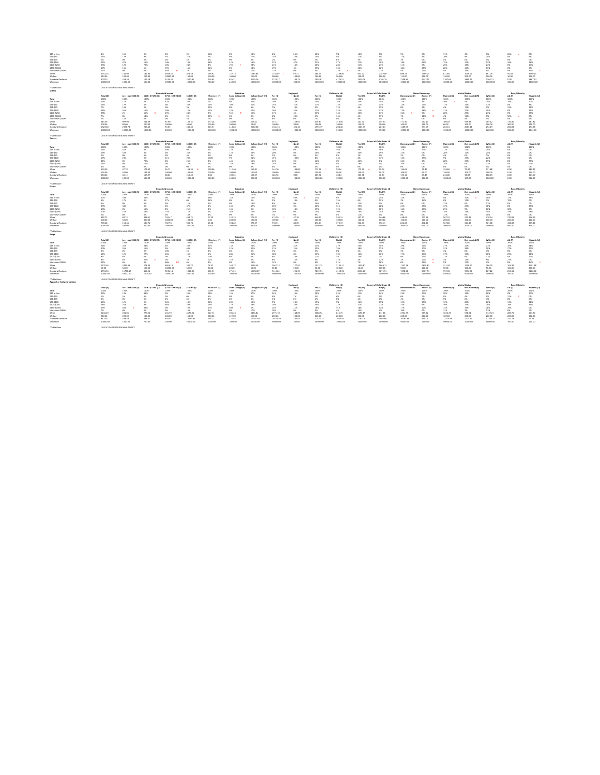\$25 or less 8% 15% 0% 0% 9% 16% 0% 10% 6% 26% 10% 5% 10% 5% 9% 6% 11% 4% 7% 66% s 0%

| \$26-\$50                 | 15%       | 12%                              | 9%                         |                         | 21%        | 5%             |                 |                   | 15%      | 10%      | 20%      | 5%             | 21%      | 5%                              | 17%       |                       | 20%         | 8%                    | 20%      |                |              |
|---------------------------|-----------|----------------------------------|----------------------------|-------------------------|------------|----------------|-----------------|-------------------|----------|----------|----------|----------------|----------|---------------------------------|-----------|-----------------------|-------------|-----------------------|----------|----------------|--------------|
| \$51-\$75                 | 2%        | 0%                               | 0%                         | 0%                      | 4%         | 0%             | 0%              | 0%                | 2%       | 0%       | 3%       | 0%             | 3%       | 0%                              | 3%        | 0%                    | 4%          | 0%                    | 3%       | 0%             | 0%           |
| \$76-\$100                | 25%       | 47%                              | 16%                        | 10%                     | 19%        | 48%            | 42%             | 16%               | 22%      | 47%      | 23%      | 27%            | 21%      | 30%                             | 18%       | 40%                   | 15%         | 37%                   | 23%      | 34%            | 36%          |
| \$101-\$250               | 23%       | 12%                              | 70%                        | 10%                     | 24%        | 8%             | 49%             | 28%               | 24%      | 14%      | 20%      | 28%            | 21%      | 27%                             | 31%       | 5%                    | 26%         | 18%                   | 24%      |                | 27%          |
| \$251-\$1000              | 17%       | 15%                              | 5%                         | 19%                     | 16%        | 24%            | 0%              | 18%               | 19%      |          | 19%      | 13%            | 20%      | 12%                             | 18%       | 15%                   | 20%         | 14%                   | 17%      | 0%             |              |
| More than \$1000          | 11%       | 0%                               | 0%                         | 56%                     | 7%         | 0%             | 0%              | 11%               | 12%      | 0%       | 4%       | 22%            | 4%       | 21%                             | 5%        | 24%                   | 5%          | 19%                   | 5%       | 0%             | 34%          |
| Mean                      | 1252.28   | 180.03                           | 182.90                     | 5669.36                 | 878.58     | 196.92         | 147.73          | 1283.88           | 1386.02  | 96.31    | 588.44   | 2389.86        | 602.22   | 2287.00                         | 699.23    | 2569.24               | 631.66      | 2049.20               | 681.09   | 40.58          | 3490.21      |
| Median                    | 120.00    | 100.00                           | 200.00                     | 10000.00                | 100.00     | 100.00         | 100.00          | 150.00            | 200.00   | 100.00   | 100.00   | 200.00         | 100.00   | 200.00                          | 125.00    | 100.00                | 120.00      | 200.00                | 100.00   | 10.00          | 200.00       |
| <b>Standard Deviation</b> | 3079.11   | 259.30                           | 102.18                     | 5191.30                 | 2600.85    | 226.65         | 63.43           | 3150.36           | 3228.27  | 103.73   | 1993.81  | 4171.51        | 2020.76  | 4101.19                         | 2208.84   | 4332.55               | 2107.69     | 3899.50               | 2204.21  | 0.00           | 4867.53      |
| Maximum                   | 10000.00  | 1000.00                          | 500.00                     | 10000.00                | 10000.00   | 700.00         | 250.00          | 10000.00          | 10000.00 | 500.00   | 10000.00 | 10000.00       | 10000.00 | 10000.00                        | 10000.00  | 10000.00              | 10000.00    | 10000.00              | 10000.00 | 100.00         | 10000.00     |
| * Table Base:             |           | LIKELY TO CONSIDER BUYING AN NFT |                            |                         |            |                |                 |                   |          |          |          |                |          |                                 |           |                       |             |                       |          |                |              |
| Videos                    |           |                                  |                            |                         |            |                |                 |                   |          |          |          |                |          |                                 |           |                       |             |                       |          |                |              |
|                           |           |                                  |                            | <b>Household Income</b> |            |                | Education       |                   |          | Employed |          | Children in HH |          | <b>Parent of Child Under 18</b> |           | <b>Home Ownership</b> |             | <b>Marital Status</b> |          | Race/Ethnicity |              |
|                           | Total (A) | Less than \$50K (B)              | <b>\$50K - \$74.9K (C)</b> | \$75K - \$99.9K (D)     | \$100K+(E) | HS or Less (F) | Some College (G | College Grad+ (H) | Yes (I)  | No (J)   | Yes (K)  | No(L)          | Yes (M)  | No(N)                           | Homeowner | <b>Renter</b> (P      | Married (Q) | Not married           | White (S | AA (T)         | Hispanic (U) |
| <b>Total</b>              | 100%      | 100%                             | 100%                       | 100%                    | 100%       | 100%           | 100%            | 100%              | 100%     | 100%     | 100%     | 100%           | 100%     | 100%                            | 100%      | 100%                  | 100%        | 100%                  | 100%     | 100%           | 100%         |
| \$25 or less              | 19%       | 11%                              | 3%                         | 42%                     | 28%        | 7%             | 6%              | 34%               | 19%      | 12%      | 20%      | 16%            | 20%      | 15%                             | 22%       | 5%                    | 30%         | 4%                    | 24%      | 19%            | 12%          |
| \$26-\$50                 | 16%       | 17%                              | 4%                         | 0%                      | 24%        | 16%            | 10%             | 21%               | 15%      | 21%      | 17%      | 13%            | 17%      | 13%                             | 13%       | 24%                   | 17%         | 14%                   | 17%      | 0%             | 8%           |
| \$51-\$75                 | 7%        | 19%                              | 0%                         | 0%                      | 5%         | 23%            | 0%              | 6%                | 7%       | 10%      | 5%       | 12%            | 4%       | 15%                             | 8%        | 4%                    | 4%          | 11%                   | 4%       | 31%            | 12%          |
| \$76-\$100                | 18%       | 35%                              | 15%                        | 29%                     | 12%        | 12%            | 23%             | 22%               | 16%      | 32%      | 11%      | 32%            | 11%      | 31%                             | 12%       | 38%                   | 11%         |                       | 19%      |                | 19%          |
| \$101-\$250               | 28%       | 2%                               | 65%                        | 29%                     | 24%        | 9%             | 559             | 12%               | 31%      | 4%       | 35%      | 14%            | 36%      | 13%                             | 36%       | 0%                    | 28%         | 29%                   | 23%      |                | 45%          |
| \$251-\$1000              | 7%        | 0%                               | 14%                        | 0%                      |            | 25%            | 6%              | 0%                | 6%       | 20%      | 4%       | 14%            | 4%       | 13%                             | 1%        | 28%                   | 4%          | 11%                   | 9%       | 50%            | 0%           |
| More than \$1000          | 5%        | 15%                              | 0%                         | 0%                      | 4%         | 7%             | 0%              | 5%                | 6%       | 0%       | 7%       | 0%             | 8%       | 0%                              | 7%        | 0%                    | 6%          | 4%                    | 3%       | 0%             | 4%           |
| Mean                      | 345.49    | 997.90                           | 244.39                     | 92.50                   | 132.31     | 277.28         | 186.00          | 525.02            | 353.77   | 258.92   | 436.63   | 148.50         | 441.71   | 145.93                          | 371.40    | 252.13                | 160.18      | 595.83                | 185.12   | 170.86         | 161.82       |
| Median                    | 100.00    | 80.00                            | 200.00                     | 100.00                  | 50.00      | 100.00         | 200.00          | 50.00             | 100.00   | 80.00    | 100.00   | 100.00         | 100.00   | 100.00                          | 100.00    | 100.00                | 60.00       | 100.00                | 100.00   | 300.00         | 100.00       |
| <b>Standard Deviation</b> | 1323.60   | 2929.78                          | 236.60                     | 93.65                   | 245.65     | 345.51         | 218.84          | 2140.68           | 1381.35  | 421.46   | 1593.19  | 204.48         | 1603.45  | 202.07                          | 1489.05   | 333.05                | 263.61      | 2003.18               | 292.19   | 206.84         | 194.98       |
| Maximum                   | 10000.00  | 10000.00                         | 1000.00                    | 200.00                  | 1200.00    | 1043.00        | 1000.00         | 10000.00          | 10000.00 | 1000.00  | 10000.00 | 750.00         | 10000.00 | 750.00                          | 10000.00  | 1000.00               | 1200.00     | 10000.00              | 1200.00  | 300.00         | 1043.00      |
| * Table Base:             |           | LIKELY TO CONSIDER BUYING AN NFT |                            |                         |            |                |                 |                   |          |          |          |                |          |                                 |           |                       |             |                       |          |                |              |
| <b>Tweets</b>             |           |                                  |                            |                         |            |                |                 |                   |          |          |          |                |          |                                 |           |                       |             |                       |          |                |              |

|                           |           | <b>Household Income</b>          |                            |                    |                    | Education      |                  |                   | Employed     |           | Children in HH |        | <b>Parent of Child Under 18</b> |        | <b>Home Ownership</b> |            | <b>Marital Status</b> |                 | Race/Ethnicity |        |             |
|---------------------------|-----------|----------------------------------|----------------------------|--------------------|--------------------|----------------|------------------|-------------------|--------------|-----------|----------------|--------|---------------------------------|--------|-----------------------|------------|-----------------------|-----------------|----------------|--------|-------------|
|                           | Total (A) | Less than \$50K (B)              | <b>\$50K - \$74.9K (C)</b> | \$75K - \$99.9K (D | <b>\$100K+ (F)</b> | HS or Less (F) | Some College (G) | College Grad+ (H) | Yes (I)      | No (J)    | Yes (K)        | No (L) | Yes (M)                         | No (N) | Homeowner (O)         | Renter (P) | Married (Q)           | Not married (R) | White (S)      | AA (T) | Hispanic (I |
| Total                     | 100%      | 100%                             | 100%                       | 100%               | 100%               | 100%           | 100%             | 100%              | 100%         | 100%      | 100%           | 100%   | 100%                            | 100%   | 100%                  | 100%       | 100%                  | 100%            | 100%           | U%     | 100%        |
| \$25 or less              |           | 45%                              | 8%                         | 49%                | 9%                 | 0%             | 22%              | 9%                | 16%          | 0%        |                | 36%    | 9%                              | 36%    | 11%                   |            | 12%                   |                 | 20%            | 0%     |             |
| \$26-\$50                 |           |                                  |                            | . በ%               | 26%                |                | 12%              | 23%               | 20%          | 0%        |                | 19%    | 20%                             | 19%    | 22%                   |            | 26%                   | 11%             | 24%            |        |             |
| \$51-\$75                 |           |                                  | <b>0%</b>                  | 0%                 | 4%                 |                |                  |                   | <b>470</b>   |           |                | 0%     | 3%                              | U%     |                       |            | 4%                    |                 |                |        |             |
| \$76-\$100                |           |                                  | <b>0%</b>                  | 51%                | 20%                | 100%           | 9%               | 34%               | 159          | 100%      |                | 44%    | 8%                              | 44%    | 13%                   | 49%        | 5%                    |                 | 22%            | U%     |             |
| \$101-\$250               |           |                                  | 72%                        | 0%                 | 25%                | 0%             | 44%              | 15%               | 220%<br>. عد | 0%        |                | 0%     | 42%                             | 0%     | 36%                   |            | 28%                   |                 | 19%            | U%     | 79%         |
| \$251-\$1000              |           |                                  | 17%                        | 0%                 | 17%                | 0%             | 14%              | 19%               | 14%          | 0%        |                | 0%     | 19%                             | U%     | 16%                   |            | 25%                   |                 | 12%            | 0%     | 21%         |
| More than \$1000          |           |                                  | 0%                         | 0%                 | 0%                 | U%             | - U%             | <b>0%</b>         | 0%           | <b>0%</b> |                | 0%     | 0%                              | U%     | U%                    |            | 0%                    |                 | . በ%           | U%     |             |
| Mean                      | 143.30    | 47.78                            | 171.42                     | 56.72              | 163.35             | 100.00         | 112.40           | 155.81            | 144.70       | 100.00    | 172.50         | 59.94  | 172.50                          | 59.94  | 154.63                | 59.47      | 194.66                | 79.97           | 131.88         | 0.00   | 189.23      |
| Median                    | 100.00    | 50.00                            | 109.00                     | 100.00             | 100.00             | 100.00         | 109.00           | 100.00            | 100.00       | 100.00    | 109.00         | 50.00  | 109.00                          | 50.00  | 109.00                | 20.00      | 150.00                | 100.00          | 100.00         | 0.00   | 109.00      |
| <b>Standard Deviation</b> | 184.06    | 36.12                            | 165.97                     | 68.02              | 215.62             | 0.00           | 100.61           | 158.57            | 186.96       | 0.00      | 205.78         | 40.84  | 205.78                          | 40.84  | 193.12                | 47.45      | 236.00                | 38.87           | 188.45         | 0.00   | 173.67      |
| Maximum                   | 1000.00   | 100.00                           | 500.00                     | 100.00             | 1000.00            | 100.00         | 333.00           | 500.00            | 1000.00      | 100.00    | 1000.00        | 100.00 | 1000.00                         | 100.00 | 1000.00               | 100.00     | 1000.00               | 109.00          | 1000.00        | 0.00   | 500.00      |
| * Table Base:             |           | LIKELY TO CONSIDER BUYING AN NFT |                            |                    |                    |                |                  |                   |              |           |                |        |                                 |        |                       |            |                       |                 |                |        |             |
| Essays                    |           |                                  |                            |                    |                    |                |                  |                   |              |           |                |        |                                 |        |                       |            |                       |                 |                |        |             |

|                                    |           |                                  |                            | <b>Household Income</b>                        |                   |                       | Education                     |                   |          | <b>Employed</b> |          | <b>Children in HH</b> |          | <b>Parent of Child Under 18</b> |               | <b>Home Ownership</b>               |             | <b>Marital Status</b> |           | <b>Race/Ethnicity</b> |             |
|------------------------------------|-----------|----------------------------------|----------------------------|------------------------------------------------|-------------------|-----------------------|-------------------------------|-------------------|----------|-----------------|----------|-----------------------|----------|---------------------------------|---------------|-------------------------------------|-------------|-----------------------|-----------|-----------------------|-------------|
|                                    | Total (A) | Less than \$50K (B)              | \$50K - \$74.9K (C)        | \$75K - \$99.9K (D)                            | \$100K+ (E)       | HS or Less (F)        | Some College (G)              | College Grad+ (H) | Yes (I)  | No (J)          | Yes (K)  | No(L)                 | Yes (M)  | No (N)                          | Homeowner (O) | Renter (P)                          | Married (Q) | Not married (R)       | White (S) | AA (T)                | Hispanic (U |
| <b>Total</b>                       | 100%      | 100%                             | 100%                       | 100%                                           | 100%              | 100%                  | 100%                          | 100%              | 100%     | 100%            | 100%     | 100%                  | 100%     | 100%                            | 100%          | 100%                                | 100%        | 100%                  | 100%      | 100%                  | 100%        |
| \$25 or less                       | 17%       | 33%                              | 36%                        | 0%                                             | 10%               | 66%                   | 15%                           | 15%               | 5%       | 63%             | 23%      | 9%                    | 11%      | 24%                             | 24%           | 0%                                  | 0%          | 32%                   | 10%       | 17%                   | 39%         |
| \$26-\$50                          |           | 17%                              | 0%                         | 27%                                            | -0%               | 34%                   | 0%                            | 5%                | 2%       | 19%             | 0%       | 15%                   | 0%       | 12%                             | 3%            | 14%                                 | 0%          | 11%                   | 3%        | 19%                   | 0%          |
| \$51-\$75                          | 6%        | 0%                               | 0%                         | 0%                                             | 11%               | 0%                    | 0%                            | 16%               | 8%       | -0%             | 10%      | 0%                    | 12%      | 0%                              | 9%            | 0%                                  | 13%         | 0%                    | 11%       | 0%                    | 0%          |
| \$76-\$100                         | 29%       | 34%                              | 0%                         | 0%                                             | 37%               | 0%                    | 33%                           | 47%               | 36%      |                 | 26%      | 33%                   | 29%      | 28%                             | 22%           | 45%                                 | 33%         | 25%                   | 38%       | 0%                    | 35%         |
| \$101-\$250                        |           | 0%                               | 11%                        | 0%                                             | 21%               | 0%                    | 16%                           | 3%                | 16%      | 18%             | 19%      | 12%                   | 22%      | 10%                             | 16%           | 17%                                 | 25%         | 9%                    | 16%       | 30%                   | 0%          |
| \$251-\$1000                       | 20%       | 16%                              | 53%                        | 73%                                            | 11%               | 0%                    | 36%                           | 14%               | 26%      | 0%              | 14%      | 30%                   | 16%      | 25%                             | 19%           | 24%                                 | 18%         | 23%                   | 14%       | 33%                   | 26%         |
| More than \$1000                   | 5%        | 0%                               | 0%                         | 0%                                             | 10%               | 0%                    | 0%                            | 0%                | 7%       | 0%              | 9%       | 0%                    | 11%      | 0%                              | 8%            | 0%                                  | 12%         | 0%                    | 10%       | 0%                    | 0%          |
| Mean                               | 382.73    | 89.74                            | 448.51                     | 740.47                                         | 464.71            | 17.59                 | 320.15                        | 176.21            | 474.59   | 47.18           | 440.52   | 295.74                | 507.37   | 246.88                          | 448.04        | 225.76                              | 567.91      | 221.44                | 478.34    | 270.83                | 246.63      |
| Median                             | 100.00    | 50.00                            | 800.00                     | 1000.00                                        | 100.00            | 1.00                  | 200.00                        | 100.00            | 100.00   | 4.00            | 100.00   | 100.00                | 100.00   | 100.00                          | 100.00        | 100.00                              | 200.00      | 100.00                | 100.00    | 200.00                | 100.00      |
| <b>Standard Deviation</b>          | 709.48    | 110.65                           | 507.74                     | 732.93                                         | 905.76            | 29.48                 | 394.62                        | 273.57            | 778.71   | 83.70           | 876.13   | 373.19                | 926.53   | 356.41                          | 826.23        | 278.41                              | 967.00      | 344.28                | 901.88    | 328.08                | 379.34      |
| Maximum                            | 3000.00   | 300.00                           | 800.00                     | 1000.00                                        | 3000.00           | 50.00                 | 1000.00                       | 800.00            | 3000.00  | 200.00          | 3000.00  | 1000.00               | 3000.00  | 1000.00                         | 3000.00       | 900.00                              | 3000.00     | 1000.00               | 3000.00   | 900.00                | 800.00      |
| * Table Base:                      |           | LIKELY TO CONSIDER BUYING AN NFT |                            |                                                |                   |                       |                               |                   |          |                 |          |                       |          |                                 |               |                                     |             |                       |           |                       |             |
| Songs                              |           |                                  |                            |                                                |                   |                       |                               |                   |          |                 |          |                       |          |                                 |               |                                     |             |                       |           |                       |             |
|                                    |           |                                  |                            | <b>Household Income</b>                        |                   |                       | Education                     |                   |          | Employed        |          | Children in HH        |          | <b>Parent of Child Under 18</b> |               | <b>Home Ownership</b>               |             | <b>Marital Status</b> |           | Race/Ethnicity        |             |
|                                    | Total (A) | Less than \$50K (B)              | \$50K - \$74.9K (C)        | \$75K - \$99.9K                                | \$100K+(E)        | HS or Less (F)        | Some College (G)              | College Grad+ (H) | Yes (l)  | No (J)          | Yes (K)  | No (L)                | Yes (M)  | No (N)                          | Homeowner (C  | Renter (P)                          | Married (Q) | Not married (R)       | White (S) | AA (T)                | Hispanic (  |
| Total                              | 100%      | 100%                             | 100%                       | 100%                                           | 100%              | 100%                  | 100%                          | 100%              | 100%     | 100%            | 100%     | 100%                  | 100%     | 100%                            | 100%          | 100%                                | 100%        | 100%                  | 100%      | 100%                  | 100%        |
| \$25 or less                       | 24%       | 35%                              | 38%                        | 6%                                             | 23%               | 42%                   | 13%                           | 26%               | 20%      | 41%             | 23%      | 27%                   | 20%      | 30%                             | 29%           | 13%                                 | 27%         | 21%                   | 27%       | 16%                   | 18%         |
| \$26-\$50                          | 30%       | 35%                              | 11%                        | 0%                                             | 40%               | 32%                   | 32%                           | 32%               | 31%      | 25%             | 35%      | 19%                   | 38%      | 17%                             | 35%           | 17%                                 | 32%         | 28%                   | 30%       | 27%                   | 11%         |
| \$51-\$75                          | <b>2%</b> | 0%                               | 0%                         | 10%                                            | 2%                | 0%                    | 6%                            | 3%                | 3%       | 0%              | 3%       | 0%                    | 3%       | 0%                              | 3%            | 0%                                  | 4%          | 0%                    | 3%        | 0%                    | 0%          |
| \$76-\$100                         |           | 12%                              | 27%                        | 24%                                            | 16%               | 5%                    | 28%                           | 21%               | 18%      | 8%              | 15%      | 19%                   | 16%      | 16%                             | 17%           | 13%                                 | 17%         | 15%                   | 16%       | 29%                   | 16%         |
| \$101-\$250                        |           | 6%                               | 0%                         | 0%                                             | 11%               | 10%                   | 6%                            | 0%                | 9%       | 10%             | 12%      | 3%                    | 10%      | 7%                              | 9%            | 10%                                 | 12%         | 6%                    | 11%       | 0%                    | 11%         |
| \$251-\$1000                       | 8%        | 6%                               | 24%                        | 0%                                             | 3%                | 11%                   | 15%                           | 4%                | 6%       | 16%             | 6%       | 12%                   | 5%       | 12%                             | 2%            | 23%                                 | 3%          | 13%                   | 9%        | 27%                   | 0%          |
| More than \$1000                   | 11%       | 6%                               | 0%                         | 60%                                            | 6%                | 0%                    | 0%                            | 14%               | 14%      | 0%              | 6%       | 21%                   | 7%       | 18%                             | 6%            | 25%                                 | 5%          | 17%                   | 4%        | 0%                    | 44%         |
| Mean                               | 1725.03   | 2846.49                          | 278.90                     | 6051.18                                        | 332.72            | 76.31                 | 163.72                        | 3136.49           | 2057.32  | 177.92          | 1512.15  | 2135.31               | 1630.87  | 1869.13                         | 1357.36       | 2658.83                             | 321.49      | 3136.22               | 286.75    | 163.39                | 4491.68     |
| Median                             | 50.00     | 50.00                            | 100.00                     | 10000.00                                       | 50.00             | 30.00                 | 60.00                         | 50.00             | 50.00    | 50.00           | 50.00    | 100.00                | 50.00    | 100.00                          | 50.00         | 200.00                              | 50.00       | 100.00                | 50.00     | 100.00                | 200.00      |
| <b>Standard Deviation</b>          | 6751.94   | 11786.17                         | 466.14                     | 5235.14                                        | 1019.05           | 101.31                | 271.21                        | 11550.87          | 7410.81  | 321.35          | 7819.53  | 4110.90               | 8156.60  | 3871.51                         | 7498.20       | 4367.91                             | 992.36      | 9374.30               | 867.22    | 231.11                | 5206.00     |
| Maximum                            | 50000.00  | 50000.00                         | 1000.00                    | 10000.00                                       | 4400.00           | 300.00                | 1000.00                       | 50000.00          | 50000.00 | 1000.00         | 50000.00 | 10000.00              | 50000.00 | 10000.00                        | 50000.00      | 10000.00                            | 4400.00     | 50000.00              | 4400.00   | 700.00                | 10000.00    |
| * Table Base:                      |           | LIKELY TO CONSIDER BUYING AN NFT |                            |                                                |                   |                       |                               |                   |          |                 |          |                       |          |                                 |               |                                     |             |                       |           |                       |             |
| <b>Apparel or footwear designs</b> |           |                                  |                            |                                                |                   |                       |                               |                   |          |                 |          | <b>Children in HH</b> |          | <b>Parent of Child Under 18</b> |               |                                     |             | <b>Marital Status</b> |           |                       |             |
|                                    | Total (A) | <b>Less than \$50K (B)</b>       | <b>\$50K - \$74.9K (C)</b> | <b>Household Income</b><br>\$75K - \$99.9K (D) | <b>\$100K+(E)</b> | <b>HS or Less (F)</b> | Education<br>Some College (G) | College Grad+ (H) |          | Employed        |          |                       |          |                                 | Homeowner (O) | <b>Home Ownership</b><br>Renter (P) | Married (Q) | Not married (R)       | White (S) | Race/Ethnicity        | Hispanic (U |
|                                    |           |                                  |                            |                                                |                   |                       |                               |                   | Yes (l)  | No (J)          | Yes (K)  | No (L)                | Yes (M)  | No (N)                          |               |                                     |             |                       |           | AA (T)                |             |
| <b>Total</b>                       | 100%      | 100%                             | 100%                       | 100%                                           | 100%              | 100%                  | 100%                          | 100%              | 100%     | 100%            | 100%     | 100%                  | 100%     | 100%                            | 100%          | 100%                                | 100%        | 100%                  | 100%      | 100%                  | 100%        |
| \$25 or less                       | 22%       | 19%                              | 49%                        | 0%                                             | 26%               | 18%                   | 13%                           | 37%               | 24%      | 16%             | 20%      | 25%                   | 21%      | 24%                             | 23%           | 17%                                 | 28%         | 14%                   | 20%       | 0%                    | 27%         |
| \$26-\$50                          | 2%        | 5%                               | 0%                         | -0%                                            | 0%                | 6%                    | 0%                            | 0%                | 0%       | 7%              | 0%       | 6%                    | 0%       | 5%                              | 0%            | 7%                                  | 0%          | 4%                    | 0%        | 31%                   | 0%          |
| \$51-\$75                          | 3%        | 0%                               | 0%                         | 0%                                             | 6%                | 0%                    | 0%                            | 0%                | 4%       | 0%              | 4%       | 0%                    | 4%       | 0%                              | 4%            | 0%                                  | 5%          | 0%                    | 4%        | 0%                    | 0%          |
| \$76-\$100                         | 15%       | 12%                              | 9%                         | 34%                                            | 13%               | 20%                   | 20%                           | 13%               | 9%       | 33%             | 19%      | 9%                    | 16%      | 15%                             | 12%           | 25%                                 | 12%         | 20%                   | 12%       | 11%                   | 38%         |
| \$101-\$250                        | 28%       | 26%                              | 9%                         | 66%                                            | 29%               | 29%                   | 27%                           | 29%               | 29%      | 23%             | 30%      | 23%                   | 31%      | 21%                             | 34%           | 9%                                  | 30%         | 25%                   | 28%       | 29%                   | 35%         |
| \$251-\$1000                       | 23%       | 38%                              | 33%                        | 0%                                             | 10%               | 27%                   | 40%                           | 5%                | 24%      | 21%             | 18%      | 34%                   | 18%      | 32%                             | 17%           | 42%                                 | 14%         | 34%                   | 26%       | 29%                   | 0%          |
| More than \$1000                   | 7%        | 0%                               | 0%                         | 0%                                             | 16%               | 0%                    | 0%                            | 17%               | 10%      | 0%              | 9%       | 4%                    | 10%      | 4%                              | 10%           | 0%                                  | 11%         | 3%                    | 11%       | 0%                    | 0%          |
| Mean                               | 2241.29   | 281.05                           | 273.50                     | 165.59                                         | 4574.24           | 222.74                | 306.23                        | 6834.82           | 2971.10  | 148.09          | 3088.92  | 645.75                | 3196.69  | 611.68                          | 2921.55       | 309.62                              | 3636.29     | 538.51                | 3149.72   | 289.71                | 113.70      |
| Median                             | 200.00    | 200.00                           | 100.00                     | 200.00                                         | 150.00            | 200.00                | 222.00                        | 150.00            | 200.00   | 100.00          | 200.00   | 200.00                | 200.00   | 200.00                          | 200.00        | 200.00                              | 189.00      | 200.00                | 200.00    | 200.00                | 100.00      |
| <b>Standard Deviation</b>          | 9323.51   | 309.49                           | 393.07                     | 60.19                                          | 13554.83          | 238.22                | 325.54                        | 17145.59          | 10771.40 | 102.03          | 11426.15 | 1967.85               | 11621.91 | 1907.66                         | 10797.86      | 350.04                              | 12415.99    | 1723.40               | 11106.31  | 337.13                | 74.74       |
| Maximum                            | 50000.00  | 1000.00                          | 700.00                     | 200.00                                         | 50000.00          | 1000.00               | 1000.00                       | 50000.00          | 50000.00 | 300.00          | 50000.00 | 10000.00              | 50000.00 | 10000.00                        | 50000.00      | 1000.00                             | 50000.00    | 10000.00              | 50000.00  | 700.00                | 200.00      |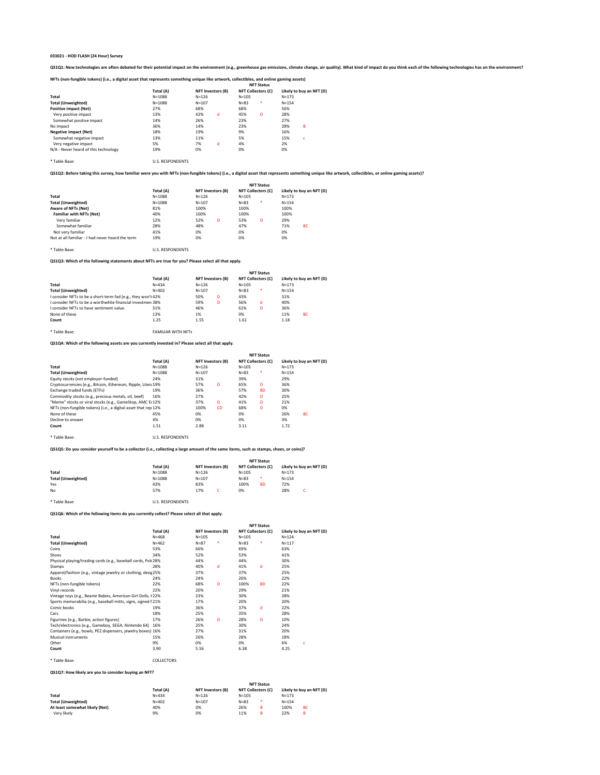QS1Q1: New technologies are often debated for their potential impact on the environment (e.g., greenhouse gas emissions, climate change, air quality). What kind of impact do you think each of the following technologies has

| NFTs (non-fungible tokens) (i.e., a digital asset that represents something unique like artwork, collectibles, and online gaming assets) |  |
|------------------------------------------------------------------------------------------------------------------------------------------|--|
|                                                                                                                                          |  |

\* Table Base: U.S. RESPONDENTS

#### **QS1Q2: Before taking this survey, how familiar were you with NFTs (non-fungible tokens) (i.e., a digital asset that represents something unique like artwork, collectibles, or online gaming assets)?**

\* Table Base: U.S. RESPONDENTS

**QS1Q3: Which of the following statements about NFTs are true for you? Please select all that apply.**

**QS1Q4: Which of the following assets are you currently invested in? Please select all that apply.**

|                                      |            |           |                          |           | <b>NFT Status</b>         |           |                          |
|--------------------------------------|------------|-----------|--------------------------|-----------|---------------------------|-----------|--------------------------|
|                                      | Total (A)  |           | <b>NFT Investors (B)</b> |           | <b>NFT Collectors (C)</b> |           | Likely to buy an NFT (D) |
| <b>Total</b>                         | $N = 1088$ | $N = 126$ |                          | $N = 105$ |                           | $N = 173$ |                          |
| <b>Total (Unweighted)</b>            | $N = 1088$ | $N = 107$ |                          | $N = 83$  | $\ast$                    | $N = 154$ |                          |
| <b>Positive impact (Net)</b>         | 27%        | 68%       |                          | 68%       |                           | 56%       |                          |
| Very positive impact                 | 13%        | 42%       | d                        | 45%       | D                         | 28%       |                          |
| Somewhat positive impact             | 14%        | 26%       |                          | 23%       |                           | 27%       |                          |
| No impact                            | 36%        | 14%       |                          | 23%       |                           | 28%       | B                        |
| <b>Negative impact (Net)</b>         | 18%        | 19%       |                          | 9%        |                           | 16%       |                          |
| Somewhat negative impact             | 13%        | 11%       |                          | 5%        |                           | 15%       | c                        |
| Very negative impact                 | 5%         | 7%        | d                        | 4%        |                           | 2%        |                          |
| N/A - Never heard of this technology | 19%        | 0%        |                          | 0%        |                           | 0%        |                          |

\* Table Base: U.S. RESPONDENTS

|                                                  |            |                          | <b>NFT Status</b>         |                          |
|--------------------------------------------------|------------|--------------------------|---------------------------|--------------------------|
|                                                  | Total (A)  | <b>NFT Investors (B)</b> | <b>NFT Collectors (C)</b> | Likely to buy an NFT (D) |
| <b>Total</b>                                     | $N = 1088$ | $N = 126$                | $N = 105$                 | $N = 173$                |
| <b>Total (Unweighted)</b>                        | $N = 1088$ | $N = 107$                | *<br>$N = 83$             | $N = 154$                |
| <b>Aware of NFTs (Net)</b>                       | 81%        | 100%                     | 100%                      | 100%                     |
| <b>Familiar with NFTs (Net)</b>                  | 40%        | 100%                     | 100%                      | 100%                     |
| Very familiar                                    | 12%        | 52%<br>D                 | 53%<br>D                  | 29%                      |
| Somewhat familiar                                | 28%        | 48%                      | 47%                       | <b>BC</b><br>71%         |
| Not very familiar                                | 41%        | 0%                       | 0%                        | 0%                       |
| Not at all familiar - I had never heard the term | 19%        | 0%                       | 0%                        | 0%                       |

#### **QS1Q5: Do you consider yourself to be a collector (i.e., collecting a large amount of the same items, such as stamps, shoes, or coins)?**

|                                                              |                           |                          |   |                           | <b>NFT Status</b> |           |                          |
|--------------------------------------------------------------|---------------------------|--------------------------|---|---------------------------|-------------------|-----------|--------------------------|
|                                                              | Total (A)                 | <b>NFT Investors (B)</b> |   | <b>NFT Collectors (C)</b> |                   |           | Likely to buy an NFT (D) |
| <b>Total</b>                                                 | $N = 434$                 | $N = 126$                |   | $N = 105$                 |                   | $N = 173$ |                          |
| <b>Total (Unweighted)</b>                                    | $N = 402$                 | $N = 107$                |   | $N = 83$                  | $\ast$            | $N = 154$ |                          |
| I consider NFTs to be a short-term fad (e.g., they won't 42% |                           | 50%                      | D | 43%                       |                   | 31%       |                          |
| I consider NFTs to be a worthwhile financial investmen 38%   |                           | 59%                      | D | 56%                       | d                 | 40%       |                          |
| I consider NFTs to have sentiment value.                     | 31%                       | 46%                      |   | 61%                       | D                 | 36%       |                          |
| None of these                                                | 13%                       | 1%                       |   | 0%                        |                   | 11%       | BC                       |
| Count                                                        | 1.25                      | 1.55                     |   | 1.61                      |                   | 1.18      |                          |
| * Table Base:                                                | <b>FAMILIAR WITH NFTs</b> |                          |   |                           |                   |           |                          |

\* Table Base: U.S. RESPONDENTS

**QS1Q6: Which of the following items do you currently collect? Please select all that apply.**

|                                                                      |            |                          |           |           | <b>NFT Status</b>         |           |                          |
|----------------------------------------------------------------------|------------|--------------------------|-----------|-----------|---------------------------|-----------|--------------------------|
|                                                                      | Total (A)  | <b>NFT Investors (B)</b> |           |           | <b>NFT Collectors (C)</b> |           | Likely to buy an NFT (D) |
| <b>Total</b>                                                         | N=1088     | $N = 126$                |           | $N = 105$ |                           | $N = 173$ |                          |
| <b>Total (Unweighted)</b>                                            | $N = 1088$ | $N = 107$                |           | $N = 83$  | *                         | $N = 154$ |                          |
| Equity stocks (not employer-funded)                                  | 24%        | 31%                      |           | 39%       |                           | 29%       |                          |
| Cryptocurrencies (e.g., Bitcoin, Ethereum, Ripple, Litec 19%         |            | 57%                      | D         | 65%       | D                         | 36%       |                          |
| Exchange traded funds (ETFs)                                         | 19%        | 36%                      |           | 57%       | <b>BD</b>                 | 30%       |                          |
| Commodity stocks (e.g., precious metals, oil, beef)                  | 16%        | 27%                      |           | 42%       | D                         | 25%       |                          |
| "Meme" stocks or viral stocks (e.g., GameStop, AMC E <sub>112%</sub> |            | 37%                      | D         | 41%       | D                         | 21%       |                          |
| NFTs (non-fungible tokens) (i.e., a digital asset that rep 12%       |            | 100%                     | <b>CD</b> | 68%       | D                         | 0%        |                          |
| None of these                                                        | 45%        | 0%                       |           | 0%        |                           | 26%       | <b>BC</b>                |
| Decline to answer                                                    | 4%         | 0%                       |           | 0%        |                           | 3%        |                          |
| Count                                                                | 1.51       | 2.88                     |           | 3.11      |                           | 1.72      |                          |

|                           |            |                          |                           | <b>NFT Status</b> |           |                          |
|---------------------------|------------|--------------------------|---------------------------|-------------------|-----------|--------------------------|
|                           | Total (A)  | <b>NFT Investors (B)</b> | <b>NFT Collectors (C)</b> |                   |           | Likely to buy an NFT (D) |
| <b>Total</b>              | N=1088     | $N = 126$                | $N = 105$                 |                   | $N = 173$ |                          |
| <b>Total (Unweighted)</b> | $N = 1088$ | $N = 107$                | $N = 83$                  | $\ast$            | $N = 154$ |                          |
| Yes                       | 43%        | 83%                      | 100%                      | <b>BD</b>         | 72%       |                          |
| No                        | 57%        | 17%                      | 0%                        |                   | 28%       | J                        |

|                                                               |           |                          |   |                           | <b>NFT Status</b> |           |                          |
|---------------------------------------------------------------|-----------|--------------------------|---|---------------------------|-------------------|-----------|--------------------------|
|                                                               | Total (A) | <b>NFT Investors (B)</b> |   | <b>NFT Collectors (C)</b> |                   |           | Likely to buy an NFT (D) |
| <b>Total</b>                                                  | $N = 468$ | $N = 105$                |   | $N = 105$                 |                   | $N = 124$ |                          |
| <b>Total (Unweighted)</b>                                     | $N = 462$ | $N = 87$                 | ∗ | $N = 83$                  | $\ast$            | $N = 117$ |                          |
| Coins                                                         | 53%       | 66%                      |   | 69%                       |                   | 63%       |                          |
| Shoes                                                         | 34%       | 52%                      |   | 53%                       |                   | 41%       |                          |
| Physical playing/trading cards (e.g., baseball cards, Pok 28% |           | 44%                      |   | 44%                       |                   | 30%       |                          |
| Stamps                                                        | 28%       | 40%                      | d | 41%                       | d                 | 25%       |                          |
| Apparel/fashion (e.g., vintage jewelry or clothing, desig 25% |           | 37%                      |   | 37%                       |                   | 25%       |                          |
| <b>Books</b>                                                  | 24%       | 24%                      |   | 26%                       |                   | 22%       |                          |
| NFTs (non-fungible tokens)                                    | 22%       | 68%                      | D | 100%                      | <b>BD</b>         | 22%       |                          |
| Vinyl records                                                 | 22%       | 20%                      |   | 29%                       |                   | 21%       |                          |
| Vintage toys (e.g., Beanie Babies, American Girl Dolls, I 22% |           | 23%                      |   | 30%                       |                   | 28%       |                          |
| Sports memorabilia (e.g., baseball mitts, signs, signed f 21% |           | 17%                      |   | 20%                       |                   | 20%       |                          |
| Comic books                                                   | 19%       | 36%                      |   | 37%                       | d                 | 22%       |                          |
| Cars                                                          | 18%       | 25%                      |   | 35%                       |                   | 28%       |                          |
| Figurines (e.g., Barbie, action figures)                      | 17%       | 26%                      | D | 28%                       | D                 | 10%       |                          |
| Tech/electronics (e.g., Gameboy, SEGA, Nintendo 64)           | 16%       | 25%                      |   | 30%                       |                   | 24%       |                          |
| Containers (e.g., bowls, PEZ dispensers, jewelry boxes) 16%   |           | 27%                      |   | 31%                       |                   | 20%       |                          |
| Musical instruments                                           | 15%       | 26%                      |   | 28%                       |                   | 18%       |                          |
| Other                                                         | 9%        | 0%                       |   | 0%                        |                   | 6%        | c                        |
| Count                                                         | 3.90      | 5.56                     |   | 6.38                      |                   | 4.25      |                          |

\* Table Base: COLLECTORS

#### **QS1Q7: How likely are you to consider buying an NFT?**

|                                |           |                          |           | <b>NFT Status</b>         |           |                          |
|--------------------------------|-----------|--------------------------|-----------|---------------------------|-----------|--------------------------|
|                                | Total (A) | <b>NFT Investors (B)</b> |           | <b>NFT Collectors (C)</b> |           | Likely to buy an NFT (D) |
| <b>Total</b>                   | $N = 434$ | $N = 126$                | $N = 105$ |                           | $N = 173$ |                          |
| <b>Total (Unweighted)</b>      | $N = 402$ | $N = 107$                | $N = 83$  | $\ast$                    | $N = 154$ |                          |
| At least somewhat likely (Net) | 40%       | 0%                       | 26%       | В                         | 100%      | <b>BC</b>                |
| Very likely                    | 9%        | 0%                       | 11%       |                           | 22%       | B                        |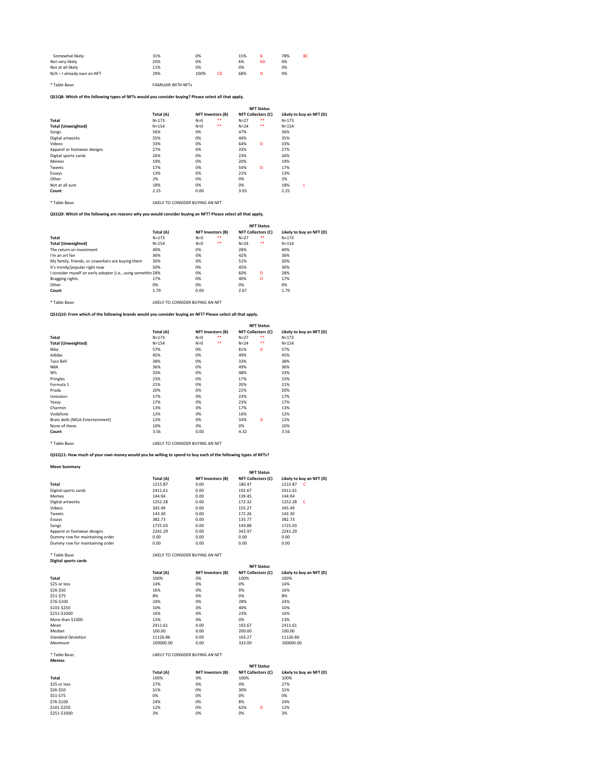| Somewhat likely            | 31% | 0%         | 15% | B  | 78% | <b>BC</b> |
|----------------------------|-----|------------|-----|----|-----|-----------|
| Not very likely            | 20% | 0%         | 6%  | bD | 0%  |           |
| Not at all likely          | 11% | 0%         | 0%  |    | 0%  |           |
| N/A – I already own an NFT | 29% | 100%<br>CD | 68% |    | 0%  |           |
|                            |     |            |     |    |     |           |

\* Table Base: FAMILIAR WITH NFTs

# **QS1Q8: Which of the following types of NFTs would you consider buying? Please select all that apply.**

\* Table Base: LIKELY TO CONSIDER BUYING AN NFT

**QS1Q9: Which of the following are reasons why you would consider buying an NFT? Please select all that apply.**

\* Table Base: LIKELY TO CONSIDER BUYING AN NFT

**QS1Q10: From which of the following brands would you consider buying an NFT? Please select all that apply.**

|                             |           | <b>NFT Status</b> |                   |          |                           |                          |
|-----------------------------|-----------|-------------------|-------------------|----------|---------------------------|--------------------------|
|                             | Total (A) |                   | NFT Investors (B) |          | <b>NFT Collectors (C)</b> | Likely to buy an NFT (D) |
| Total                       | $N = 173$ | $N=0$             | $***$             | $N=27$   | $***$                     | $N = 173$                |
| <b>Total (Unweighted)</b>   | $N = 154$ | $N=0$             | $***$             | $N = 24$ | $***$                     | $N = 154$                |
| Songs                       | 36%       | 0%                |                   | 47%      |                           | 36%                      |
| Digital artworks            | 35%       | 0%                |                   | 44%      |                           | 35%                      |
| Videos                      | 33%       | 0%                |                   | 64%      | D                         | 33%                      |
| Apparel or footwear designs | 27%       | 0%                |                   | 33%      |                           | 27%                      |
| Digital sports cards        | 26%       | 0%                |                   | 23%      |                           | 26%                      |
| Memes                       | 19%       | 0%                |                   | 20%      |                           | 19%                      |
| Tweets                      | 17%       | 0%                |                   | 54%      | D                         | 17%                      |
| Essays                      | 13%       | 0%                |                   | 21%      |                           | 13%                      |
| Other                       | 2%        | 0%                |                   | 0%       |                           | 2%                       |
| Not at all sure             | 18%       | 0%                |                   | 0%       |                           | 18%<br>c                 |
| Count                       | 2.25      | 0.00              |                   | 3.05     |                           | 2.25                     |

\* Table Base: LIKELY TO CONSIDER BUYING AN NFT

**QS1Q11: How much of your own money would you be willing to spend to buy each of the following types of NFTs?**

## **Mean Summary**

|                                                              |           | <b>NFT Status</b> |                          |          |                           |                          |
|--------------------------------------------------------------|-----------|-------------------|--------------------------|----------|---------------------------|--------------------------|
|                                                              | Total (A) |                   | <b>NFT Investors (B)</b> |          | <b>NFT Collectors (C)</b> | Likely to buy an NFT (D) |
| <b>Total</b>                                                 | $N = 173$ | $N=0$             | $***$                    | $N=27$   | $***$                     | $N = 173$                |
| <b>Total (Unweighted)</b>                                    | $N = 154$ | $N=0$             | $***$                    | $N = 24$ | $***$                     | $N = 154$                |
| The return on investment                                     | 40%       | 0%                |                          | 28%      |                           | 40%                      |
| I'm an art fan                                               | 36%       | 0%                |                          | 42%      |                           | 36%                      |
| My family, friends, or coworkers are buying them             | 30%       | 0%                |                          | 51%      |                           | 30%                      |
| It's trendy/popular right now                                | 30%       | 0%                |                          | 45%      |                           | 30%                      |
| I consider myself an early adopter (i.e., using somethin 28% |           | 0%                |                          | 60%      | D                         | 28%                      |
| Bragging rights                                              | 17%       | 0%                |                          | 40%      | D                         | 17%                      |
| Other                                                        | 0%        | 0%                |                          | 0%       |                           | 0%                       |
| Count                                                        | 1.79      | 0.00              |                          | 2.67     |                           | 1.79                     |
|                                                              |           |                   |                          |          |                           |                          |

|                                 |           |       |                   |        | <b>NFT Status</b>         |                          |
|---------------------------------|-----------|-------|-------------------|--------|---------------------------|--------------------------|
|                                 | Total (A) |       | NFT Investors (B) |        | <b>NFT Collectors (C)</b> | Likely to buy an NFT (D) |
| <b>Total</b>                    | $N = 173$ | $N=0$ | $***$             | $N=27$ | $***$                     | $N = 173$                |
| <b>Total (Unweighted)</b>       | $N = 154$ | $N=0$ | $***$             | $N=24$ | $***$                     | $N = 154$                |
| Nike                            | 57%       | 0%    |                   | 81%    | d                         | 57%                      |
| Adidas                          | 45%       | 0%    |                   | 49%    |                           | 45%                      |
| Taco Bell                       | 38%       | 0%    |                   | 33%    |                           | 38%                      |
| <b>NBA</b>                      | 36%       | 0%    |                   | 49%    |                           | 36%                      |
| <b>NFL</b>                      | 33%       | 0%    |                   | 48%    |                           | 33%                      |
| Pringles                        | 23%       | 0%    |                   | 17%    |                           | 23%                      |
| Formula 1                       | 21%       | 0%    |                   | 20%    |                           | 21%                      |
| Prada                           | 20%       | 0%    |                   | 22%    |                           | 20%                      |
| Univision                       | 17%       | 0%    |                   | 23%    |                           | 17%                      |
| Yeezy                           | 17%       | 0%    |                   | 23%    |                           | 17%                      |
| Charmin                         | 13%       | 0%    |                   | 17%    |                           | 13%                      |
| Vodafone                        | 12%       | 0%    |                   | 16%    |                           | 12%                      |
| Bratz dolls (MGA Entertainment) | 12%       | 0%    |                   | 34%    | D                         | 12%                      |
| None of these                   | 10%       | 0%    |                   | 0%     |                           | 10%                      |
| Count                           | 3.56      | 0.00  |                   | 4.32   |                           | 3.56                     |

# \* Table Base: LIKELY TO CONSIDER BUYING AN NFT

**Digital sports cards**

|                                 |           |                          | <b>NFT Status</b>         |                          |
|---------------------------------|-----------|--------------------------|---------------------------|--------------------------|
|                                 | Total (A) | <b>NFT Investors (B)</b> | <b>NFT Collectors (C)</b> | Likely to buy an NFT (D) |
| <b>Total</b>                    | 1215.87   | 0.00                     | 180.47                    | 1215.87<br>$\mathsf{C}$  |
| Digital sports cards            | 2411.61   | 0.00                     | 192.67                    | 2411.61                  |
| <b>Memes</b>                    | 144.94    | 0.00                     | 139.45                    | 144.94                   |
| Digital artworks                | 1252.28   | 0.00                     | 172.32                    | 1252.28<br>- C           |
| Videos                          | 345.49    | 0.00                     | 155.27                    | 345.49                   |
| Tweets                          | 143.30    | 0.00                     | 172.26                    | 143.30                   |
| Essays                          | 382.73    | 0.00                     | 135.77                    | 382.73                   |
| Songs                           | 1725.03   | 0.00                     | 149.88                    | 1725.03                  |
| Apparel or footwear designs     | 2241.29   | 0.00                     | 343.97                    | 2241.29                  |
| Dummy row for maintaining order | 0.00      | 0.00                     | 0.00                      | 0.00                     |
| Dummy row for maintaining order | 0.00      | 0.00                     | 0.00                      | 0.00                     |

|                           |           |                          | <b>NFT Status</b>         |                          |
|---------------------------|-----------|--------------------------|---------------------------|--------------------------|
|                           | Total (A) | <b>NFT Investors (B)</b> | <b>NFT Collectors (C)</b> | Likely to buy an NFT (D) |
| <b>Total</b>              | 100%      | 0%                       | 100%                      | 100%                     |
| \$25 or less              | 14%       | 0%                       | 0%                        | 14%                      |
| \$26-\$50                 | 16%       | 0%                       | 9%                        | 16%                      |
| \$51-\$75                 | 8%        | 0%                       | 0%                        | 8%                       |
| \$76-\$100                | 24%       | 0%                       | 28%                       | 24%                      |
| \$101-\$250               | 10%       | 0%                       | 40%                       | 10%                      |
| \$251-\$1000              | 16%       | 0%                       | 23%                       | 16%                      |
| More than \$1000          | 13%       | 0%                       | 0%                        | 13%                      |
| Mean                      | 2411.61   | 0.00                     | 192.67                    | 2411.61                  |
| Median                    | 100.00    | 0.00                     | 200.00                    | 100.00                   |
| <b>Standard Deviation</b> | 11126.86  | 0.00                     | 103.27                    | 11126.86                 |
| Maximum                   | 100000.00 | 0.00                     | 333.00                    | 100000.00                |

| INELY TO CONSIDER BUTING AN INFT |  |  |  |  |
|----------------------------------|--|--|--|--|
|                                  |  |  |  |  |
|                                  |  |  |  |  |

|              | <b>NFT Status</b> |                          |                           |                          |  |
|--------------|-------------------|--------------------------|---------------------------|--------------------------|--|
|              | Total (A)         | <b>NFT Investors (B)</b> | <b>NFT Collectors (C)</b> | Likely to buy an NFT (D) |  |
| <b>Total</b> | 100%              | 0%                       | 100%                      | 100%                     |  |
| \$25 or less | 27%               | 0%                       | 0%                        | 27%                      |  |
| \$26-\$50    | 31%               | 0%                       | 30%                       | 31%                      |  |
| \$51-\$75    | 0%                | 0%                       | 0%                        | 0%                       |  |
| \$76-\$100   | 24%               | 0%                       | 8%                        | 24%                      |  |
| \$101-\$250  | 12%               | 0%                       | 62%<br>D                  | 12%                      |  |
| \$251-\$1000 | 3%                | 0%                       | 0%                        | 3%                       |  |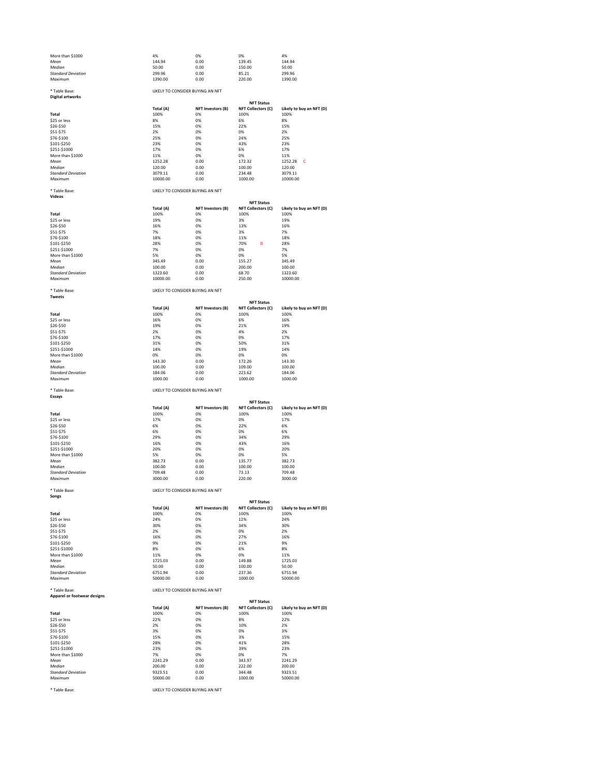| More than \$1000          | 4%      | 0%   | 0%     | 4%      |
|---------------------------|---------|------|--------|---------|
| Mean                      | 144.94  | 0.00 | 139.45 | 144.94  |
| Median                    | 50.00   | 0.00 | 150.00 | 50.00   |
| <b>Standard Deviation</b> | 299.96  | 0.00 | 85.21  | 299.96  |
| Maximum                   | 1390.00 | 0.00 | 220.00 | 1390.00 |

#### \* Table Base: LIKELY TO CONSIDER BUYING AN NFT

|  | <b>Digital artworks</b> |
|--|-------------------------|
|--|-------------------------|

## \* Table Base: LIKELY TO CONSIDER BUYING AN NFT

**Videos**

### \* Table Base: LIKELY TO CONSIDER BUYING AN NFT

| ×<br>۰.<br>۰,<br>۰. |
|---------------------|
|---------------------|

|                           |           |                   | <b>NFT Status</b>         |                           |
|---------------------------|-----------|-------------------|---------------------------|---------------------------|
|                           | Total (A) | NFT Investors (B) | <b>NFT Collectors (C)</b> | Likely to buy an NFT (D)  |
| <b>Total</b>              | 100%      | 0%                | 100%                      | 100%                      |
| \$25 or less              | 8%        | 0%                | 6%                        | 8%                        |
| \$26-\$50                 | 15%       | 0%                | 22%                       | 15%                       |
| \$51-\$75                 | 2%        | 0%                | 0%                        | 2%                        |
| \$76-\$100                | 25%       | 0%                | 24%                       | 25%                       |
| \$101-\$250               | 23%       | 0%                | 43%                       | 23%                       |
| \$251-\$1000              | 17%       | 0%                | 6%                        | 17%                       |
| More than \$1000          | 11%       | 0%                | 0%                        | 11%                       |
| Mean                      | 1252.28   | 0.00              | 172.32                    | 1252.28<br>$\overline{C}$ |
| Median                    | 120.00    | 0.00              | 100.00                    | 120.00                    |
| <b>Standard Deviation</b> | 3079.11   | 0.00              | 234.48                    | 3079.11                   |
| Maximum                   | 10000.00  | 0.00              | 1000.00                   | 10000.00                  |

|                           |           | <b>NFT Status</b>        |                           |                          |  |  |  |  |  |  |
|---------------------------|-----------|--------------------------|---------------------------|--------------------------|--|--|--|--|--|--|
|                           | Total (A) | <b>NFT Investors (B)</b> | <b>NFT Collectors (C)</b> | Likely to buy an NFT (D) |  |  |  |  |  |  |
| <b>Total</b>              | 100%      | 0%                       | 100%                      | 100%                     |  |  |  |  |  |  |
| \$25 or less              | 19%       | 0%                       | 3%                        | 19%                      |  |  |  |  |  |  |
| \$26-\$50                 | 16%       | 0%                       | 13%                       | 16%                      |  |  |  |  |  |  |
| \$51-\$75                 | 7%        | 0%                       | 3%                        | 7%                       |  |  |  |  |  |  |
| \$76-\$100                | 18%       | 0%                       | 11%                       | 18%                      |  |  |  |  |  |  |
| \$101-\$250               | 28%       | 0%                       | D<br>70%                  | 28%                      |  |  |  |  |  |  |
| \$251-\$1000              | 7%        | 0%                       | 0%                        | 7%                       |  |  |  |  |  |  |
| More than \$1000          | 5%        | 0%                       | 0%                        | 5%                       |  |  |  |  |  |  |
| Mean                      | 345.49    | 0.00                     | 155.27                    | 345.49                   |  |  |  |  |  |  |
| Median                    | 100.00    | 0.00                     | 200.00                    | 100.00                   |  |  |  |  |  |  |
| <b>Standard Deviation</b> | 1323.60   | 0.00                     | 68.70                     | 1323.60                  |  |  |  |  |  |  |
| Maximum                   | 10000.00  | 0.00                     | 250.00                    | 10000.00                 |  |  |  |  |  |  |

#### \* Table Base: LIKELY TO CONSIDER BUYING AN NFT

|                           |           |                                  | <b>NFT Status</b>         |                          |
|---------------------------|-----------|----------------------------------|---------------------------|--------------------------|
|                           | Total (A) | <b>NFT Investors (B)</b>         | <b>NFT Collectors (C)</b> | Likely to buy an NFT (D) |
| <b>Total</b>              | 100%      | 0%                               | 100%                      | 100%                     |
| \$25 or less              | 16%       | 0%                               | 6%                        | 16%                      |
| \$26-\$50                 | 19%       | 0%                               | 21%                       | 19%                      |
| \$51-\$75                 | 2%        | 0%                               | 4%                        | 2%                       |
| \$76-\$100                | 17%       | 0%                               | 0%                        | 17%                      |
| \$101-\$250               | 31%       | 0%                               | 50%                       | 31%                      |
| \$251-\$1000              | 14%       | 0%                               | 19%                       | 14%                      |
| More than \$1000          | 0%        | 0%                               | 0%                        | 0%                       |
| Mean                      | 143.30    | 0.00                             | 172.26                    | 143.30                   |
| Median                    | 100.00    | 0.00                             | 109.00                    | 100.00                   |
| <b>Standard Deviation</b> | 184.06    | 0.00                             | 223.62                    | 184.06                   |
| Maximum                   | 1000.00   | 0.00                             | 1000.00                   | 1000.00                  |
| * Table Base:             |           | LIKELY TO CONSIDER BUYING AN NFT |                           |                          |
| <b>Essays</b>             |           |                                  |                           |                          |
|                           |           |                                  | <b>NFT Status</b>         |                          |
|                           | Total (A) | <b>NFT Investors (B)</b>         | <b>NFT Collectors (C)</b> | Likely to buy an NFT (D) |
| <b>Total</b>              | 100%      | 0%                               | 100%                      | 100%                     |
| \$25 or less              | 17%       | 0%                               | 0%                        | 17%                      |
| \$26-\$50                 | 6%        | 0%                               | 22%                       | 6%                       |
| \$51-\$75                 | 6%        | 0%                               | 0%                        | 6%                       |
| \$76-\$100                | 29%       | 0%                               | 34%                       | 29%                      |
| \$101-\$250               | 16%       | 0%                               | 43%                       | 16%                      |
| \$251-\$1000              | 20%       | 0%                               | 0%                        | 20%                      |
| More than \$1000          | 5%        | 0%                               | 0%                        | 5%                       |
| Mean                      | 382.73    | 0.00                             | 135.77                    | 382.73                   |
| Median                    | 100.00    | 0.00                             | 100.00                    | 100.00                   |
| <b>Standard Deviation</b> | 709.48    | 0.00                             | 73.13                     | 709.48                   |
| Maximum                   | 3000.00   | 0.00                             | 220.00                    | 3000.00                  |

#### \* Table Base: LIKELY TO CONSIDER BUYING AN NFT

**Apparel or footwear designs**

| Songs                     |           |                          |                           |                          |  |  |  |  |  |  |
|---------------------------|-----------|--------------------------|---------------------------|--------------------------|--|--|--|--|--|--|
|                           |           | <b>NFT Status</b>        |                           |                          |  |  |  |  |  |  |
|                           | Total (A) | <b>NFT Investors (B)</b> | <b>NFT Collectors (C)</b> | Likely to buy an NFT (D) |  |  |  |  |  |  |
| <b>Total</b>              | 100%      | 0%                       | 100%                      | 100%                     |  |  |  |  |  |  |
| \$25 or less              | 24%       | 0%                       | 12%                       | 24%                      |  |  |  |  |  |  |
| \$26-\$50                 | 30%       | 0%                       | 34%                       | 30%                      |  |  |  |  |  |  |
| $$51-$75$                 | 2%        | 0%                       | 0%                        | 2%                       |  |  |  |  |  |  |
| \$76-\$100                | 16%       | 0%                       | 27%                       | 16%                      |  |  |  |  |  |  |
| \$101-\$250               | 9%        | 0%                       | 21%                       | 9%                       |  |  |  |  |  |  |
| \$251-\$1000              | 8%        | 0%                       | 6%                        | 8%                       |  |  |  |  |  |  |
| More than \$1000          | 11%       | 0%                       | 0%                        | 11%                      |  |  |  |  |  |  |
| Mean                      | 1725.03   | 0.00                     | 149.88                    | 1725.03                  |  |  |  |  |  |  |
| Median                    | 50.00     | 0.00                     | 100.00                    | 50.00                    |  |  |  |  |  |  |
| <b>Standard Deviation</b> | 6751.94   | 0.00                     | 237.36                    | 6751.94                  |  |  |  |  |  |  |
| Maximum                   | 50000.00  | 0.00                     | 1000.00                   | 50000.00                 |  |  |  |  |  |  |

**Total (A) NFT Investors (B) NFT Collectors (C) Likely to buy an NFT (D) Total** 100% 0% 100% 100% \$25 or less 22% 0% 8% 22% \$26-\$50 2% 0% 10% 2% \$51-\$75 3% 0% 0% 3% \$76-\$100 15% 0% 3% 15% \$101-\$250 28% 0% 41% 28% \$251-\$1000 23% 0% 39% 23% More than \$1000 7% 0% 0% 7% *Mean* 2241.29 0.00 343.97 2241.29 *Median* 200.00 0.00 222.00 200.00 *Standard Deviation* 9323.51 0.00 344.48 9323.51 *Maximum* 50000.00 0.00 1000.00 50000.00 **NFT Status**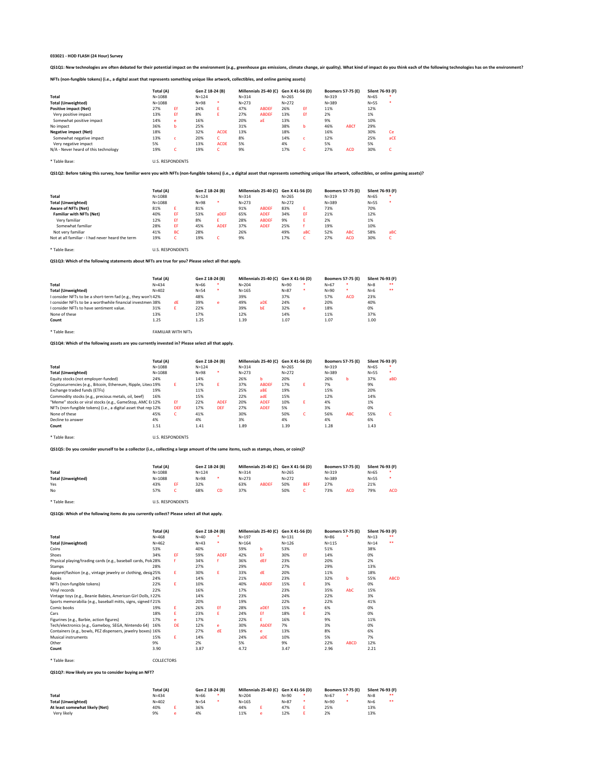QS1Q1: New technologies are often debated for their potential impact on the environment (e.g., greenhouse gas emissions, climate change, air quality). What kind of impact do you think each of the following technologies has

**NFTs (non-fungible tokens) (i.e., a digital asset that represents something unique like artwork, collectibles, and online gaming assets)**

|                                      |            | Total (A) |           | Gen Z 18-24 (B) |           | Millennials 25-40 (C) |           | Gen X 41-56 (D) |           | <b>Boomers 57-75 (E)</b> |        | Silent 76-93 (F) |
|--------------------------------------|------------|-----------|-----------|-----------------|-----------|-----------------------|-----------|-----------------|-----------|--------------------------|--------|------------------|
| <b>Total</b>                         | $N = 1088$ |           | $N = 124$ |                 | $N = 314$ |                       | $N = 265$ |                 | $N = 319$ |                          | $N=65$ | ∗                |
| <b>Total (Unweighted)</b>            | $N = 1088$ |           | $N=98$    | $\ast$          | $N = 273$ |                       | $N = 272$ |                 | $N = 389$ |                          | $N=55$ | ∗                |
| <b>Positive impact (Net)</b>         | 27%        | Ef        | 24%       | E.              | 47%       | <b>ABDEF</b>          | 26%       | Εf              | 11%       |                          | 12%    |                  |
| Very positive impact                 | 13%        | Ef        | 8%        |                 | 27%       | <b>ABDEF</b>          | 13%       | Εf              | 2%        |                          | 1%     |                  |
| Somewhat positive impact             | 14%        | e         | 16%       |                 | 20%       | aE                    | 13%       |                 | 9%        |                          | 10%    |                  |
| No impact                            | 36%        | b         | 25%       |                 | 31%       |                       | 38%       | b               | 46%       | <b>ABCf</b>              | 29%    |                  |
| <b>Negative impact (Net)</b>         | 18%        |           | 32%       | <b>ACDE</b>     | 13%       |                       | 18%       |                 | 16%       |                          | 30%    | Ce               |
| Somewhat negative impact             | 13%        |           | 20%       |                 | 8%        |                       | 14%       |                 | 12%       |                          | 25%    | aCE              |
| Very negative impact                 | 5%         |           | 13%       | <b>ACDE</b>     | 5%        |                       | 4%        |                 | 5%        |                          | 5%     |                  |
| N/A - Never heard of this technology | 19%        | ັ         | 19%       | $\sqrt{2}$<br>U | 9%        |                       | 17%       | ◡               | 27%       | <b>ACD</b>               | 30%    | ╰                |

\* Table Base: U.S. RESPONDENTS

#### **QS1Q2: Before taking this survey, how familiar were you with NFTs (non-fungible tokens) (i.e., a digital asset that represents something unique like artwork, collectibles, or online gaming assets)?**

|                                                  | Total (A)  |           |           | Gen Z 18-24 (B)  |           | Millennials 25-40 (C) |           | Gen X 41-56 (D) | <b>Boomers 57-75 (E)</b> |            | Silent 76-93 (F) |     |
|--------------------------------------------------|------------|-----------|-----------|------------------|-----------|-----------------------|-----------|-----------------|--------------------------|------------|------------------|-----|
| <b>Total</b>                                     | $N = 1088$ |           | $N = 124$ |                  | $N = 314$ |                       | $N = 265$ |                 | $N = 319$                |            | $N = 65$         |     |
| <b>Total (Unweighted)</b>                        | $N = 1088$ |           | $N = 98$  | ∗.               | $N = 273$ |                       | $N = 272$ |                 | $N = 389$                |            | $N=55$           |     |
| <b>Aware of NFTs (Net)</b>                       | 81%        |           | 81%       |                  | 91%       | <b>ABDEF</b>          | 83%       | E.              | 73%                      |            | 70%              |     |
| <b>Familiar with NFTs (Net)</b>                  | 40%        | EF.       | 53%       | a <sub>DEF</sub> | 65%       | <b>ADEF</b>           | 34%       | EF              | 21%                      |            | 12%              |     |
| Very familiar                                    | 12%        | Ef        | 8%        | ь.               | 28%       | <b>ABDEF</b>          | 9%        | E.              | 2%                       |            | 1%               |     |
| Somewhat familiar                                | 28%        | EF.       | 45%       | <b>ADEF</b>      | 37%       | <b>ADEF</b>           | 25%       |                 | 19%                      |            | 10%              |     |
| Not very familiar                                | 41%        | <b>BC</b> | 28%       |                  | 26%       |                       | 49%       | aBC             | 52%                      | <b>ABC</b> | 58%              | aBC |
| Not at all familiar - I had never heard the term | 19%        |           | 19%       |                  | 9%        |                       | 17%       |                 | 27%                      | <b>ACD</b> | 30%              |     |

\* Table Base: U.S. RESPONDENTS

**QS1Q3: Which of the following statements about NFTs are true for you? Please select all that apply.**

|                                                              | Total (A) |    | Gen Z 18-24 (B) |   | Millennials 25-40 (C) Gen X 41-56 (D) |                 |          |   | <b>Boomers 57-75 (E)</b> |            | Silent 76-93 (F) |    |
|--------------------------------------------------------------|-----------|----|-----------------|---|---------------------------------------|-----------------|----------|---|--------------------------|------------|------------------|----|
| Total                                                        | $N = 434$ |    | N=66            |   | $N = 204$                             |                 | N=90     | ∗ | $N = 67$                 |            | $N = 8$          | ** |
| <b>Total (Unweighted)</b>                                    | $N = 402$ |    | $N = 54$        | ∗ | $N = 165$                             |                 | $N = 87$ | ∗ | $N = 90$                 | ∗          | $N=6$            | ** |
| I consider NFTs to be a short-term fad (e.g., they won't 42% |           |    | 48%             |   | 39%                                   |                 | 37%      |   | 57%                      | <b>ACD</b> | 23%              |    |
| I consider NFTs to be a worthwhile financial investmen 38%   |           | dE | 39%             | e | 49%                                   | a <sub>DE</sub> | 24%      |   | 20%                      |            | 40%              |    |
| I consider NFTs to have sentiment value.                     | 31%       |    | 22%             |   | 39%                                   | bE              | 32%      | e | 18%                      |            | 0%               |    |
| None of these                                                | 13%       |    | 17%             |   | 12%                                   |                 | 14%      |   | 11%                      |            | 37%              |    |
| Count                                                        | 1.25      |    | 1.25            |   | 1.39                                  |                 | 1.07     |   | 1.07                     |            | 1.00             |    |
|                                                              |           |    |                 |   |                                       |                 |          |   |                          |            |                  |    |

\* Table Base: FAMILIAR WITH NFTs

**QS1Q4: Which of the following assets are you currently invested in? Please select all that apply.**

|                                                                | Total (A)  |            | Gen Z 18-24 (B) |             |           | Millennials 25-40 (C) Gen X 41-56 (D) |           |    |           | <b>Boomers 57-75 (E)</b> |        | Silent 76-93 (F) |
|----------------------------------------------------------------|------------|------------|-----------------|-------------|-----------|---------------------------------------|-----------|----|-----------|--------------------------|--------|------------------|
| <b>Total</b>                                                   | $N = 1088$ |            | $N = 124$       |             | $N = 314$ |                                       | $N = 265$ |    | $N = 319$ |                          | $N=65$ | ∗                |
| <b>Total (Unweighted)</b>                                      | N=1088     |            | $N = 98$        | ∗           | $N = 273$ |                                       | $N = 272$ |    | $N = 389$ |                          | $N=55$ | $\ast$           |
| Equity stocks (not employer-funded)                            | 24%        |            | 14%             |             | 26%       | b                                     | 20%       |    | 26%       | b                        | 37%    | aBD              |
| Cryptocurrencies (e.g., Bitcoin, Ethereum, Ripple, Litec 19%   |            |            | 17%             | E.          | 37%       | <b>ABDEF</b>                          | 17%       | E. | 7%        |                          | 9%     |                  |
| Exchange traded funds (ETFs)                                   | 19%        |            | 11%             |             | 25%       | aBE                                   | 19%       |    | 15%       |                          | 20%    |                  |
| Commodity stocks (e.g., precious metals, oil, beef)            | 16%        |            | 15%             |             | 22%       | adE                                   | 15%       |    | 12%       |                          | 14%    |                  |
| "Meme" stocks or viral stocks (e.g., GameStop, AMC E112%       |            | Ef         | 22%             | <b>ADEF</b> | 20%       | <b>ADEF</b>                           | 10%       | E. | 4%        |                          | 1%     |                  |
| NFTs (non-fungible tokens) (i.e., a digital asset that rep 12% |            | <b>DEF</b> | 17%             | <b>DEF</b>  | 27%       | <b>ADEF</b>                           | 5%        |    | 3%        |                          | 0%     |                  |
| None of these                                                  | 45%        | $\sqrt{2}$ | 41%             |             | 30%       |                                       | 50%       | C  | 56%       | <b>ABC</b>               | 55%    |                  |
| Decline to answer                                              | 4%         |            | 4%              |             | 3%        |                                       | 4%        |    | 4%        |                          | 6%     |                  |
| Count                                                          | 1.51       |            | 1.41            |             | 1.89      |                                       | 1.39      |    | 1.28      |                          | 1.43   |                  |

\* Table Base: U.S. RESPONDENTS

**QS1Q5: Do you consider yourself to be a collector (i.e., collecting a large amount of the same items, such as stamps, shoes, or coins)?**

|                           | Total (A)  |  | Gen Z 18-24 (B) |    | Millennials 25-40 (C) Gen X 41-56 (D) |              |           |            | <b>Boomers 57-75 (E)</b> |            | Silent 76-93 (F) |            |
|---------------------------|------------|--|-----------------|----|---------------------------------------|--------------|-----------|------------|--------------------------|------------|------------------|------------|
| <b>Total</b>              | $N = 1088$ |  | $N = 124$       |    | $N = 314$                             |              | $N = 265$ |            | $N = 319$                |            | N=65             |            |
| <b>Total (Unweighted)</b> | $N = 1088$ |  | $N = 98$        |    | $N = 273$                             |              | $N = 272$ |            | $N = 389$                |            | N=55             |            |
| Yes                       | 43%        |  | 32%             |    | 63%                                   | <b>ABDEF</b> | 50%       | <b>BEF</b> | 27%                      |            | 21%              |            |
| No                        | 57%        |  | 68%             | CD | 37%                                   |              | 50%       |            | 73%                      | <b>ACD</b> | 79%              | <b>ACD</b> |

\* Table Base: U.S. RESPONDENTS

**QS1Q6: Which of the following items do you currently collect? Please select all that apply.**

|                                                               | Total (A) |           | Gen Z 18-24 (B) |             | Millennials 25-40 (C) |              | Gen X 41-56 (D) |    | <b>Boomers 57-75 (E)</b> |             | Silent 76-93 (F) |             |
|---------------------------------------------------------------|-----------|-----------|-----------------|-------------|-----------------------|--------------|-----------------|----|--------------------------|-------------|------------------|-------------|
| <b>Total</b>                                                  | $N = 468$ |           | $N=40$          |             | $N = 197$             |              | $N = 131$       |    | $N=86$                   |             | $N=13$           |             |
| <b>Total (Unweighted)</b>                                     | $N = 462$ |           | $N = 43$        | ∗           | $N = 164$             |              | $N = 126$       |    | $N = 115$                |             | $N = 14$         | $***$       |
| Coins                                                         | 53%       |           | 40%             |             | 59%                   | b            | 53%             |    | 51%                      |             | 38%              |             |
| <b>Shoes</b>                                                  | 34%       | EF.       | 59%             | <b>ADEF</b> | 42%                   | EF.          | 30%             | Ef | 14%                      |             | 0%               |             |
| Physical playing/trading cards (e.g., baseball cards, Pok 28% |           |           | 34%             |             | 36%                   | dEF          | 23%             |    | 20%                      |             | 2%               |             |
| Stamps                                                        | 28%       |           | 27%             |             | 29%                   |              | 27%             |    | 29%                      |             | 13%              |             |
| Apparel/fashion (e.g., vintage jewelry or clothing, desig 25% |           | E.        | 30%             | E.          | 33%                   | dE           | 20%             |    | 11%                      |             | 18%              |             |
| <b>Books</b>                                                  | 24%       |           | 14%             |             | 21%                   |              | 23%             |    | 32%                      | b           | 55%              | <b>ABCD</b> |
| NFTs (non-fungible tokens)                                    | 22%       | E         | 10%             |             | 40%                   | <b>ABDEF</b> | 15%             | E. | 3%                       |             | 0%               |             |
| Vinyl records                                                 | 22%       |           | 16%             |             | 17%                   |              | 23%             |    | 35%                      | AbC         | 15%              |             |
| Vintage toys (e.g., Beanie Babies, American Girl Dolls, I 22% |           |           | 14%             |             | 23%                   |              | 24%             |    | 22%                      |             | 3%               |             |
| Sports memorabilia (e.g., baseball mitts, signs, signed f 21% |           |           | 20%             |             | 19%                   |              | 22%             |    | 22%                      |             | 41%              |             |
| Comic books                                                   | 19%       | E.        | 26%             | Ef          | 28%                   | aDEf         | 15%             | e  | 6%                       |             | 0%               |             |
| Cars                                                          | 18%       | E.        | 23%             | E.          | 24%                   | Ef.          | 18%             | Ε. | 2%                       |             | 0%               |             |
| Figurines (e.g., Barbie, action figures)                      | 17%       | e         | 17%             |             | 22%                   | Ε.           | 16%             |    | 9%                       |             | 11%              |             |
| Tech/electronics (e.g., Gameboy, SEGA, Nintendo 64)           | 16%       | <b>DE</b> | 12%             | e           | 30%                   | AbDEf        | 7%              |    | 3%                       |             | 0%               |             |
| Containers (e.g., bowls, PEZ dispensers, jewelry boxes) 16%   |           |           | 27%             | dE          | 19%                   | e            | 13%             |    | 8%                       |             | 6%               |             |
| <b>Musical instruments</b>                                    | 15%       | E.        | 14%             |             | 24%                   | aDE          | 10%             |    | 5%                       |             | 7%               |             |
| Other                                                         | 9%        |           | 2%              |             | 5%                    |              | 9%              |    | 22%                      | <b>ABCD</b> | 12%              |             |
| Count                                                         | 3.90      |           | 3.87            |             | 4.72                  |              | 3.47            |    | 2.96                     |             | 2.21             |             |

\* Table Base: COLLECTORS

**QS1Q7: How likely are you to consider buying an NFT?**

|                                | Total (A) |  |          | Gen Z 18-24 (B) |           | Millennials 25-40 (C) Gen X 41-56 (D) |          | <b>Boomers 57-75 (E)</b> |  | Silent 76-93 (F) |       |
|--------------------------------|-----------|--|----------|-----------------|-----------|---------------------------------------|----------|--------------------------|--|------------------|-------|
| Total                          | $N = 434$ |  | $N = 66$ |                 | $N = 204$ |                                       | N=90     | $N = 67$                 |  | N=8              | $***$ |
| <b>Total (Unweighted)</b>      | $N = 402$ |  | $N = 54$ |                 | $N = 165$ |                                       | $N = 87$ | $N = 90$                 |  | $N=6$            | $***$ |
| At least somewhat likely (Net) | 40%       |  | 36%      |                 | 44%       |                                       | 47%      | 25%                      |  | 13%              |       |
| Very likely                    | 9%        |  | 4%       |                 | 11%       |                                       | 12%      | 2%                       |  | 13%              |       |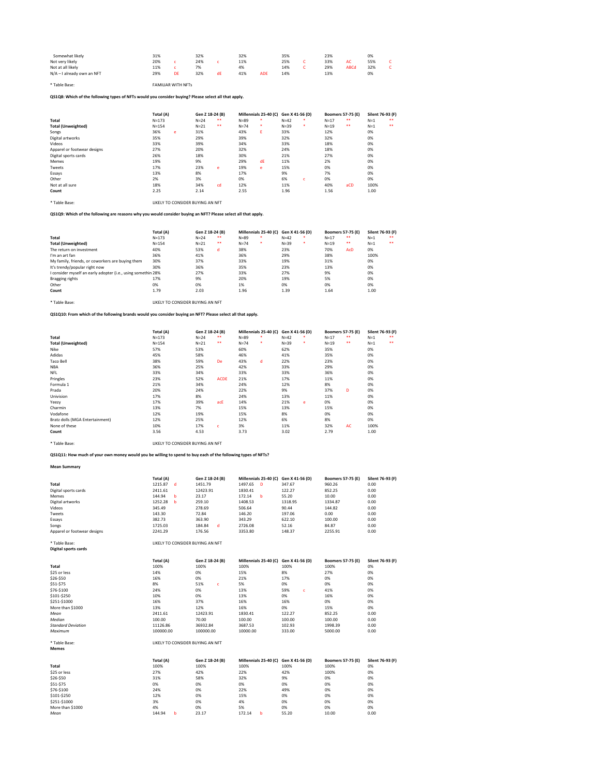| Somewhat likely              | 31% |    | 32% |    | 32% |     | 35% | 23% |      | 0%  |  |
|------------------------------|-----|----|-----|----|-----|-----|-----|-----|------|-----|--|
| Not very likely              | 20% |    | 24% |    | 11% |     | 25% | 33% | AС   | 55% |  |
| Not at all likely            | 11% |    | 7%  |    | 4%  |     | 14% | 29% | ABCd | 32% |  |
| $N/A - I$ already own an NFT | 29% | DE | 32% | αF | 41% | ADE | 14% | 13% |      | 0%  |  |

\* Table Base: FAMILIAR WITH NFTs

# **QS1Q8: Which of the following types of NFTs would you consider buying? Please select all that apply.**

|                             | Total (A) |   | Gen Z 18-24 (B) |       |          | Millennials 25-40 (C) Gen X 41-56 (D) |        |              | <b>Boomers 57-75 (E)</b> |       | Silent 76-93 (F) |       |
|-----------------------------|-----------|---|-----------------|-------|----------|---------------------------------------|--------|--------------|--------------------------|-------|------------------|-------|
| <b>Total</b>                | $N = 173$ |   | $N = 24$        | $***$ | $N = 89$ |                                       | $N=42$ | $\ast$       | $N=17$                   | $***$ | $N=1$            | $* *$ |
| <b>Total (Unweighted)</b>   | $N = 154$ |   | $N=21$          | $***$ | $N=74$   | ∗                                     | $N=39$ | $\ast$       | $N=19$                   | $***$ | $N=1$            | $***$ |
| Songs                       | 36%       | e | 31%             |       | 43%      | E.                                    | 33%    |              | 12%                      |       | 0%               |       |
| Digital artworks            | 35%       |   | 29%             |       | 39%      |                                       | 32%    |              | 32%                      |       | 0%               |       |
| Videos                      | 33%       |   | 39%             |       | 34%      |                                       | 33%    |              | 18%                      |       | 0%               |       |
| Apparel or footwear designs | 27%       |   | 20%             |       | 32%      |                                       | 24%    |              | 18%                      |       | 0%               |       |
| Digital sports cards        | 26%       |   | 18%             |       | 30%      |                                       | 21%    |              | 27%                      |       | 0%               |       |
| Memes                       | 19%       |   | 9%              |       | 29%      | dE                                    | 11%    |              | 2%                       |       | 0%               |       |
| Tweets                      | 17%       |   | 23%             | e     | 19%      | e                                     | 15%    |              | 0%                       |       | 0%               |       |
| Essays                      | 13%       |   | 8%              |       | 17%      |                                       | 9%     |              | 7%                       |       | 0%               |       |
| Other                       | 2%        |   | 3%              |       | 0%       |                                       | 6%     | $\mathsf{C}$ | 0%                       |       | 0%               |       |
| Not at all sure             | 18%       |   | 34%             | cd    | 12%      |                                       | 11%    |              | 40%                      | aCD   | 100%             |       |
| Count                       | 2.25      |   | 2.14            |       | 2.55     |                                       | 1.96   |              | 1.56                     |       | 1.00             |       |

\* Table Base: LIKELY TO CONSIDER BUYING AN NFT

# **QS1Q9: Which of the following are reasons why you would consider buying an NFT? Please select all that apply.**

|                                                              | Total (A) | Gen Z 18-24 (B) |       |          | Millennials 25-40 (C) Gen X 41-56 (D) |          |   |        | <b>Boomers 57-75 (E)</b> | Silent 76-93 (F) |      |
|--------------------------------------------------------------|-----------|-----------------|-------|----------|---------------------------------------|----------|---|--------|--------------------------|------------------|------|
| <b>Total</b>                                                 | $N = 173$ | $N = 24$        | $***$ | $N = 89$ |                                       | $N = 42$ |   | $N=17$ | $***$                    | $N=1$            | **   |
| <b>Total (Unweighted)</b>                                    | $N = 154$ | $N=21$          | $***$ | $N = 74$ | ∗                                     | $N = 39$ | ∗ | $N=19$ | $***$                    | $N=1$            | $**$ |
| The return on investment                                     | 40%       | 53%             | d     | 38%      |                                       | 23%      |   | 70%    | AcD                      | 0%               |      |
| I'm an art fan                                               | 36%       | 41%             |       | 36%      |                                       | 29%      |   | 38%    |                          | 100%             |      |
| My family, friends, or coworkers are buying them             | 30%       | 37%             |       | 33%      |                                       | 19%      |   | 31%    |                          | 0%               |      |
| It's trendy/popular right now                                | 30%       | 36%             |       | 35%      |                                       | 23%      |   | 13%    |                          | 0%               |      |
| I consider myself an early adopter (i.e., using somethin 28% |           | 27%             |       | 33%      |                                       | 27%      |   | 9%     |                          | 0%               |      |
| Bragging rights                                              | 17%       | 9%              |       | 20%      |                                       | 19%      |   | 5%     |                          | 0%               |      |
| Other                                                        | 0%        | 0%              |       | 1%       |                                       | 0%       |   | 0%     |                          | 0%               |      |
| Count                                                        | 1.79      | 2.03            |       | 1.96     |                                       | 1.39     |   | 1.64   |                          | 1.00             |      |

\* Table Base: LIKELY TO CONSIDER BUYING AN NFT

**QS1Q10: From which of the following brands would you consider buying an NFT? Please select all that apply.**

|                                 | Total (A) | Gen Z 18-24 (B) |             |          | Millennials 25-40 (C) Gen X 41-56 (D) |        |        |        | <b>Boomers 57-75 (E)</b> | Silent 76-93 (F) |       |
|---------------------------------|-----------|-----------------|-------------|----------|---------------------------------------|--------|--------|--------|--------------------------|------------------|-------|
| <b>Total</b>                    | $N = 173$ | $N=24$          | $***$       | $N = 89$ |                                       | $N=42$ | *      | $N=17$ | $***$                    | $N=1$            | $***$ |
| <b>Total (Unweighted)</b>       | $N = 154$ | $N=21$          | $***$       | $N=74$   |                                       | $N=39$ | $\ast$ | $N=19$ | $***$                    | $N=1$            | $***$ |
| Nike                            | 57%       | 53%             |             | 60%      |                                       | 62%    |        | 35%    |                          | 0%               |       |
| Adidas                          | 45%       | 58%             |             | 46%      |                                       | 41%    |        | 35%    |                          | 0%               |       |
| <b>Taco Bell</b>                | 38%       | 59%             | De          | 43%      | d                                     | 22%    |        | 23%    |                          | 0%               |       |
| <b>NBA</b>                      | 36%       | 25%             |             | 42%      |                                       | 33%    |        | 29%    |                          | 0%               |       |
| <b>NFL</b>                      | 33%       | 34%             |             | 33%      |                                       | 33%    |        | 36%    |                          | 0%               |       |
| Pringles                        | 23%       | 52%             | <b>ACDE</b> | 21%      |                                       | 17%    |        | 11%    |                          | 0%               |       |
| Formula 1                       | 21%       | 34%             |             | 24%      |                                       | 12%    |        | 8%     |                          | 0%               |       |
| Prada                           | 20%       | 24%             |             | 22%      |                                       | 9%     |        | 37%    | D                        | 0%               |       |
| Univision                       | 17%       | 8%              |             | 24%      |                                       | 13%    |        | 11%    |                          | 0%               |       |
| Yeezy                           | 17%       | 39%             | acE         | 14%      |                                       | 21%    | e      | 0%     |                          | 0%               |       |
| Charmin                         | 13%       | 7%              |             | 15%      |                                       | 13%    |        | 15%    |                          | 0%               |       |
| Vodafone                        | 12%       | 19%             |             | 15%      |                                       | 8%     |        | 0%     |                          | 0%               |       |
| Bratz dolls (MGA Entertainment) | 12%       | 25%             |             | 12%      |                                       | 6%     |        | 8%     |                          | 0%               |       |
| None of these                   | 10%       | 17%             | C.          | 3%       |                                       | 11%    |        | 32%    | <b>AC</b>                | 100%             |       |
| Count                           | 3.56      | 4.53            |             | 3.73     |                                       | 3.02   |        | 2.79   |                          | 1.00             |       |

\* Table Base: LIKELY TO CONSIDER BUYING AN NFT

**QS1Q11: How much of your own money would you be willing to spend to buy each of the following types of NFTs?**

### **Mean Summary**

|                             | Total (A)    | Gen Z 18-24 (B) | Millennials 25-40 (C) Gen X 41-56 (D) |         | <b>Boomers 57-75 (E)</b> | Silent 76-93 (F) |
|-----------------------------|--------------|-----------------|---------------------------------------|---------|--------------------------|------------------|
| <b>Total</b>                | 1215.87<br>d | 1451.79         | 1497.65<br><b>D</b>                   | 347.67  | 960.26                   | 0.00             |
| Digital sports cards        | 2411.61      | 12423.91        | 1830.41                               | 122.27  | 852.25                   | 0.00             |
| <b>Memes</b>                | 144.94<br>b  | 23.17           | 172.14<br>- b                         | 55.20   | 10.00                    | 0.00             |
| Digital artworks            | 1252.28<br>b | 259.10          | 1408.53                               | 1318.95 | 1334.87                  | 0.00             |
| Videos                      | 345.49       | 278.69          | 506.64                                | 90.44   | 144.82                   | 0.00             |
| Tweets                      | 143.30       | 72.84           | 146.20                                | 197.06  | 0.00                     | 0.00             |
| Essays                      | 382.73       | 363.90          | 343.29                                | 622.10  | 100.00                   | 0.00             |
| Songs                       | 1725.03      | 184.84<br>d     | 2726.08                               | 52.16   | 84.87                    | 0.00             |
| Apparel or footwear designs | 2241.29      | 176.56          | 3353.80                               | 148.37  | 2255.91                  | 0.00             |

## \* Table Base: LIKELY TO CONSIDER BUYING AN NFT

**Digital sports cards**

| $\tilde{\phantom{a}}$<br>. . |           |                 |                                       |           |                          |                  |
|------------------------------|-----------|-----------------|---------------------------------------|-----------|--------------------------|------------------|
|                              | Total (A) | Gen Z 18-24 (B) | Millennials 25-40 (C) Gen X 41-56 (D) |           | <b>Boomers 57-75 (E)</b> | Silent 76-93 (F) |
| <b>Total</b>                 | 100%      | 100%            | 100%                                  | 100%      | 100%                     | 0%               |
| \$25 or less                 | 14%       | 0%              | 15%                                   | 8%        | 27%                      | 0%               |
| \$26-\$50                    | 16%       | 0%              | 21%                                   | 17%       | 0%                       | 0%               |
| \$51-\$75                    | 8%        | 51%<br>C.       | 5%                                    | 0%        | 0%                       | 0%               |
| \$76-\$100                   | 24%       | 0%              | 13%                                   | 59%<br>C. | 41%                      | 0%               |
| \$101-\$250                  | 10%       | 0%              | 13%                                   | 0%        | 16%                      | 0%               |
| \$251-\$1000                 | 16%       | 37%             | 16%                                   | 16%       | 0%                       | 0%               |
| More than \$1000             | 13%       | 12%             | 16%                                   | 0%        | 15%                      | 0%               |
| Mean                         | 2411.61   | 12423.91        | 1830.41                               | 122.27    | 852.25                   | 0.00             |
| Median                       | 100.00    | 70.00           | 100.00                                | 100.00    | 100.00                   | 0.00             |
| <b>Standard Deviation</b>    | 11126.86  | 36932.84        | 3687.53                               | 102.93    | 1998.39                  | 0.00             |

*Maximum* 100000.00 100000.00 10000.00 333.00 5000.00 0.00

\* Table Base: LIKELY TO CONSIDER BUYING AN NFT

**Memes**

|                  | Total (A) | Gen Z 18-24 (B) | Millennials 25-40 (C) Gen X 41-56 (D) |       | <b>Boomers 57-75 (E)</b> | Silent 76-93 (F) |
|------------------|-----------|-----------------|---------------------------------------|-------|--------------------------|------------------|
| <b>Total</b>     | 100%      | 100%            | 100%                                  | 100%  | 100%                     | 0%               |
| \$25 or less     | 27%       | 42%             | 22%                                   | 42%   | 100%                     | 0%               |
| \$26-\$50        | 31%       | 58%             | 32%                                   | 9%    | 0%                       | 0%               |
| \$51-\$75        | 0%        | 0%              | 0%                                    | 0%    | 0%                       | 0%               |
| \$76-\$100       | 24%       | 0%              | 22%                                   | 49%   | 0%                       | 0%               |
| \$101-\$250      | 12%       | 0%              | 15%                                   | 0%    | 0%                       | 0%               |
| \$251-\$1000     | 3%        | 0%              | 4%                                    | 0%    | 0%                       | 0%               |
| More than \$1000 | 4%        | 0%              | 5%                                    | 0%    | 0%                       | 0%               |
| Mean             | 144.94    | 23.17           | 172.14                                | 55.20 | 10.00                    | 0.00             |